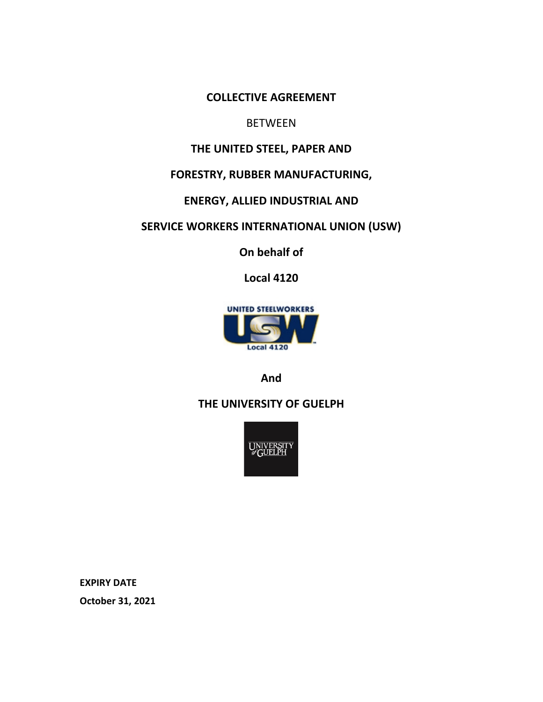**COLLECTIVE AGREEMENT**

# **BETWEEN**

# **THE UNITED STEEL, PAPER AND**

# **FORESTRY, RUBBER MANUFACTURING,**

# **ENERGY, ALLIED INDUSTRIAL AND**

# **SERVICE WORKERS INTERNATIONAL UNION (USW)**

**On behalf of**

**Local 4120**



**And**

# **THE UNIVERSITY OF GUELPH**



**EXPIRY DATE**

**October 31, 2021**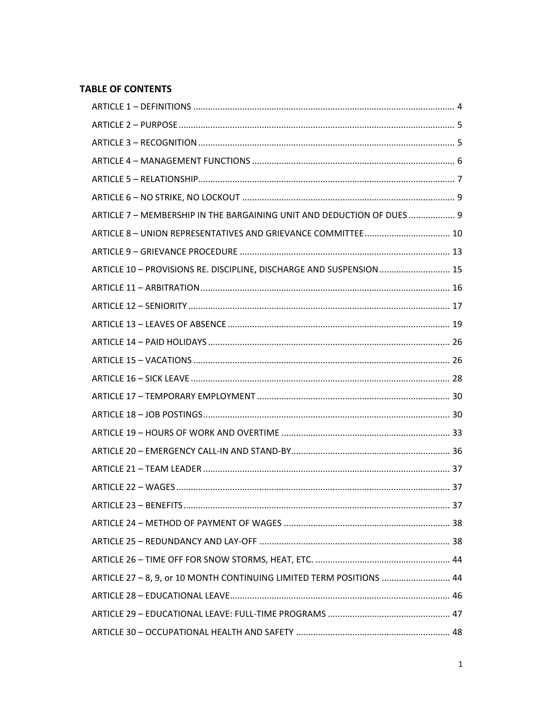# **TABLE OF CONTENTS**

| ARTICLE 7 - MEMBERSHIP IN THE BARGAINING UNIT AND DEDUCTION OF DUES  9 |  |
|------------------------------------------------------------------------|--|
|                                                                        |  |
|                                                                        |  |
| ARTICLE 10 - PROVISIONS RE. DISCIPLINE, DISCHARGE AND SUSPENSION 15    |  |
|                                                                        |  |
|                                                                        |  |
|                                                                        |  |
|                                                                        |  |
|                                                                        |  |
|                                                                        |  |
|                                                                        |  |
|                                                                        |  |
|                                                                        |  |
|                                                                        |  |
|                                                                        |  |
|                                                                        |  |
|                                                                        |  |
|                                                                        |  |
|                                                                        |  |
|                                                                        |  |
| ARTICLE 27 - 8, 9, or 10 MONTH CONTINUING LIMITED TERM POSITIONS  44   |  |
|                                                                        |  |
|                                                                        |  |
|                                                                        |  |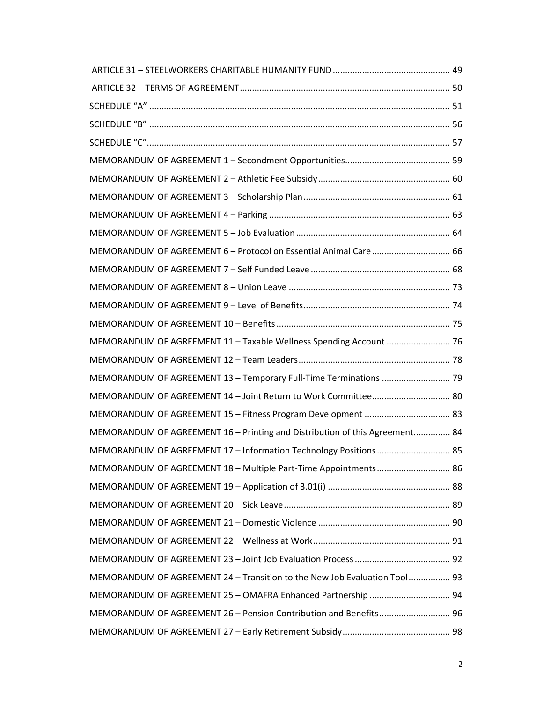| MEMORANDUM OF AGREEMENT 6 - Protocol on Essential Animal Care 66            |  |
|-----------------------------------------------------------------------------|--|
|                                                                             |  |
|                                                                             |  |
|                                                                             |  |
|                                                                             |  |
| MEMORANDUM OF AGREEMENT 11 - Taxable Wellness Spending Account  76          |  |
|                                                                             |  |
| MEMORANDUM OF AGREEMENT 13 - Temporary Full-Time Terminations  79           |  |
|                                                                             |  |
|                                                                             |  |
| MEMORANDUM OF AGREEMENT 16 - Printing and Distribution of this Agreement 84 |  |
| MEMORANDUM OF AGREEMENT 17 - Information Technology Positions 85            |  |
| MEMORANDUM OF AGREEMENT 18 - Multiple Part-Time Appointments 86             |  |
|                                                                             |  |
|                                                                             |  |
|                                                                             |  |
|                                                                             |  |
|                                                                             |  |
| MEMORANDUM OF AGREEMENT 24 - Transition to the New Job Evaluation Tool 93   |  |
|                                                                             |  |
| MEMORANDUM OF AGREEMENT 26 - Pension Contribution and Benefits 96           |  |
|                                                                             |  |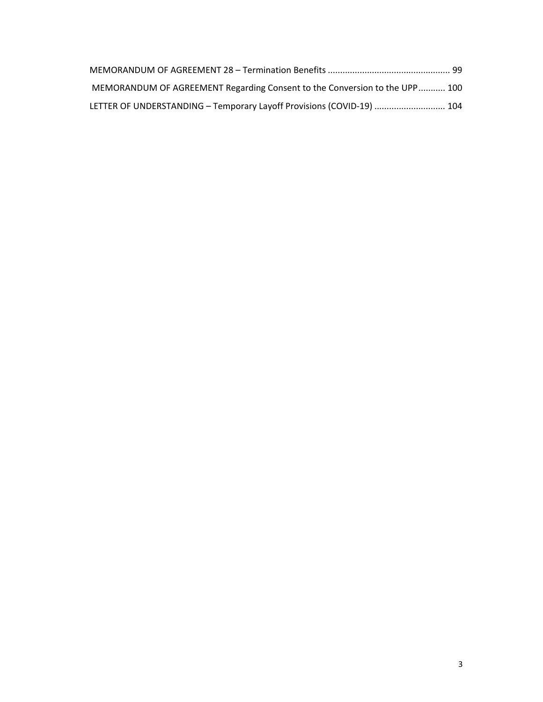| MEMORANDUM OF AGREEMENT Regarding Consent to the Conversion to the UPP 100 |  |
|----------------------------------------------------------------------------|--|
| LETTER OF UNDERSTANDING - Temporary Layoff Provisions (COVID-19)  104      |  |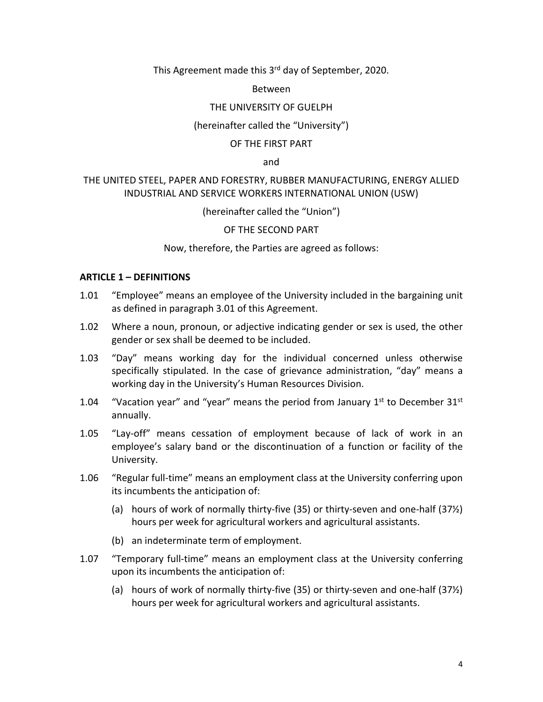This Agreement made this 3<sup>rd</sup> day of September, 2020.

Between

### THE UNIVERSITY OF GUELPH

### (hereinafter called the "University")

### OF THE FIRST PART

and

### THE UNITED STEEL, PAPER AND FORESTRY, RUBBER MANUFACTURING, ENERGY ALLIED INDUSTRIAL AND SERVICE WORKERS INTERNATIONAL UNION (USW)

(hereinafter called the "Union")

OF THE SECOND PART

Now, therefore, the Parties are agreed as follows:

### <span id="page-4-0"></span>**ARTICLE 1 – DEFINITIONS**

- 1.01 "Employee" means an employee of the University included in the bargaining unit as defined in paragraph 3.01 of this Agreement.
- 1.02 Where a noun, pronoun, or adjective indicating gender or sex is used, the other gender or sex shall be deemed to be included.
- 1.03 "Day" means working day for the individual concerned unless otherwise specifically stipulated. In the case of grievance administration, "day" means a working day in the University's Human Resources Division.
- 1.04 "Vacation year" and "year" means the period from January  $1^{st}$  to December  $31^{st}$ annually.
- 1.05 "Lay-off" means cessation of employment because of lack of work in an employee's salary band or the discontinuation of a function or facility of the University.
- 1.06 "Regular full-time" means an employment class at the University conferring upon its incumbents the anticipation of:
	- (a) hours of work of normally thirty-five (35) or thirty-seven and one-half (37½) hours per week for agricultural workers and agricultural assistants.
	- (b) an indeterminate term of employment.
- 1.07 "Temporary full-time" means an employment class at the University conferring upon its incumbents the anticipation of:
	- (a) hours of work of normally thirty-five (35) or thirty-seven and one-half (37½) hours per week for agricultural workers and agricultural assistants.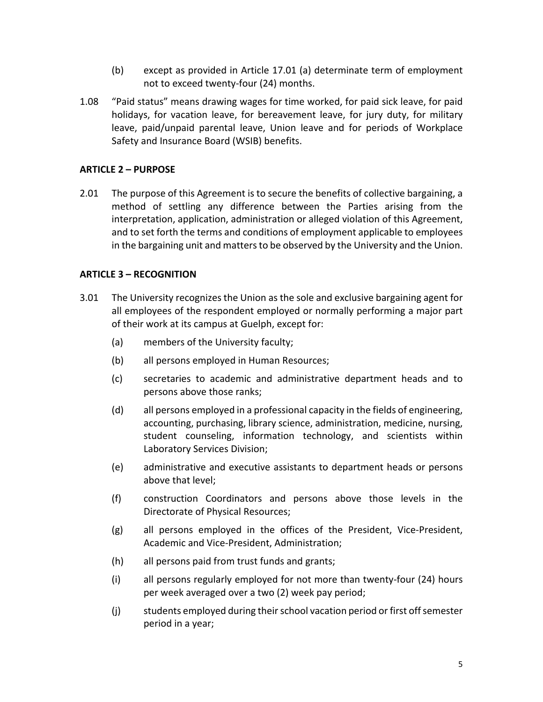- (b) except as provided in Article 17.01 (a) determinate term of employment not to exceed twenty-four (24) months.
- 1.08 "Paid status" means drawing wages for time worked, for paid sick leave, for paid holidays, for vacation leave, for bereavement leave, for jury duty, for military leave, paid/unpaid parental leave, Union leave and for periods of Workplace Safety and Insurance Board (WSIB) benefits.

### <span id="page-5-0"></span>**ARTICLE 2 – PURPOSE**

2.01 The purpose of this Agreement is to secure the benefits of collective bargaining, a method of settling any difference between the Parties arising from the interpretation, application, administration or alleged violation of this Agreement, and to set forth the terms and conditions of employment applicable to employees in the bargaining unit and matters to be observed by the University and the Union.

### <span id="page-5-1"></span>**ARTICLE 3 – RECOGNITION**

- 3.01 The University recognizes the Union as the sole and exclusive bargaining agent for all employees of the respondent employed or normally performing a major part of their work at its campus at Guelph, except for:
	- (a) members of the University faculty;
	- (b) all persons employed in Human Resources;
	- (c) secretaries to academic and administrative department heads and to persons above those ranks;
	- (d) all persons employed in a professional capacity in the fields of engineering, accounting, purchasing, library science, administration, medicine, nursing, student counseling, information technology, and scientists within Laboratory Services Division;
	- (e) administrative and executive assistants to department heads or persons above that level;
	- (f) construction Coordinators and persons above those levels in the Directorate of Physical Resources;
	- (g) all persons employed in the offices of the President, Vice-President, Academic and Vice-President, Administration;
	- (h) all persons paid from trust funds and grants;
	- (i) all persons regularly employed for not more than twenty-four (24) hours per week averaged over a two (2) week pay period;
	- (j) students employed during their school vacation period or first off semester period in a year;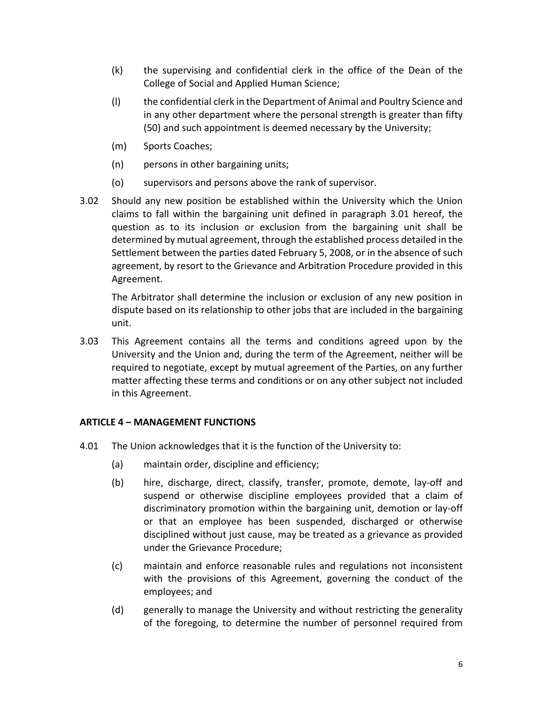- (k) the supervising and confidential clerk in the office of the Dean of the College of Social and Applied Human Science;
- (l) the confidential clerk in the Department of Animal and Poultry Science and in any other department where the personal strength is greater than fifty (50) and such appointment is deemed necessary by the University;
- (m) Sports Coaches;
- (n) persons in other bargaining units;
- (o) supervisors and persons above the rank of supervisor.
- 3.02 Should any new position be established within the University which the Union claims to fall within the bargaining unit defined in paragraph 3.01 hereof, the question as to its inclusion or exclusion from the bargaining unit shall be determined by mutual agreement, through the established process detailed in the Settlement between the parties dated February 5, 2008, or in the absence of such agreement, by resort to the Grievance and Arbitration Procedure provided in this Agreement.

The Arbitrator shall determine the inclusion or exclusion of any new position in dispute based on its relationship to other jobs that are included in the bargaining unit.

3.03 This Agreement contains all the terms and conditions agreed upon by the University and the Union and, during the term of the Agreement, neither will be required to negotiate, except by mutual agreement of the Parties, on any further matter affecting these terms and conditions or on any other subject not included in this Agreement.

### <span id="page-6-0"></span>**ARTICLE 4 – MANAGEMENT FUNCTIONS**

- 4.01 The Union acknowledges that it is the function of the University to:
	- (a) maintain order, discipline and efficiency;
	- (b) hire, discharge, direct, classify, transfer, promote, demote, lay-off and suspend or otherwise discipline employees provided that a claim of discriminatory promotion within the bargaining unit, demotion or lay-off or that an employee has been suspended, discharged or otherwise disciplined without just cause, may be treated as a grievance as provided under the Grievance Procedure;
	- (c) maintain and enforce reasonable rules and regulations not inconsistent with the provisions of this Agreement, governing the conduct of the employees; and
	- (d) generally to manage the University and without restricting the generality of the foregoing, to determine the number of personnel required from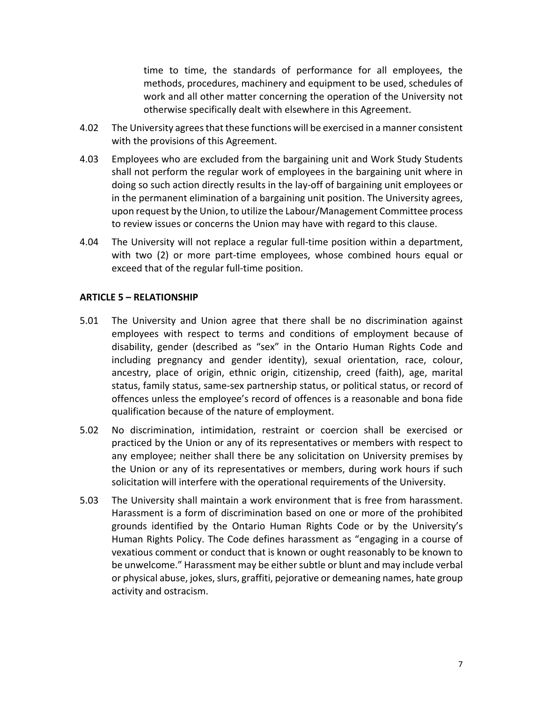time to time, the standards of performance for all employees, the methods, procedures, machinery and equipment to be used, schedules of work and all other matter concerning the operation of the University not otherwise specifically dealt with elsewhere in this Agreement.

- 4.02 The University agrees that these functions will be exercised in a manner consistent with the provisions of this Agreement.
- 4.03 Employees who are excluded from the bargaining unit and Work Study Students shall not perform the regular work of employees in the bargaining unit where in doing so such action directly results in the lay-off of bargaining unit employees or in the permanent elimination of a bargaining unit position. The University agrees, upon request by the Union, to utilize the Labour/Management Committee process to review issues or concerns the Union may have with regard to this clause.
- 4.04 The University will not replace a regular full-time position within a department, with two (2) or more part-time employees, whose combined hours equal or exceed that of the regular full-time position.

### <span id="page-7-0"></span>**ARTICLE 5 – RELATIONSHIP**

- 5.01 The University and Union agree that there shall be no discrimination against employees with respect to terms and conditions of employment because of disability, gender (described as "sex" in the Ontario Human Rights Code and including pregnancy and gender identity), sexual orientation, race, colour, ancestry, place of origin, ethnic origin, citizenship, creed (faith), age, marital status, family status, same-sex partnership status, or political status, or record of offences unless the employee's record of offences is a reasonable and bona fide qualification because of the nature of employment.
- 5.02 No discrimination, intimidation, restraint or coercion shall be exercised or practiced by the Union or any of its representatives or members with respect to any employee; neither shall there be any solicitation on University premises by the Union or any of its representatives or members, during work hours if such solicitation will interfere with the operational requirements of the University.
- 5.03 The University shall maintain a work environment that is free from harassment. Harassment is a form of discrimination based on one or more of the prohibited grounds identified by the Ontario Human Rights Code or by the University's Human Rights Policy. The Code defines harassment as "engaging in a course of vexatious comment or conduct that is known or ought reasonably to be known to be unwelcome." Harassment may be either subtle or blunt and may include verbal or physical abuse, jokes, slurs, graffiti, pejorative or demeaning names, hate group activity and ostracism.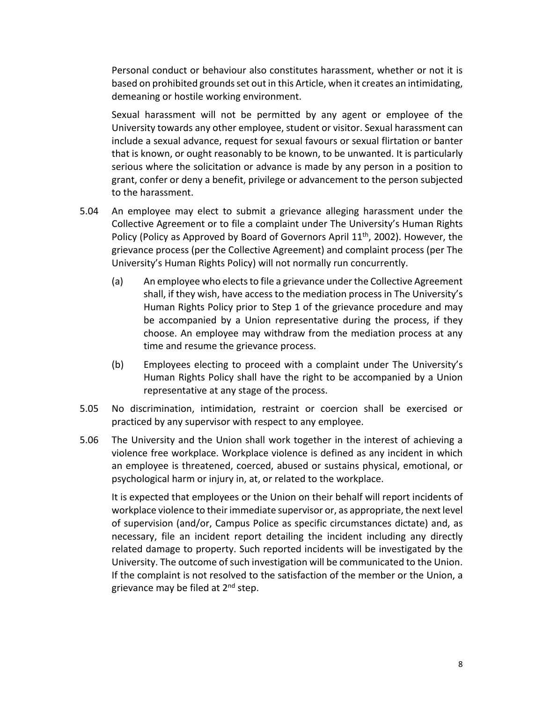Personal conduct or behaviour also constitutes harassment, whether or not it is based on prohibited grounds set out in this Article, when it creates an intimidating, demeaning or hostile working environment.

Sexual harassment will not be permitted by any agent or employee of the University towards any other employee, student or visitor. Sexual harassment can include a sexual advance, request for sexual favours or sexual flirtation or banter that is known, or ought reasonably to be known, to be unwanted. It is particularly serious where the solicitation or advance is made by any person in a position to grant, confer or deny a benefit, privilege or advancement to the person subjected to the harassment.

- 5.04 An employee may elect to submit a grievance alleging harassment under the Collective Agreement or to file a complaint under The University's Human Rights Policy (Policy as Approved by Board of Governors April  $11<sup>th</sup>$ , 2002). However, the grievance process (per the Collective Agreement) and complaint process (per The University's Human Rights Policy) will not normally run concurrently.
	- (a) An employee who elects to file a grievance under the Collective Agreement shall, if they wish, have access to the mediation process in The University's Human Rights Policy prior to Step 1 of the grievance procedure and may be accompanied by a Union representative during the process, if they choose. An employee may withdraw from the mediation process at any time and resume the grievance process.
	- (b) Employees electing to proceed with a complaint under The University's Human Rights Policy shall have the right to be accompanied by a Union representative at any stage of the process.
- 5.05 No discrimination, intimidation, restraint or coercion shall be exercised or practiced by any supervisor with respect to any employee.
- 5.06 The University and the Union shall work together in the interest of achieving a violence free workplace. Workplace violence is defined as any incident in which an employee is threatened, coerced, abused or sustains physical, emotional, or psychological harm or injury in, at, or related to the workplace.

It is expected that employees or the Union on their behalf will report incidents of workplace violence to their immediate supervisor or, as appropriate, the next level of supervision (and/or, Campus Police as specific circumstances dictate) and, as necessary, file an incident report detailing the incident including any directly related damage to property. Such reported incidents will be investigated by the University. The outcome of such investigation will be communicated to the Union. If the complaint is not resolved to the satisfaction of the member or the Union, a grievance may be filed at 2<sup>nd</sup> step.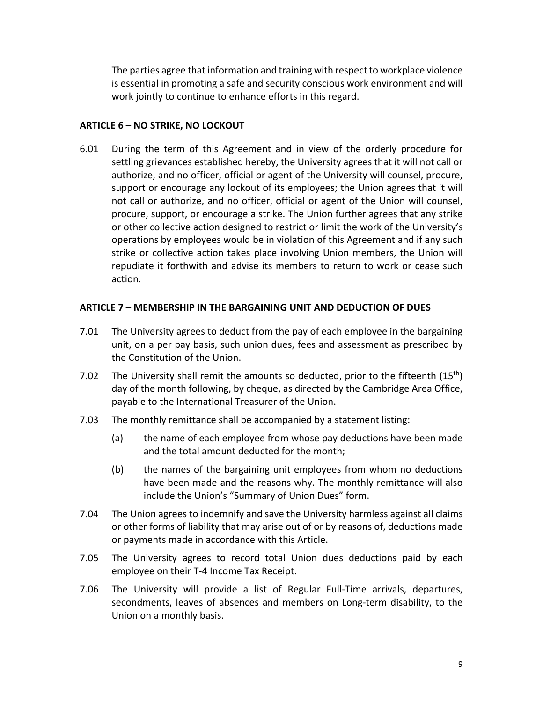The parties agree that information and training with respect to workplace violence is essential in promoting a safe and security conscious work environment and will work jointly to continue to enhance efforts in this regard.

### <span id="page-9-0"></span>**ARTICLE 6 – NO STRIKE, NO LOCKOUT**

6.01 During the term of this Agreement and in view of the orderly procedure for settling grievances established hereby, the University agrees that it will not call or authorize, and no officer, official or agent of the University will counsel, procure, support or encourage any lockout of its employees; the Union agrees that it will not call or authorize, and no officer, official or agent of the Union will counsel, procure, support, or encourage a strike. The Union further agrees that any strike or other collective action designed to restrict or limit the work of the University's operations by employees would be in violation of this Agreement and if any such strike or collective action takes place involving Union members, the Union will repudiate it forthwith and advise its members to return to work or cease such action.

### <span id="page-9-1"></span>**ARTICLE 7 – MEMBERSHIP IN THE BARGAINING UNIT AND DEDUCTION OF DUES**

- 7.01 The University agrees to deduct from the pay of each employee in the bargaining unit, on a per pay basis, such union dues, fees and assessment as prescribed by the Constitution of the Union.
- 7.02 The University shall remit the amounts so deducted, prior to the fifteenth  $(15<sup>th</sup>)$ day of the month following, by cheque, as directed by the Cambridge Area Office, payable to the International Treasurer of the Union.
- 7.03 The monthly remittance shall be accompanied by a statement listing:
	- (a) the name of each employee from whose pay deductions have been made and the total amount deducted for the month;
	- (b) the names of the bargaining unit employees from whom no deductions have been made and the reasons why. The monthly remittance will also include the Union's "Summary of Union Dues" form.
- 7.04 The Union agrees to indemnify and save the University harmless against all claims or other forms of liability that may arise out of or by reasons of, deductions made or payments made in accordance with this Article.
- 7.05 The University agrees to record total Union dues deductions paid by each employee on their T-4 Income Tax Receipt.
- 7.06 The University will provide a list of Regular Full-Time arrivals, departures, secondments, leaves of absences and members on Long-term disability, to the Union on a monthly basis.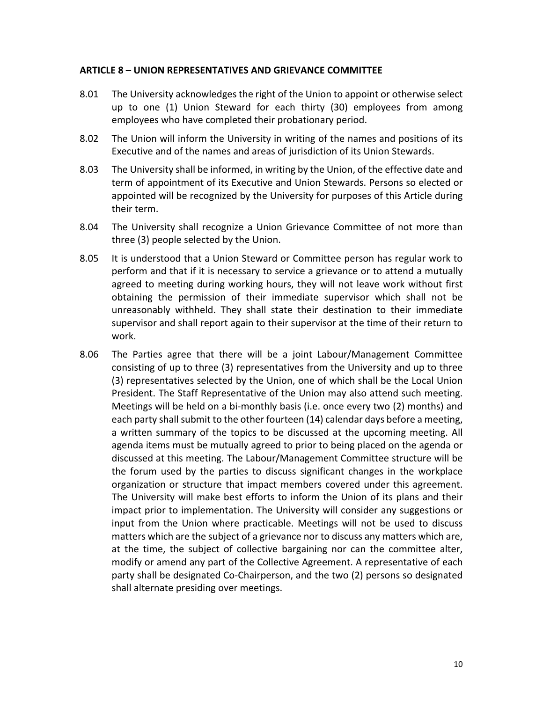#### <span id="page-10-0"></span>**ARTICLE 8 – UNION REPRESENTATIVES AND GRIEVANCE COMMITTEE**

- 8.01 The University acknowledges the right of the Union to appoint or otherwise select up to one (1) Union Steward for each thirty (30) employees from among employees who have completed their probationary period.
- 8.02 The Union will inform the University in writing of the names and positions of its Executive and of the names and areas of jurisdiction of its Union Stewards.
- 8.03 The University shall be informed, in writing by the Union, of the effective date and term of appointment of its Executive and Union Stewards. Persons so elected or appointed will be recognized by the University for purposes of this Article during their term.
- 8.04 The University shall recognize a Union Grievance Committee of not more than three (3) people selected by the Union.
- 8.05 It is understood that a Union Steward or Committee person has regular work to perform and that if it is necessary to service a grievance or to attend a mutually agreed to meeting during working hours, they will not leave work without first obtaining the permission of their immediate supervisor which shall not be unreasonably withheld. They shall state their destination to their immediate supervisor and shall report again to their supervisor at the time of their return to work.
- 8.06 The Parties agree that there will be a joint Labour/Management Committee consisting of up to three (3) representatives from the University and up to three (3) representatives selected by the Union, one of which shall be the Local Union President. The Staff Representative of the Union may also attend such meeting. Meetings will be held on a bi-monthly basis (i.e. once every two (2) months) and each party shall submit to the other fourteen (14) calendar days before a meeting, a written summary of the topics to be discussed at the upcoming meeting. All agenda items must be mutually agreed to prior to being placed on the agenda or discussed at this meeting. The Labour/Management Committee structure will be the forum used by the parties to discuss significant changes in the workplace organization or structure that impact members covered under this agreement. The University will make best efforts to inform the Union of its plans and their impact prior to implementation. The University will consider any suggestions or input from the Union where practicable. Meetings will not be used to discuss matters which are the subject of a grievance nor to discuss any matters which are, at the time, the subject of collective bargaining nor can the committee alter, modify or amend any part of the Collective Agreement. A representative of each party shall be designated Co-Chairperson, and the two (2) persons so designated shall alternate presiding over meetings.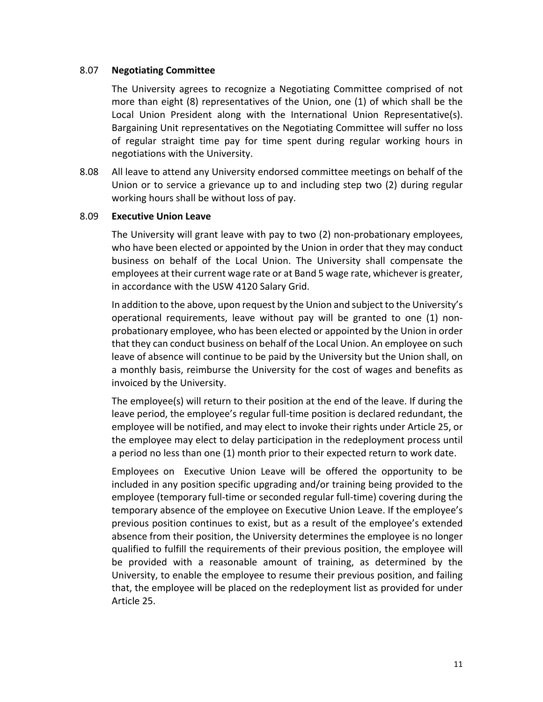#### 8.07 **Negotiating Committee**

The University agrees to recognize a Negotiating Committee comprised of not more than eight (8) representatives of the Union, one (1) of which shall be the Local Union President along with the International Union Representative(s). Bargaining Unit representatives on the Negotiating Committee will suffer no loss of regular straight time pay for time spent during regular working hours in negotiations with the University.

8.08 All leave to attend any University endorsed committee meetings on behalf of the Union or to service a grievance up to and including step two (2) during regular working hours shall be without loss of pay.

#### 8.09 **Executive Union Leave**

The University will grant leave with pay to two (2) non-probationary employees, who have been elected or appointed by the Union in order that they may conduct business on behalf of the Local Union. The University shall compensate the employees at their current wage rate or at Band 5 wage rate, whichever is greater, in accordance with the USW 4120 Salary Grid.

In addition to the above, upon request by the Union and subject to the University's operational requirements, leave without pay will be granted to one (1) nonprobationary employee, who has been elected or appointed by the Union in order that they can conduct business on behalf of the Local Union. An employee on such leave of absence will continue to be paid by the University but the Union shall, on a monthly basis, reimburse the University for the cost of wages and benefits as invoiced by the University.

The employee(s) will return to their position at the end of the leave. If during the leave period, the employee's regular full-time position is declared redundant, the employee will be notified, and may elect to invoke their rights under Article 25, or the employee may elect to delay participation in the redeployment process until a period no less than one (1) month prior to their expected return to work date.

Employees on Executive Union Leave will be offered the opportunity to be included in any position specific upgrading and/or training being provided to the employee (temporary full-time or seconded regular full-time) covering during the temporary absence of the employee on Executive Union Leave. If the employee's previous position continues to exist, but as a result of the employee's extended absence from their position, the University determines the employee is no longer qualified to fulfill the requirements of their previous position, the employee will be provided with a reasonable amount of training, as determined by the University, to enable the employee to resume their previous position, and failing that, the employee will be placed on the redeployment list as provided for under Article 25.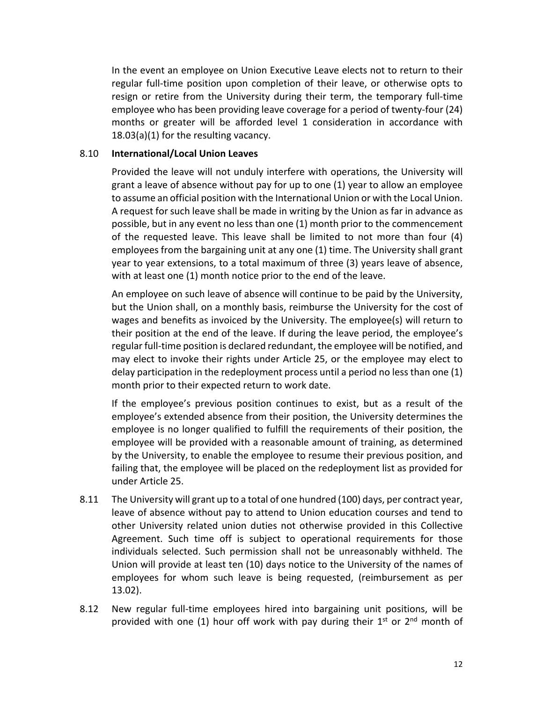In the event an employee on Union Executive Leave elects not to return to their regular full-time position upon completion of their leave, or otherwise opts to resign or retire from the University during their term, the temporary full-time employee who has been providing leave coverage for a period of twenty-four (24) months or greater will be afforded level 1 consideration in accordance with 18.03(a)(1) for the resulting vacancy.

#### 8.10 **International/Local Union Leaves**

Provided the leave will not unduly interfere with operations, the University will grant a leave of absence without pay for up to one (1) year to allow an employee to assume an official position with the International Union or with the Local Union. A request for such leave shall be made in writing by the Union as far in advance as possible, but in any event no less than one (1) month prior to the commencement of the requested leave. This leave shall be limited to not more than four (4) employees from the bargaining unit at any one (1) time. The University shall grant year to year extensions, to a total maximum of three (3) years leave of absence, with at least one (1) month notice prior to the end of the leave.

An employee on such leave of absence will continue to be paid by the University, but the Union shall, on a monthly basis, reimburse the University for the cost of wages and benefits as invoiced by the University. The employee(s) will return to their position at the end of the leave. If during the leave period, the employee's regular full-time position is declared redundant, the employee will be notified, and may elect to invoke their rights under Article 25, or the employee may elect to delay participation in the redeployment process until a period no less than one (1) month prior to their expected return to work date.

If the employee's previous position continues to exist, but as a result of the employee's extended absence from their position, the University determines the employee is no longer qualified to fulfill the requirements of their position, the employee will be provided with a reasonable amount of training, as determined by the University, to enable the employee to resume their previous position, and failing that, the employee will be placed on the redeployment list as provided for under Article 25.

- 8.11 The University will grant up to a total of one hundred (100) days, per contract year, leave of absence without pay to attend to Union education courses and tend to other University related union duties not otherwise provided in this Collective Agreement. Such time off is subject to operational requirements for those individuals selected. Such permission shall not be unreasonably withheld. The Union will provide at least ten (10) days notice to the University of the names of employees for whom such leave is being requested, (reimbursement as per 13.02).
- 8.12 New regular full-time employees hired into bargaining unit positions, will be provided with one (1) hour off work with pay during their  $1^{st}$  or  $2^{nd}$  month of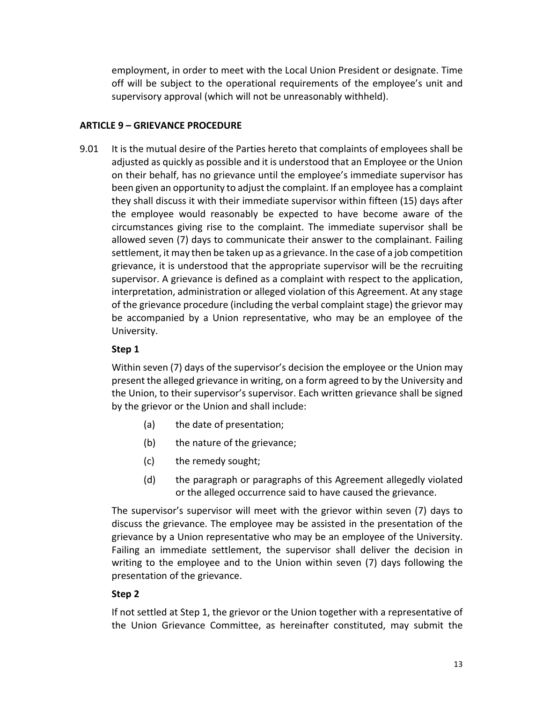employment, in order to meet with the Local Union President or designate. Time off will be subject to the operational requirements of the employee's unit and supervisory approval (which will not be unreasonably withheld).

### <span id="page-13-0"></span>**ARTICLE 9 – GRIEVANCE PROCEDURE**

9.01 It is the mutual desire of the Parties hereto that complaints of employees shall be adjusted as quickly as possible and it is understood that an Employee or the Union on their behalf, has no grievance until the employee's immediate supervisor has been given an opportunity to adjust the complaint. If an employee has a complaint they shall discuss it with their immediate supervisor within fifteen (15) days after the employee would reasonably be expected to have become aware of the circumstances giving rise to the complaint. The immediate supervisor shall be allowed seven (7) days to communicate their answer to the complainant. Failing settlement, it may then be taken up as a grievance. In the case of a job competition grievance, it is understood that the appropriate supervisor will be the recruiting supervisor. A grievance is defined as a complaint with respect to the application, interpretation, administration or alleged violation of this Agreement. At any stage of the grievance procedure (including the verbal complaint stage) the grievor may be accompanied by a Union representative, who may be an employee of the University.

### **Step 1**

Within seven (7) days of the supervisor's decision the employee or the Union may present the alleged grievance in writing, on a form agreed to by the University and the Union, to their supervisor's supervisor. Each written grievance shall be signed by the grievor or the Union and shall include:

- (a) the date of presentation;
- (b) the nature of the grievance;
- (c) the remedy sought;
- (d) the paragraph or paragraphs of this Agreement allegedly violated or the alleged occurrence said to have caused the grievance.

The supervisor's supervisor will meet with the grievor within seven (7) days to discuss the grievance. The employee may be assisted in the presentation of the grievance by a Union representative who may be an employee of the University. Failing an immediate settlement, the supervisor shall deliver the decision in writing to the employee and to the Union within seven (7) days following the presentation of the grievance.

### **Step 2**

If not settled at Step 1, the grievor or the Union together with a representative of the Union Grievance Committee, as hereinafter constituted, may submit the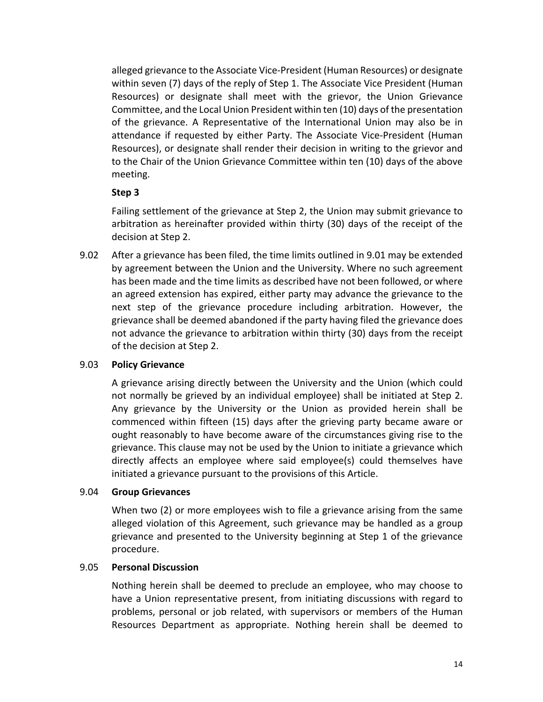alleged grievance to the Associate Vice-President (Human Resources) or designate within seven (7) days of the reply of Step 1. The Associate Vice President (Human Resources) or designate shall meet with the grievor, the Union Grievance Committee, and the Local Union President within ten (10) days of the presentation of the grievance. A Representative of the International Union may also be in attendance if requested by either Party. The Associate Vice-President (Human Resources), or designate shall render their decision in writing to the grievor and to the Chair of the Union Grievance Committee within ten (10) days of the above meeting.

### **Step 3**

Failing settlement of the grievance at Step 2, the Union may submit grievance to arbitration as hereinafter provided within thirty (30) days of the receipt of the decision at Step 2.

9.02 After a grievance has been filed, the time limits outlined in 9.01 may be extended by agreement between the Union and the University. Where no such agreement has been made and the time limits as described have not been followed, or where an agreed extension has expired, either party may advance the grievance to the next step of the grievance procedure including arbitration. However, the grievance shall be deemed abandoned if the party having filed the grievance does not advance the grievance to arbitration within thirty (30) days from the receipt of the decision at Step 2.

### 9.03 **Policy Grievance**

A grievance arising directly between the University and the Union (which could not normally be grieved by an individual employee) shall be initiated at Step 2. Any grievance by the University or the Union as provided herein shall be commenced within fifteen (15) days after the grieving party became aware or ought reasonably to have become aware of the circumstances giving rise to the grievance. This clause may not be used by the Union to initiate a grievance which directly affects an employee where said employee(s) could themselves have initiated a grievance pursuant to the provisions of this Article.

### 9.04 **Group Grievances**

When two (2) or more employees wish to file a grievance arising from the same alleged violation of this Agreement, such grievance may be handled as a group grievance and presented to the University beginning at Step 1 of the grievance procedure.

### 9.05 **Personal Discussion**

Nothing herein shall be deemed to preclude an employee, who may choose to have a Union representative present, from initiating discussions with regard to problems, personal or job related, with supervisors or members of the Human Resources Department as appropriate. Nothing herein shall be deemed to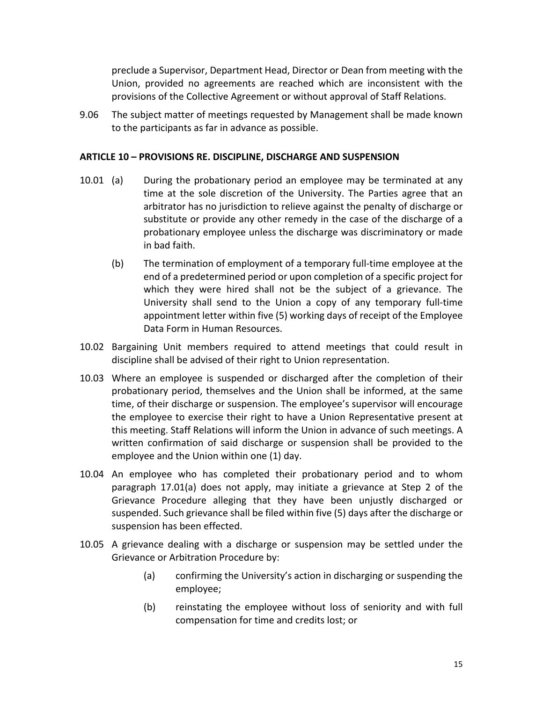preclude a Supervisor, Department Head, Director or Dean from meeting with the Union, provided no agreements are reached which are inconsistent with the provisions of the Collective Agreement or without approval of Staff Relations.

9.06 The subject matter of meetings requested by Management shall be made known to the participants as far in advance as possible.

#### <span id="page-15-0"></span>**ARTICLE 10 – PROVISIONS RE. DISCIPLINE, DISCHARGE AND SUSPENSION**

- 10.01 (a) During the probationary period an employee may be terminated at any time at the sole discretion of the University. The Parties agree that an arbitrator has no jurisdiction to relieve against the penalty of discharge or substitute or provide any other remedy in the case of the discharge of a probationary employee unless the discharge was discriminatory or made in bad faith.
	- (b) The termination of employment of a temporary full-time employee at the end of a predetermined period or upon completion of a specific project for which they were hired shall not be the subject of a grievance. The University shall send to the Union a copy of any temporary full-time appointment letter within five (5) working days of receipt of the Employee Data Form in Human Resources.
- 10.02 Bargaining Unit members required to attend meetings that could result in discipline shall be advised of their right to Union representation.
- 10.03 Where an employee is suspended or discharged after the completion of their probationary period, themselves and the Union shall be informed, at the same time, of their discharge or suspension. The employee's supervisor will encourage the employee to exercise their right to have a Union Representative present at this meeting. Staff Relations will inform the Union in advance of such meetings. A written confirmation of said discharge or suspension shall be provided to the employee and the Union within one (1) day.
- 10.04 An employee who has completed their probationary period and to whom paragraph 17.01(a) does not apply, may initiate a grievance at Step 2 of the Grievance Procedure alleging that they have been unjustly discharged or suspended. Such grievance shall be filed within five (5) days after the discharge or suspension has been effected.
- 10.05 A grievance dealing with a discharge or suspension may be settled under the Grievance or Arbitration Procedure by:
	- (a) confirming the University's action in discharging or suspending the employee;
	- (b) reinstating the employee without loss of seniority and with full compensation for time and credits lost; or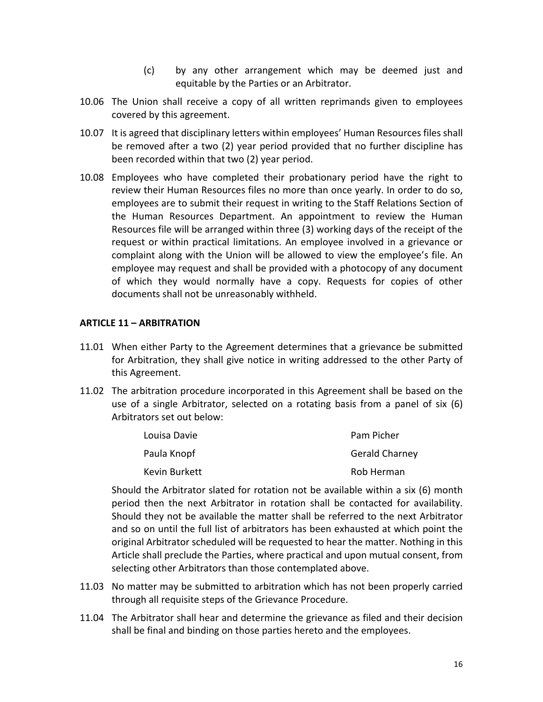- (c) by any other arrangement which may be deemed just and equitable by the Parties or an Arbitrator.
- 10.06 The Union shall receive a copy of all written reprimands given to employees covered by this agreement.
- 10.07 It is agreed that disciplinary letters within employees' Human Resources files shall be removed after a two (2) year period provided that no further discipline has been recorded within that two (2) year period.
- 10.08 Employees who have completed their probationary period have the right to review their Human Resources files no more than once yearly. In order to do so, employees are to submit their request in writing to the Staff Relations Section of the Human Resources Department. An appointment to review the Human Resources file will be arranged within three (3) working days of the receipt of the request or within practical limitations. An employee involved in a grievance or complaint along with the Union will be allowed to view the employee's file. An employee may request and shall be provided with a photocopy of any document of which they would normally have a copy. Requests for copies of other documents shall not be unreasonably withheld.

### <span id="page-16-0"></span>**ARTICLE 11 – ARBITRATION**

- 11.01 When either Party to the Agreement determines that a grievance be submitted for Arbitration, they shall give notice in writing addressed to the other Party of this Agreement.
- 11.02 The arbitration procedure incorporated in this Agreement shall be based on the use of a single Arbitrator, selected on a rotating basis from a panel of six (6) Arbitrators set out below:

| Louisa Davie  | Pam Picher            |
|---------------|-----------------------|
| Paula Knopf   | <b>Gerald Charney</b> |
| Kevin Burkett | Rob Herman            |

Should the Arbitrator slated for rotation not be available within a six (6) month period then the next Arbitrator in rotation shall be contacted for availability. Should they not be available the matter shall be referred to the next Arbitrator and so on until the full list of arbitrators has been exhausted at which point the original Arbitrator scheduled will be requested to hear the matter. Nothing in this Article shall preclude the Parties, where practical and upon mutual consent, from selecting other Arbitrators than those contemplated above.

- 11.03 No matter may be submitted to arbitration which has not been properly carried through all requisite steps of the Grievance Procedure.
- 11.04 The Arbitrator shall hear and determine the grievance as filed and their decision shall be final and binding on those parties hereto and the employees.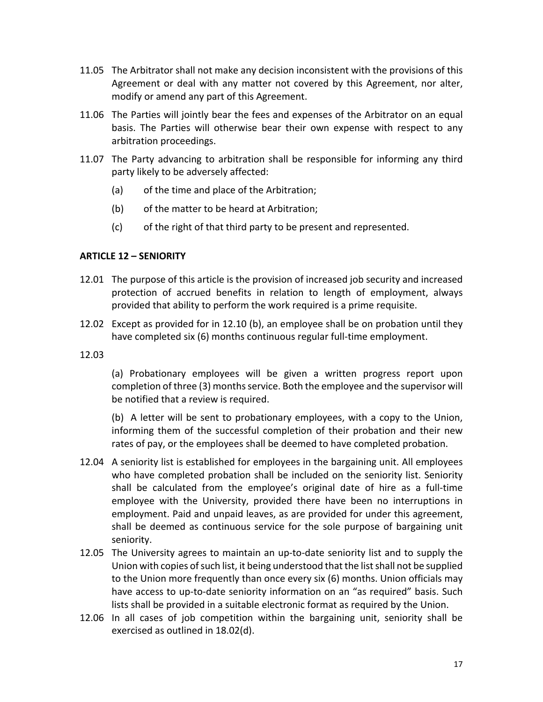- 11.05 The Arbitrator shall not make any decision inconsistent with the provisions of this Agreement or deal with any matter not covered by this Agreement, nor alter, modify or amend any part of this Agreement.
- 11.06 The Parties will jointly bear the fees and expenses of the Arbitrator on an equal basis. The Parties will otherwise bear their own expense with respect to any arbitration proceedings.
- 11.07 The Party advancing to arbitration shall be responsible for informing any third party likely to be adversely affected:
	- (a) of the time and place of the Arbitration;
	- (b) of the matter to be heard at Arbitration;
	- (c) of the right of that third party to be present and represented.

### <span id="page-17-0"></span>**ARTICLE 12 – SENIORITY**

- 12.01 The purpose of this article is the provision of increased job security and increased protection of accrued benefits in relation to length of employment, always provided that ability to perform the work required is a prime requisite.
- 12.02 Except as provided for in 12.10 (b), an employee shall be on probation until they have completed six (6) months continuous regular full-time employment.
- 12.03

(a) Probationary employees will be given a written progress report upon completion of three (3) months service. Both the employee and the supervisor will be notified that a review is required.

(b) A letter will be sent to probationary employees, with a copy to the Union, informing them of the successful completion of their probation and their new rates of pay, or the employees shall be deemed to have completed probation.

- 12.04 A seniority list is established for employees in the bargaining unit. All employees who have completed probation shall be included on the seniority list. Seniority shall be calculated from the employee's original date of hire as a full-time employee with the University, provided there have been no interruptions in employment. Paid and unpaid leaves, as are provided for under this agreement, shall be deemed as continuous service for the sole purpose of bargaining unit seniority.
- 12.05 The University agrees to maintain an up-to-date seniority list and to supply the Union with copies of such list, it being understood that the list shall not be supplied to the Union more frequently than once every six (6) months. Union officials may have access to up-to-date seniority information on an "as required" basis. Such lists shall be provided in a suitable electronic format as required by the Union.
- 12.06 In all cases of job competition within the bargaining unit, seniority shall be exercised as outlined in 18.02(d).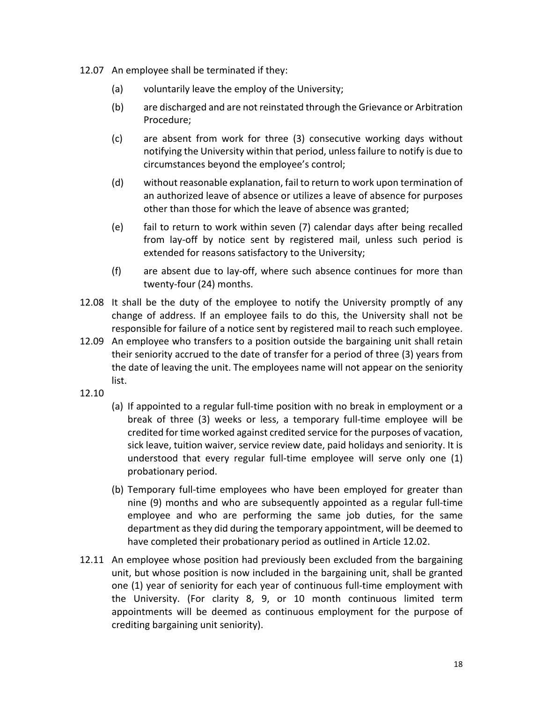- 12.07 An employee shall be terminated if they:
	- (a) voluntarily leave the employ of the University;
	- (b) are discharged and are not reinstated through the Grievance or Arbitration Procedure;
	- (c) are absent from work for three (3) consecutive working days without notifying the University within that period, unless failure to notify is due to circumstances beyond the employee's control;
	- (d) without reasonable explanation, fail to return to work upon termination of an authorized leave of absence or utilizes a leave of absence for purposes other than those for which the leave of absence was granted;
	- (e) fail to return to work within seven (7) calendar days after being recalled from lay-off by notice sent by registered mail, unless such period is extended for reasons satisfactory to the University;
	- (f) are absent due to lay-off, where such absence continues for more than twenty-four (24) months.
- 12.08 It shall be the duty of the employee to notify the University promptly of any change of address. If an employee fails to do this, the University shall not be responsible for failure of a notice sent by registered mail to reach such employee.
- 12.09 An employee who transfers to a position outside the bargaining unit shall retain their seniority accrued to the date of transfer for a period of three (3) years from the date of leaving the unit. The employees name will not appear on the seniority list.
- 12.10
- (a) If appointed to a regular full-time position with no break in employment or a break of three (3) weeks or less, a temporary full-time employee will be credited for time worked against credited service for the purposes of vacation, sick leave, tuition waiver, service review date, paid holidays and seniority. It is understood that every regular full-time employee will serve only one (1) probationary period.
- (b) Temporary full-time employees who have been employed for greater than nine (9) months and who are subsequently appointed as a regular full-time employee and who are performing the same job duties, for the same department as they did during the temporary appointment, will be deemed to have completed their probationary period as outlined in Article 12.02.
- 12.11 An employee whose position had previously been excluded from the bargaining unit, but whose position is now included in the bargaining unit, shall be granted one (1) year of seniority for each year of continuous full-time employment with the University. (For clarity 8, 9, or 10 month continuous limited term appointments will be deemed as continuous employment for the purpose of crediting bargaining unit seniority).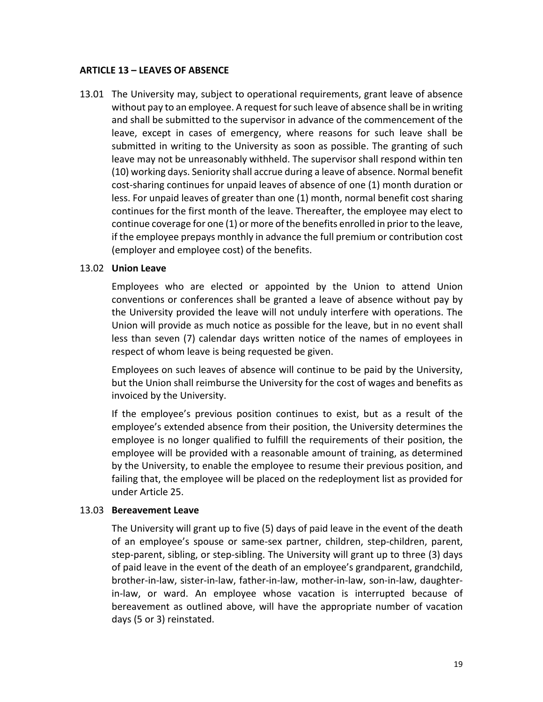### <span id="page-19-0"></span>**ARTICLE 13 – LEAVES OF ABSENCE**

13.01 The University may, subject to operational requirements, grant leave of absence without pay to an employee. A request for such leave of absence shall be in writing and shall be submitted to the supervisor in advance of the commencement of the leave, except in cases of emergency, where reasons for such leave shall be submitted in writing to the University as soon as possible. The granting of such leave may not be unreasonably withheld. The supervisor shall respond within ten (10) working days. Seniority shall accrue during a leave of absence. Normal benefit cost-sharing continues for unpaid leaves of absence of one (1) month duration or less. For unpaid leaves of greater than one (1) month, normal benefit cost sharing continues for the first month of the leave. Thereafter, the employee may elect to continue coverage for one (1) or more of the benefits enrolled in prior to the leave, if the employee prepays monthly in advance the full premium or contribution cost (employer and employee cost) of the benefits.

### 13.02 **Union Leave**

Employees who are elected or appointed by the Union to attend Union conventions or conferences shall be granted a leave of absence without pay by the University provided the leave will not unduly interfere with operations. The Union will provide as much notice as possible for the leave, but in no event shall less than seven (7) calendar days written notice of the names of employees in respect of whom leave is being requested be given.

Employees on such leaves of absence will continue to be paid by the University, but the Union shall reimburse the University for the cost of wages and benefits as invoiced by the University.

If the employee's previous position continues to exist, but as a result of the employee's extended absence from their position, the University determines the employee is no longer qualified to fulfill the requirements of their position, the employee will be provided with a reasonable amount of training, as determined by the University, to enable the employee to resume their previous position, and failing that, the employee will be placed on the redeployment list as provided for under Article 25.

#### 13.03 **Bereavement Leave**

The University will grant up to five (5) days of paid leave in the event of the death of an employee's spouse or same-sex partner, children, step-children, parent, step-parent, sibling, or step-sibling. The University will grant up to three (3) days of paid leave in the event of the death of an employee's grandparent, grandchild, brother-in-law, sister-in-law, father-in-law, mother-in-law, son-in-law, daughterin-law, or ward. An employee whose vacation is interrupted because of bereavement as outlined above, will have the appropriate number of vacation days (5 or 3) reinstated.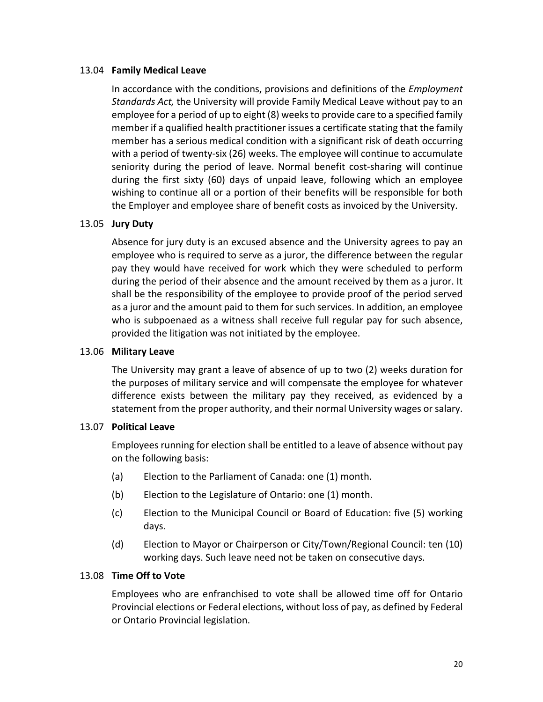#### 13.04 **Family Medical Leave**

In accordance with the conditions, provisions and definitions of the *Employment Standards Act,* the University will provide Family Medical Leave without pay to an employee for a period of up to eight (8) weeks to provide care to a specified family member if a qualified health practitioner issues a certificate stating that the family member has a serious medical condition with a significant risk of death occurring with a period of twenty-six (26) weeks. The employee will continue to accumulate seniority during the period of leave. Normal benefit cost-sharing will continue during the first sixty (60) days of unpaid leave, following which an employee wishing to continue all or a portion of their benefits will be responsible for both the Employer and employee share of benefit costs as invoiced by the University.

### 13.05 **Jury Duty**

Absence for jury duty is an excused absence and the University agrees to pay an employee who is required to serve as a juror, the difference between the regular pay they would have received for work which they were scheduled to perform during the period of their absence and the amount received by them as a juror. It shall be the responsibility of the employee to provide proof of the period served as a juror and the amount paid to them for such services. In addition, an employee who is subpoenaed as a witness shall receive full regular pay for such absence, provided the litigation was not initiated by the employee.

#### 13.06 **Military Leave**

The University may grant a leave of absence of up to two (2) weeks duration for the purposes of military service and will compensate the employee for whatever difference exists between the military pay they received, as evidenced by a statement from the proper authority, and their normal University wages or salary.

#### 13.07 **Political Leave**

Employees running for election shall be entitled to a leave of absence without pay on the following basis:

- (a) Election to the Parliament of Canada: one (1) month.
- (b) Election to the Legislature of Ontario: one (1) month.
- (c) Election to the Municipal Council or Board of Education: five (5) working days.
- (d) Election to Mayor or Chairperson or City/Town/Regional Council: ten (10) working days. Such leave need not be taken on consecutive days.

#### 13.08 **Time Off to Vote**

Employees who are enfranchised to vote shall be allowed time off for Ontario Provincial elections or Federal elections, without loss of pay, as defined by Federal or Ontario Provincial legislation.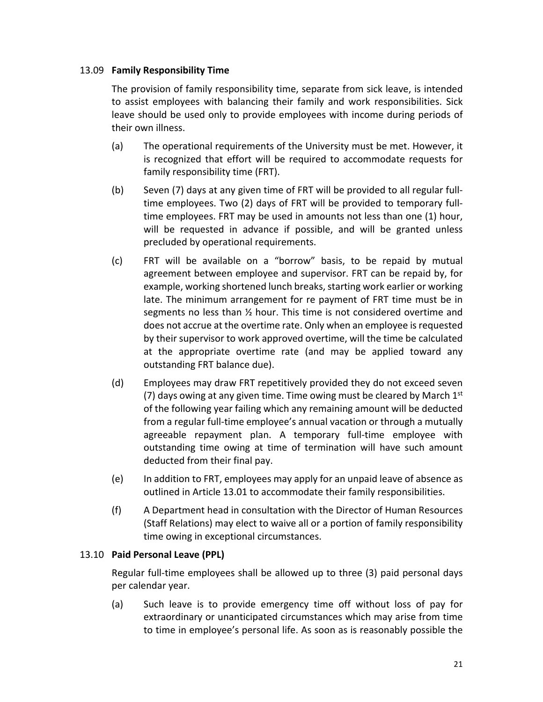### 13.09 **Family Responsibility Time**

The provision of family responsibility time, separate from sick leave, is intended to assist employees with balancing their family and work responsibilities. Sick leave should be used only to provide employees with income during periods of their own illness.

- (a) The operational requirements of the University must be met. However, it is recognized that effort will be required to accommodate requests for family responsibility time (FRT).
- (b) Seven (7) days at any given time of FRT will be provided to all regular fulltime employees. Two (2) days of FRT will be provided to temporary fulltime employees. FRT may be used in amounts not less than one (1) hour, will be requested in advance if possible, and will be granted unless precluded by operational requirements.
- (c) FRT will be available on a "borrow" basis, to be repaid by mutual agreement between employee and supervisor. FRT can be repaid by, for example, working shortened lunch breaks, starting work earlier or working late. The minimum arrangement for re payment of FRT time must be in segments no less than ½ hour. This time is not considered overtime and does not accrue at the overtime rate. Only when an employee is requested by their supervisor to work approved overtime, will the time be calculated at the appropriate overtime rate (and may be applied toward any outstanding FRT balance due).
- (d) Employees may draw FRT repetitively provided they do not exceed seven (7) days owing at any given time. Time owing must be cleared by March  $1<sup>st</sup>$ of the following year failing which any remaining amount will be deducted from a regular full-time employee's annual vacation or through a mutually agreeable repayment plan. A temporary full-time employee with outstanding time owing at time of termination will have such amount deducted from their final pay.
- (e) In addition to FRT, employees may apply for an unpaid leave of absence as outlined in Article 13.01 to accommodate their family responsibilities.
- (f) A Department head in consultation with the Director of Human Resources (Staff Relations) may elect to waive all or a portion of family responsibility time owing in exceptional circumstances.

### 13.10 **Paid Personal Leave (PPL)**

Regular full-time employees shall be allowed up to three (3) paid personal days per calendar year.

(a) Such leave is to provide emergency time off without loss of pay for extraordinary or unanticipated circumstances which may arise from time to time in employee's personal life. As soon as is reasonably possible the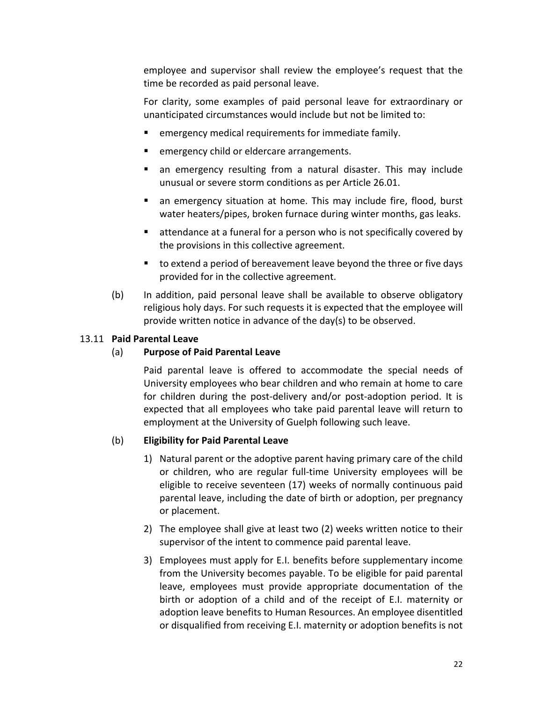employee and supervisor shall review the employee's request that the time be recorded as paid personal leave.

For clarity, some examples of paid personal leave for extraordinary or unanticipated circumstances would include but not be limited to:

- emergency medical requirements for immediate family.
- emergency child or eldercare arrangements.
- an emergency resulting from a natural disaster. This may include unusual or severe storm conditions as per Article 26.01.
- an emergency situation at home. This may include fire, flood, burst water heaters/pipes, broken furnace during winter months, gas leaks.
- **E** attendance at a funeral for a person who is not specifically covered by the provisions in this collective agreement.
- to extend a period of bereavement leave beyond the three or five days provided for in the collective agreement.
- (b) In addition, paid personal leave shall be available to observe obligatory religious holy days. For such requests it is expected that the employee will provide written notice in advance of the day(s) to be observed.

### 13.11 **Paid Parental Leave**

### (a) **Purpose of Paid Parental Leave**

Paid parental leave is offered to accommodate the special needs of University employees who bear children and who remain at home to care for children during the post-delivery and/or post-adoption period. It is expected that all employees who take paid parental leave will return to employment at the University of Guelph following such leave.

### (b) **Eligibility for Paid Parental Leave**

- 1) Natural parent or the adoptive parent having primary care of the child or children, who are regular full-time University employees will be eligible to receive seventeen (17) weeks of normally continuous paid parental leave, including the date of birth or adoption, per pregnancy or placement.
- 2) The employee shall give at least two (2) weeks written notice to their supervisor of the intent to commence paid parental leave.
- 3) Employees must apply for E.I. benefits before supplementary income from the University becomes payable. To be eligible for paid parental leave, employees must provide appropriate documentation of the birth or adoption of a child and of the receipt of E.I. maternity or adoption leave benefits to Human Resources. An employee disentitled or disqualified from receiving E.I. maternity or adoption benefits is not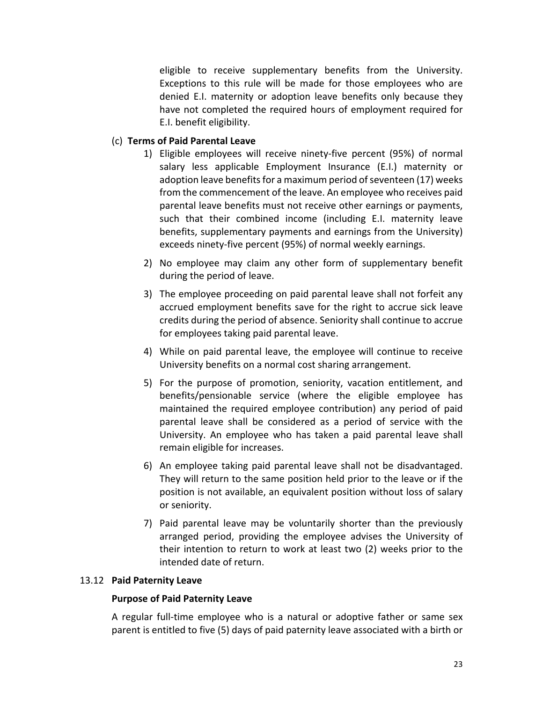eligible to receive supplementary benefits from the University. Exceptions to this rule will be made for those employees who are denied E.I. maternity or adoption leave benefits only because they have not completed the required hours of employment required for E.I. benefit eligibility.

### (c) **Terms of Paid Parental Leave**

- 1) Eligible employees will receive ninety-five percent (95%) of normal salary less applicable Employment Insurance (E.I.) maternity or adoption leave benefits for a maximum period of seventeen (17) weeks from the commencement of the leave. An employee who receives paid parental leave benefits must not receive other earnings or payments, such that their combined income (including E.I. maternity leave benefits, supplementary payments and earnings from the University) exceeds ninety-five percent (95%) of normal weekly earnings.
- 2) No employee may claim any other form of supplementary benefit during the period of leave.
- 3) The employee proceeding on paid parental leave shall not forfeit any accrued employment benefits save for the right to accrue sick leave credits during the period of absence. Seniority shall continue to accrue for employees taking paid parental leave.
- 4) While on paid parental leave, the employee will continue to receive University benefits on a normal cost sharing arrangement.
- 5) For the purpose of promotion, seniority, vacation entitlement, and benefits/pensionable service (where the eligible employee has maintained the required employee contribution) any period of paid parental leave shall be considered as a period of service with the University. An employee who has taken a paid parental leave shall remain eligible for increases.
- 6) An employee taking paid parental leave shall not be disadvantaged. They will return to the same position held prior to the leave or if the position is not available, an equivalent position without loss of salary or seniority.
- 7) Paid parental leave may be voluntarily shorter than the previously arranged period, providing the employee advises the University of their intention to return to work at least two (2) weeks prior to the intended date of return.

### 13.12 **Paid Paternity Leave**

### **Purpose of Paid Paternity Leave**

A regular full-time employee who is a natural or adoptive father or same sex parent is entitled to five (5) days of paid paternity leave associated with a birth or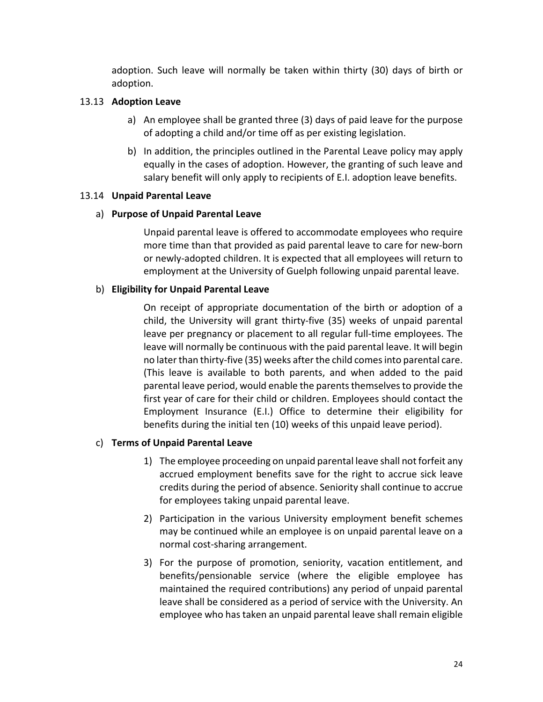adoption. Such leave will normally be taken within thirty (30) days of birth or adoption.

### 13.13 **Adoption Leave**

- a) An employee shall be granted three (3) days of paid leave for the purpose of adopting a child and/or time off as per existing legislation.
- b) In addition, the principles outlined in the Parental Leave policy may apply equally in the cases of adoption. However, the granting of such leave and salary benefit will only apply to recipients of E.I. adoption leave benefits.

### 13.14 **Unpaid Parental Leave**

### a) **Purpose of Unpaid Parental Leave**

Unpaid parental leave is offered to accommodate employees who require more time than that provided as paid parental leave to care for new-born or newly-adopted children. It is expected that all employees will return to employment at the University of Guelph following unpaid parental leave.

### b) **Eligibility for Unpaid Parental Leave**

On receipt of appropriate documentation of the birth or adoption of a child, the University will grant thirty-five (35) weeks of unpaid parental leave per pregnancy or placement to all regular full-time employees. The leave will normally be continuous with the paid parental leave. It will begin no later than thirty-five (35) weeks after the child comes into parental care. (This leave is available to both parents, and when added to the paid parental leave period, would enable the parents themselves to provide the first year of care for their child or children. Employees should contact the Employment Insurance (E.I.) Office to determine their eligibility for benefits during the initial ten (10) weeks of this unpaid leave period).

### c) **Terms of Unpaid Parental Leave**

- 1) The employee proceeding on unpaid parental leave shall not forfeit any accrued employment benefits save for the right to accrue sick leave credits during the period of absence. Seniority shall continue to accrue for employees taking unpaid parental leave.
- 2) Participation in the various University employment benefit schemes may be continued while an employee is on unpaid parental leave on a normal cost-sharing arrangement.
- 3) For the purpose of promotion, seniority, vacation entitlement, and benefits/pensionable service (where the eligible employee has maintained the required contributions) any period of unpaid parental leave shall be considered as a period of service with the University. An employee who has taken an unpaid parental leave shall remain eligible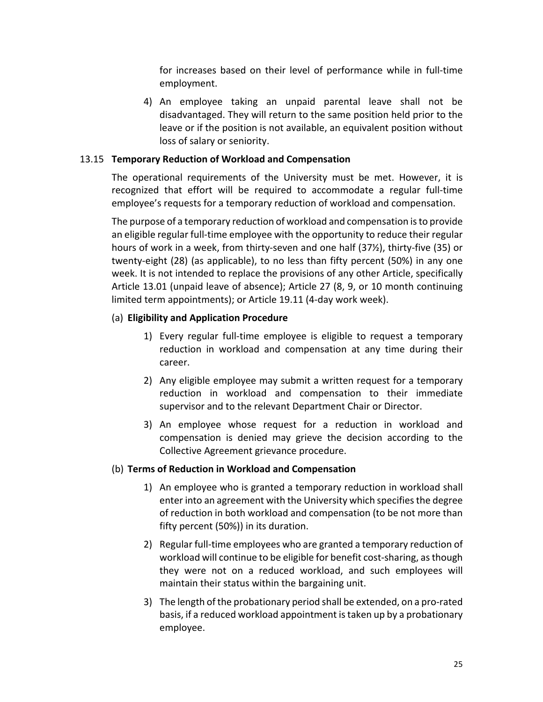for increases based on their level of performance while in full-time employment.

4) An employee taking an unpaid parental leave shall not be disadvantaged. They will return to the same position held prior to the leave or if the position is not available, an equivalent position without loss of salary or seniority.

### 13.15 **Temporary Reduction of Workload and Compensation**

The operational requirements of the University must be met. However, it is recognized that effort will be required to accommodate a regular full-time employee's requests for a temporary reduction of workload and compensation.

The purpose of a temporary reduction of workload and compensation is to provide an eligible regular full-time employee with the opportunity to reduce their regular hours of work in a week, from thirty-seven and one half (37½), thirty-five (35) or twenty-eight (28) (as applicable), to no less than fifty percent (50%) in any one week. It is not intended to replace the provisions of any other Article, specifically Article 13.01 (unpaid leave of absence); Article 27 (8, 9, or 10 month continuing limited term appointments); or Article 19.11 (4-day work week).

### (a) **Eligibility and Application Procedure**

- 1) Every regular full-time employee is eligible to request a temporary reduction in workload and compensation at any time during their career.
- 2) Any eligible employee may submit a written request for a temporary reduction in workload and compensation to their immediate supervisor and to the relevant Department Chair or Director.
- 3) An employee whose request for a reduction in workload and compensation is denied may grieve the decision according to the Collective Agreement grievance procedure.

### (b) **Terms of Reduction in Workload and Compensation**

- 1) An employee who is granted a temporary reduction in workload shall enter into an agreement with the University which specifies the degree of reduction in both workload and compensation (to be not more than fifty percent (50%)) in its duration.
- 2) Regular full-time employees who are granted a temporary reduction of workload will continue to be eligible for benefit cost-sharing, as though they were not on a reduced workload, and such employees will maintain their status within the bargaining unit.
- 3) The length of the probationary period shall be extended, on a pro-rated basis, if a reduced workload appointment is taken up by a probationary employee.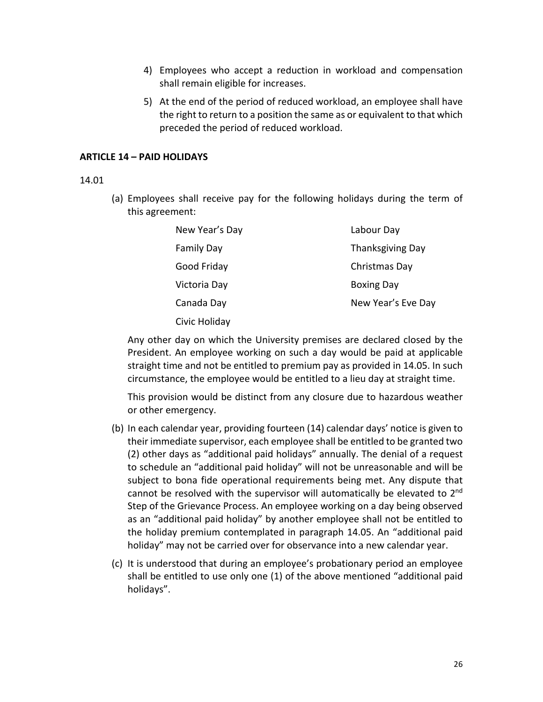- 4) Employees who accept a reduction in workload and compensation shall remain eligible for increases.
- 5) At the end of the period of reduced workload, an employee shall have the right to return to a position the same as or equivalent to that which preceded the period of reduced workload.

#### <span id="page-26-0"></span>**ARTICLE 14 – PAID HOLIDAYS**

#### 14.01

(a) Employees shall receive pay for the following holidays during the term of this agreement:

| New Year's Day    | Labour Day              |
|-------------------|-------------------------|
| <b>Family Day</b> | <b>Thanksgiving Day</b> |
| Good Friday       | Christmas Day           |
| Victoria Day      | <b>Boxing Day</b>       |
| Canada Day        | New Year's Eve Day      |
| Civic Holiday     |                         |

Any other day on which the University premises are declared closed by the President. An employee working on such a day would be paid at applicable straight time and not be entitled to premium pay as provided in 14.05. In such circumstance, the employee would be entitled to a lieu day at straight time.

This provision would be distinct from any closure due to hazardous weather or other emergency.

- (b) In each calendar year, providing fourteen (14) calendar days' notice is given to their immediate supervisor, each employee shall be entitled to be granted two (2) other days as "additional paid holidays" annually. The denial of a request to schedule an "additional paid holiday" will not be unreasonable and will be subject to bona fide operational requirements being met. Any dispute that cannot be resolved with the supervisor will automatically be elevated to 2<sup>nd</sup> Step of the Grievance Process. An employee working on a day being observed as an "additional paid holiday" by another employee shall not be entitled to the holiday premium contemplated in paragraph 14.05. An "additional paid holiday" may not be carried over for observance into a new calendar year.
- (c) It is understood that during an employee's probationary period an employee shall be entitled to use only one (1) of the above mentioned "additional paid holidays".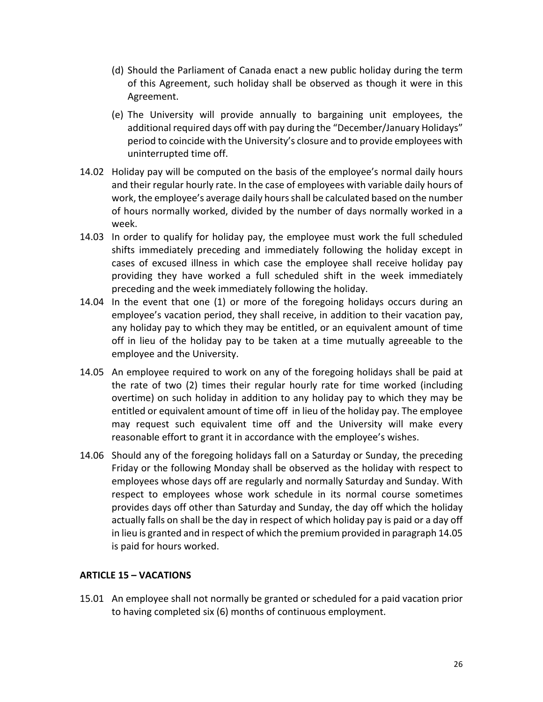- (d) Should the Parliament of Canada enact a new public holiday during the term of this Agreement, such holiday shall be observed as though it were in this Agreement.
- (e) The University will provide annually to bargaining unit employees, the additional required days off with pay during the "December/January Holidays" period to coincide with the University's closure and to provide employees with uninterrupted time off.
- 14.02 Holiday pay will be computed on the basis of the employee's normal daily hours and their regular hourly rate. In the case of employees with variable daily hours of work, the employee's average daily hours shall be calculated based on the number of hours normally worked, divided by the number of days normally worked in a week.
- 14.03 In order to qualify for holiday pay, the employee must work the full scheduled shifts immediately preceding and immediately following the holiday except in cases of excused illness in which case the employee shall receive holiday pay providing they have worked a full scheduled shift in the week immediately preceding and the week immediately following the holiday.
- 14.04 In the event that one (1) or more of the foregoing holidays occurs during an employee's vacation period, they shall receive, in addition to their vacation pay, any holiday pay to which they may be entitled, or an equivalent amount of time off in lieu of the holiday pay to be taken at a time mutually agreeable to the employee and the University.
- 14.05 An employee required to work on any of the foregoing holidays shall be paid at the rate of two (2) times their regular hourly rate for time worked (including overtime) on such holiday in addition to any holiday pay to which they may be entitled or equivalent amount of time off in lieu of the holiday pay. The employee may request such equivalent time off and the University will make every reasonable effort to grant it in accordance with the employee's wishes.
- 14.06 Should any of the foregoing holidays fall on a Saturday or Sunday, the preceding Friday or the following Monday shall be observed as the holiday with respect to employees whose days off are regularly and normally Saturday and Sunday. With respect to employees whose work schedule in its normal course sometimes provides days off other than Saturday and Sunday, the day off which the holiday actually falls on shall be the day in respect of which holiday pay is paid or a day off in lieu is granted and in respect of which the premium provided in paragraph 14.05 is paid for hours worked.

### <span id="page-27-0"></span>**ARTICLE 15 – VACATIONS**

15.01 An employee shall not normally be granted or scheduled for a paid vacation prior to having completed six (6) months of continuous employment.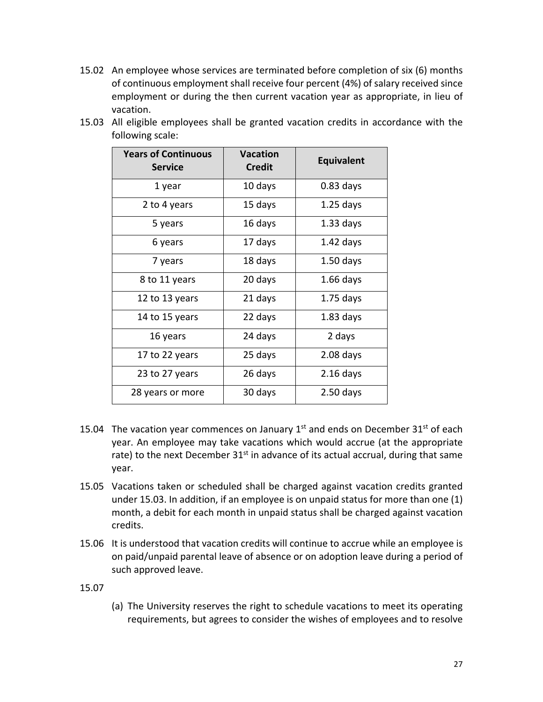15.02 An employee whose services are terminated before completion of six (6) months of continuous employment shall receive four percent (4%) of salary received since employment or during the then current vacation year as appropriate, in lieu of vacation.

| <b>Years of Continuous</b><br><b>Service</b> | <b>Vacation</b><br><b>Credit</b> | <b>Equivalent</b> |
|----------------------------------------------|----------------------------------|-------------------|
| 1 year                                       | 10 days                          | $0.83$ days       |
| 2 to 4 years                                 | 15 days                          | $1.25$ days       |
| 5 years                                      | 16 days                          | $1.33$ days       |
| 6 years                                      | 17 days                          | $1.42$ days       |
| 7 years                                      | 18 days                          | $1.50$ days       |
| 8 to 11 years                                | 20 days                          | $1.66$ days       |
| 12 to 13 years                               | 21 days                          | $1.75$ days       |
| 14 to 15 years                               | 22 days                          | $1.83$ days       |
| 16 years                                     | 24 days                          | 2 days            |
| 17 to 22 years                               | 25 days                          | $2.08$ days       |
| 23 to 27 years                               | 26 days                          | $2.16$ days       |
| 28 years or more                             | 30 days                          | $2.50$ days       |

15.03 All eligible employees shall be granted vacation credits in accordance with the following scale:

- 15.04 The vacation year commences on January  $1<sup>st</sup>$  and ends on December  $31<sup>st</sup>$  of each year. An employee may take vacations which would accrue (at the appropriate rate) to the next December  $31<sup>st</sup>$  in advance of its actual accrual, during that same year.
- 15.05 Vacations taken or scheduled shall be charged against vacation credits granted under 15.03. In addition, if an employee is on unpaid status for more than one (1) month, a debit for each month in unpaid status shall be charged against vacation credits.
- 15.06 It is understood that vacation credits will continue to accrue while an employee is on paid/unpaid parental leave of absence or on adoption leave during a period of such approved leave.

15.07

(a) The University reserves the right to schedule vacations to meet its operating requirements, but agrees to consider the wishes of employees and to resolve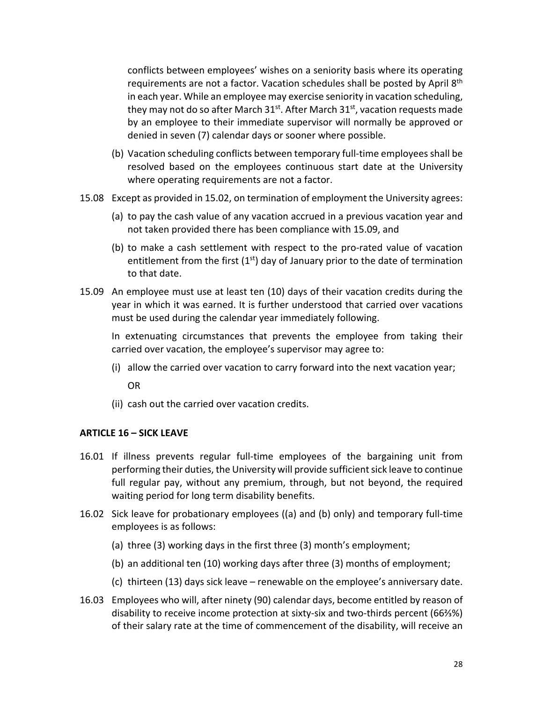conflicts between employees' wishes on a seniority basis where its operating requirements are not a factor. Vacation schedules shall be posted by April 8<sup>th</sup> in each year. While an employee may exercise seniority in vacation scheduling, they may not do so after March  $31<sup>st</sup>$ . After March  $31<sup>st</sup>$ , vacation requests made by an employee to their immediate supervisor will normally be approved or denied in seven (7) calendar days or sooner where possible.

- (b) Vacation scheduling conflicts between temporary full-time employees shall be resolved based on the employees continuous start date at the University where operating requirements are not a factor.
- 15.08 Except as provided in 15.02, on termination of employment the University agrees:
	- (a) to pay the cash value of any vacation accrued in a previous vacation year and not taken provided there has been compliance with 15.09, and
	- (b) to make a cash settlement with respect to the pro-rated value of vacation entitlement from the first  $(1<sup>st</sup>)$  day of January prior to the date of termination to that date.
- 15.09 An employee must use at least ten (10) days of their vacation credits during the year in which it was earned. It is further understood that carried over vacations must be used during the calendar year immediately following.

In extenuating circumstances that prevents the employee from taking their carried over vacation, the employee's supervisor may agree to:

- (i) allow the carried over vacation to carry forward into the next vacation year; OR
- (ii) cash out the carried over vacation credits.

### <span id="page-29-0"></span>**ARTICLE 16 – SICK LEAVE**

- 16.01 If illness prevents regular full-time employees of the bargaining unit from performing their duties, the University will provide sufficient sick leave to continue full regular pay, without any premium, through, but not beyond, the required waiting period for long term disability benefits.
- 16.02 Sick leave for probationary employees ((a) and (b) only) and temporary full-time employees is as follows:
	- (a) three (3) working days in the first three (3) month's employment;
	- (b) an additional ten (10) working days after three (3) months of employment;
	- (c) thirteen (13) days sick leave renewable on the employee's anniversary date.
- 16.03 Employees who will, after ninety (90) calendar days, become entitled by reason of disability to receive income protection at sixty-six and two-thirds percent (66⅔%) of their salary rate at the time of commencement of the disability, will receive an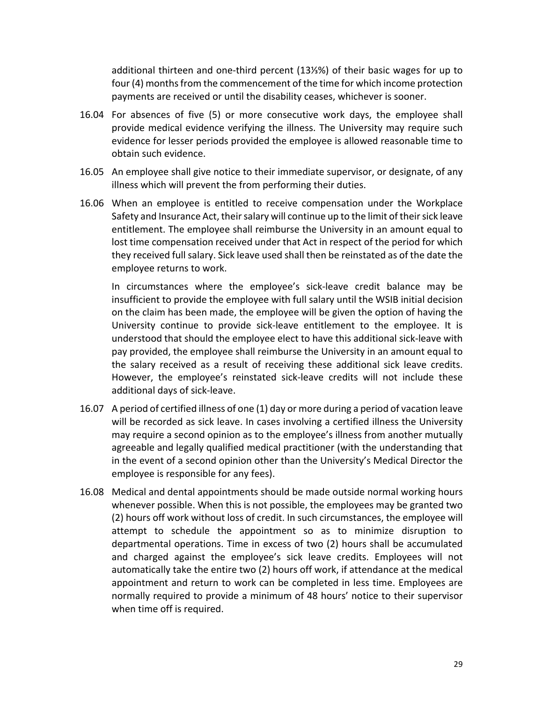additional thirteen and one-third percent (13⅓%) of their basic wages for up to four (4) months from the commencement of the time for which income protection payments are received or until the disability ceases, whichever is sooner.

- 16.04 For absences of five (5) or more consecutive work days, the employee shall provide medical evidence verifying the illness. The University may require such evidence for lesser periods provided the employee is allowed reasonable time to obtain such evidence.
- 16.05 An employee shall give notice to their immediate supervisor, or designate, of any illness which will prevent the from performing their duties.
- 16.06 When an employee is entitled to receive compensation under the Workplace Safety and Insurance Act, their salary will continue up to the limit of their sick leave entitlement. The employee shall reimburse the University in an amount equal to lost time compensation received under that Act in respect of the period for which they received full salary. Sick leave used shall then be reinstated as of the date the employee returns to work.

In circumstances where the employee's sick-leave credit balance may be insufficient to provide the employee with full salary until the WSIB initial decision on the claim has been made, the employee will be given the option of having the University continue to provide sick-leave entitlement to the employee. It is understood that should the employee elect to have this additional sick-leave with pay provided, the employee shall reimburse the University in an amount equal to the salary received as a result of receiving these additional sick leave credits. However, the employee's reinstated sick-leave credits will not include these additional days of sick-leave.

- 16.07 A period of certified illness of one (1) day or more during a period of vacation leave will be recorded as sick leave. In cases involving a certified illness the University may require a second opinion as to the employee's illness from another mutually agreeable and legally qualified medical practitioner (with the understanding that in the event of a second opinion other than the University's Medical Director the employee is responsible for any fees).
- 16.08 Medical and dental appointments should be made outside normal working hours whenever possible. When this is not possible, the employees may be granted two (2) hours off work without loss of credit. In such circumstances, the employee will attempt to schedule the appointment so as to minimize disruption to departmental operations. Time in excess of two (2) hours shall be accumulated and charged against the employee's sick leave credits. Employees will not automatically take the entire two (2) hours off work, if attendance at the medical appointment and return to work can be completed in less time. Employees are normally required to provide a minimum of 48 hours' notice to their supervisor when time off is required.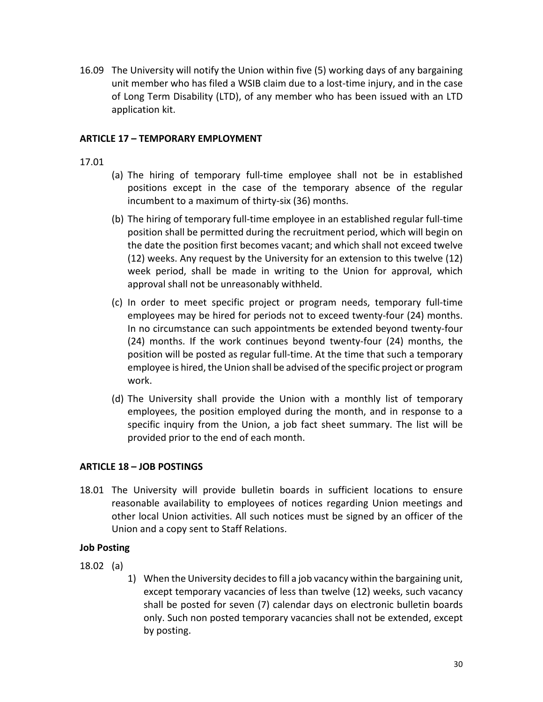16.09 The University will notify the Union within five (5) working days of any bargaining unit member who has filed a WSIB claim due to a lost-time injury, and in the case of Long Term Disability (LTD), of any member who has been issued with an LTD application kit.

### <span id="page-31-0"></span>**ARTICLE 17 – TEMPORARY EMPLOYMENT**

### 17.01

- (a) The hiring of temporary full-time employee shall not be in established positions except in the case of the temporary absence of the regular incumbent to a maximum of thirty-six (36) months.
- (b) The hiring of temporary full-time employee in an established regular full-time position shall be permitted during the recruitment period, which will begin on the date the position first becomes vacant; and which shall not exceed twelve (12) weeks. Any request by the University for an extension to this twelve (12) week period, shall be made in writing to the Union for approval, which approval shall not be unreasonably withheld.
- (c) In order to meet specific project or program needs, temporary full-time employees may be hired for periods not to exceed twenty-four (24) months. In no circumstance can such appointments be extended beyond twenty-four (24) months. If the work continues beyond twenty-four (24) months, the position will be posted as regular full-time. At the time that such a temporary employee is hired, the Union shall be advised of the specific project or program work.
- (d) The University shall provide the Union with a monthly list of temporary employees, the position employed during the month, and in response to a specific inquiry from the Union, a job fact sheet summary. The list will be provided prior to the end of each month.

### <span id="page-31-1"></span>**ARTICLE 18 – JOB POSTINGS**

18.01 The University will provide bulletin boards in sufficient locations to ensure reasonable availability to employees of notices regarding Union meetings and other local Union activities. All such notices must be signed by an officer of the Union and a copy sent to Staff Relations.

### **Job Posting**

- 18.02 (a)
	- 1) When the University decides to fill a job vacancy within the bargaining unit, except temporary vacancies of less than twelve (12) weeks, such vacancy shall be posted for seven (7) calendar days on electronic bulletin boards only. Such non posted temporary vacancies shall not be extended, except by posting.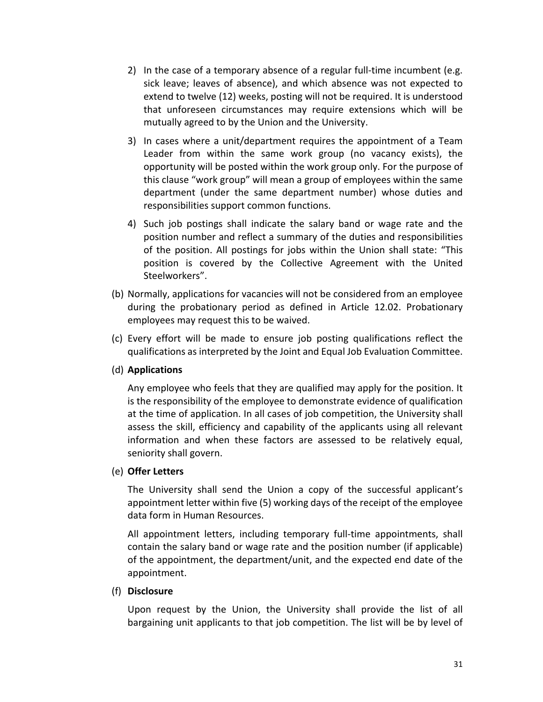- 2) In the case of a temporary absence of a regular full-time incumbent (e.g. sick leave; leaves of absence), and which absence was not expected to extend to twelve (12) weeks, posting will not be required. It is understood that unforeseen circumstances may require extensions which will be mutually agreed to by the Union and the University.
- 3) In cases where a unit/department requires the appointment of a Team Leader from within the same work group (no vacancy exists), the opportunity will be posted within the work group only. For the purpose of this clause "work group" will mean a group of employees within the same department (under the same department number) whose duties and responsibilities support common functions.
- 4) Such job postings shall indicate the salary band or wage rate and the position number and reflect a summary of the duties and responsibilities of the position. All postings for jobs within the Union shall state: "This position is covered by the Collective Agreement with the United Steelworkers".
- (b) Normally, applications for vacancies will not be considered from an employee during the probationary period as defined in Article 12.02. Probationary employees may request this to be waived.
- (c) Every effort will be made to ensure job posting qualifications reflect the qualifications as interpreted by the Joint and Equal Job Evaluation Committee.

### (d) **Applications**

Any employee who feels that they are qualified may apply for the position. It is the responsibility of the employee to demonstrate evidence of qualification at the time of application. In all cases of job competition, the University shall assess the skill, efficiency and capability of the applicants using all relevant information and when these factors are assessed to be relatively equal, seniority shall govern.

### (e) **Offer Letters**

The University shall send the Union a copy of the successful applicant's appointment letter within five (5) working days of the receipt of the employee data form in Human Resources.

All appointment letters, including temporary full-time appointments, shall contain the salary band or wage rate and the position number (if applicable) of the appointment, the department/unit, and the expected end date of the appointment.

### (f) **Disclosure**

Upon request by the Union, the University shall provide the list of all bargaining unit applicants to that job competition. The list will be by level of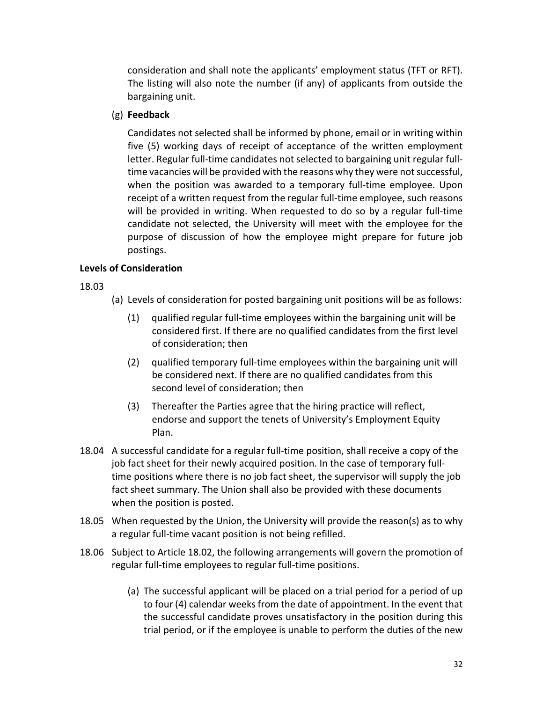consideration and shall note the applicants' employment status (TFT or RFT). The listing will also note the number (if any) of applicants from outside the bargaining unit.

## (g) **Feedback**

Candidates not selected shall be informed by phone, email or in writing within five (5) working days of receipt of acceptance of the written employment letter. Regular full-time candidates not selected to bargaining unit regular fulltime vacancies will be provided with the reasons why they were not successful, when the position was awarded to a temporary full-time employee. Upon receipt of a written request from the regular full-time employee, such reasons will be provided in writing. When requested to do so by a regular full-time candidate not selected, the University will meet with the employee for the purpose of discussion of how the employee might prepare for future job postings.

# **Levels of Consideration**

18.03

- (a) Levels of consideration for posted bargaining unit positions will be as follows:
	- (1) qualified regular full-time employees within the bargaining unit will be considered first. If there are no qualified candidates from the first level of consideration; then
	- (2) qualified temporary full-time employees within the bargaining unit will be considered next. If there are no qualified candidates from this second level of consideration; then
	- (3) Thereafter the Parties agree that the hiring practice will reflect, endorse and support the tenets of University's Employment Equity Plan.
- 18.04 A successful candidate for a regular full-time position, shall receive a copy of the job fact sheet for their newly acquired position. In the case of temporary fulltime positions where there is no job fact sheet, the supervisor will supply the job fact sheet summary. The Union shall also be provided with these documents when the position is posted.
- 18.05 When requested by the Union, the University will provide the reason(s) as to why a regular full-time vacant position is not being refilled.
- 18.06 Subject to Article 18.02, the following arrangements will govern the promotion of regular full-time employees to regular full-time positions.
	- (a) The successful applicant will be placed on a trial period for a period of up to four (4) calendar weeks from the date of appointment. In the event that the successful candidate proves unsatisfactory in the position during this trial period, or if the employee is unable to perform the duties of the new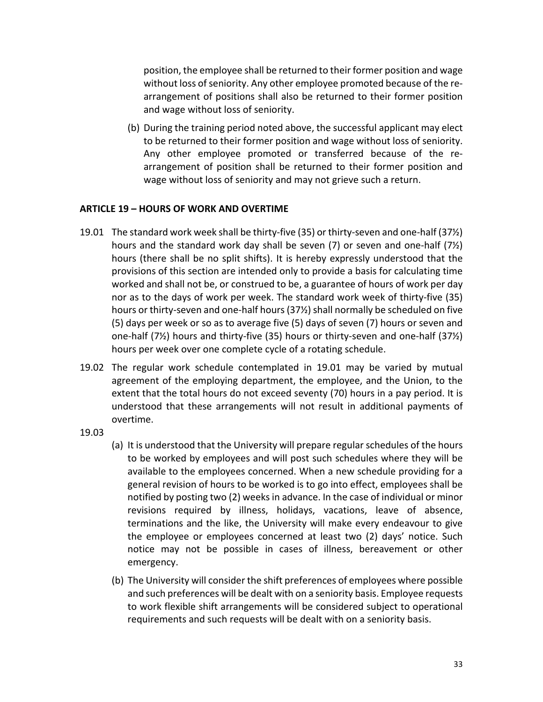position, the employee shall be returned to their former position and wage without loss of seniority. Any other employee promoted because of the rearrangement of positions shall also be returned to their former position and wage without loss of seniority.

(b) During the training period noted above, the successful applicant may elect to be returned to their former position and wage without loss of seniority. Any other employee promoted or transferred because of the rearrangement of position shall be returned to their former position and wage without loss of seniority and may not grieve such a return.

### <span id="page-34-0"></span>**ARTICLE 19 – HOURS OF WORK AND OVERTIME**

- 19.01 The standard work week shall be thirty-five (35) or thirty-seven and one-half (37½) hours and the standard work day shall be seven (7) or seven and one-half (7½) hours (there shall be no split shifts). It is hereby expressly understood that the provisions of this section are intended only to provide a basis for calculating time worked and shall not be, or construed to be, a guarantee of hours of work per day nor as to the days of work per week. The standard work week of thirty-five (35) hours or thirty-seven and one-half hours (37½) shall normally be scheduled on five (5) days per week or so as to average five (5) days of seven (7) hours or seven and one-half (7½) hours and thirty-five (35) hours or thirty-seven and one-half (37½) hours per week over one complete cycle of a rotating schedule.
- 19.02 The regular work schedule contemplated in 19.01 may be varied by mutual agreement of the employing department, the employee, and the Union, to the extent that the total hours do not exceed seventy (70) hours in a pay period. It is understood that these arrangements will not result in additional payments of overtime.
- 19.03
- (a) It is understood that the University will prepare regular schedules of the hours to be worked by employees and will post such schedules where they will be available to the employees concerned. When a new schedule providing for a general revision of hours to be worked is to go into effect, employees shall be notified by posting two (2) weeks in advance. In the case of individual or minor revisions required by illness, holidays, vacations, leave of absence, terminations and the like, the University will make every endeavour to give the employee or employees concerned at least two (2) days' notice. Such notice may not be possible in cases of illness, bereavement or other emergency.
- (b) The University will consider the shift preferences of employees where possible and such preferences will be dealt with on a seniority basis. Employee requests to work flexible shift arrangements will be considered subject to operational requirements and such requests will be dealt with on a seniority basis.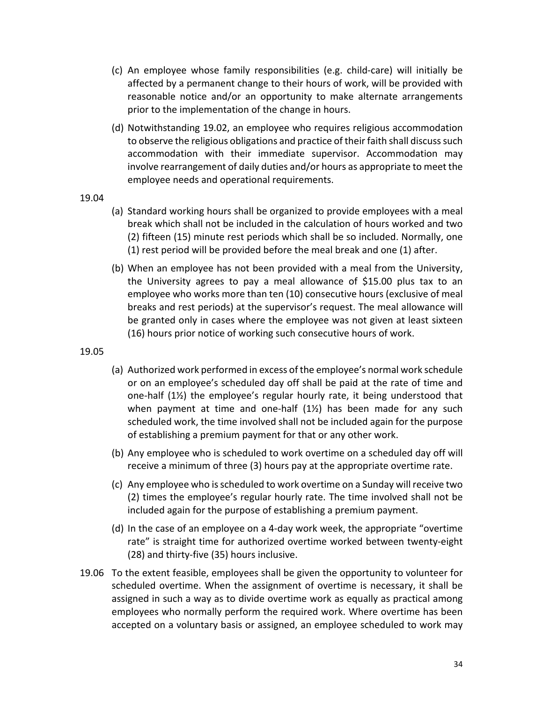- (c) An employee whose family responsibilities (e.g. child-care) will initially be affected by a permanent change to their hours of work, will be provided with reasonable notice and/or an opportunity to make alternate arrangements prior to the implementation of the change in hours.
- (d) Notwithstanding 19.02, an employee who requires religious accommodation to observe the religious obligations and practice of their faith shall discuss such accommodation with their immediate supervisor. Accommodation may involve rearrangement of daily duties and/or hours as appropriate to meet the employee needs and operational requirements.
- 19.04
- (a) Standard working hours shall be organized to provide employees with a meal break which shall not be included in the calculation of hours worked and two (2) fifteen (15) minute rest periods which shall be so included. Normally, one (1) rest period will be provided before the meal break and one (1) after.
- (b) When an employee has not been provided with a meal from the University, the University agrees to pay a meal allowance of \$15.00 plus tax to an employee who works more than ten (10) consecutive hours (exclusive of meal breaks and rest periods) at the supervisor's request. The meal allowance will be granted only in cases where the employee was not given at least sixteen (16) hours prior notice of working such consecutive hours of work.

19.05

- (a) Authorized work performed in excess of the employee's normal work schedule or on an employee's scheduled day off shall be paid at the rate of time and one-half  $(1/2)$  the employee's regular hourly rate, it being understood that when payment at time and one-half (1½) has been made for any such scheduled work, the time involved shall not be included again for the purpose of establishing a premium payment for that or any other work.
- (b) Any employee who is scheduled to work overtime on a scheduled day off will receive a minimum of three (3) hours pay at the appropriate overtime rate.
- (c) Any employee who is scheduled to work overtime on a Sunday will receive two (2) times the employee's regular hourly rate. The time involved shall not be included again for the purpose of establishing a premium payment.
- (d) In the case of an employee on a 4-day work week, the appropriate "overtime rate" is straight time for authorized overtime worked between twenty-eight (28) and thirty-five (35) hours inclusive.
- 19.06 To the extent feasible, employees shall be given the opportunity to volunteer for scheduled overtime. When the assignment of overtime is necessary, it shall be assigned in such a way as to divide overtime work as equally as practical among employees who normally perform the required work. Where overtime has been accepted on a voluntary basis or assigned, an employee scheduled to work may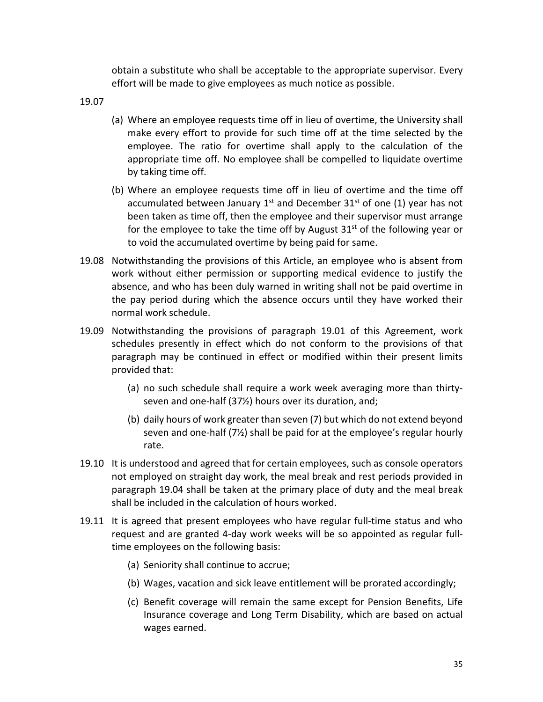obtain a substitute who shall be acceptable to the appropriate supervisor. Every effort will be made to give employees as much notice as possible.

19.07

- (a) Where an employee requests time off in lieu of overtime, the University shall make every effort to provide for such time off at the time selected by the employee. The ratio for overtime shall apply to the calculation of the appropriate time off. No employee shall be compelled to liquidate overtime by taking time off.
- (b) Where an employee requests time off in lieu of overtime and the time off accumulated between January 1<sup>st</sup> and December 31<sup>st</sup> of one (1) year has not been taken as time off, then the employee and their supervisor must arrange for the employee to take the time off by August  $31<sup>st</sup>$  of the following year or to void the accumulated overtime by being paid for same.
- 19.08 Notwithstanding the provisions of this Article, an employee who is absent from work without either permission or supporting medical evidence to justify the absence, and who has been duly warned in writing shall not be paid overtime in the pay period during which the absence occurs until they have worked their normal work schedule.
- 19.09 Notwithstanding the provisions of paragraph 19.01 of this Agreement, work schedules presently in effect which do not conform to the provisions of that paragraph may be continued in effect or modified within their present limits provided that:
	- (a) no such schedule shall require a work week averaging more than thirtyseven and one-half (37½) hours over its duration, and;
	- (b) daily hours of work greater than seven (7) but which do not extend beyond seven and one-half (7½) shall be paid for at the employee's regular hourly rate.
- 19.10 It is understood and agreed that for certain employees, such as console operators not employed on straight day work, the meal break and rest periods provided in paragraph 19.04 shall be taken at the primary place of duty and the meal break shall be included in the calculation of hours worked.
- 19.11 It is agreed that present employees who have regular full-time status and who request and are granted 4-day work weeks will be so appointed as regular fulltime employees on the following basis:
	- (a) Seniority shall continue to accrue;
	- (b) Wages, vacation and sick leave entitlement will be prorated accordingly;
	- (c) Benefit coverage will remain the same except for Pension Benefits, Life Insurance coverage and Long Term Disability, which are based on actual wages earned.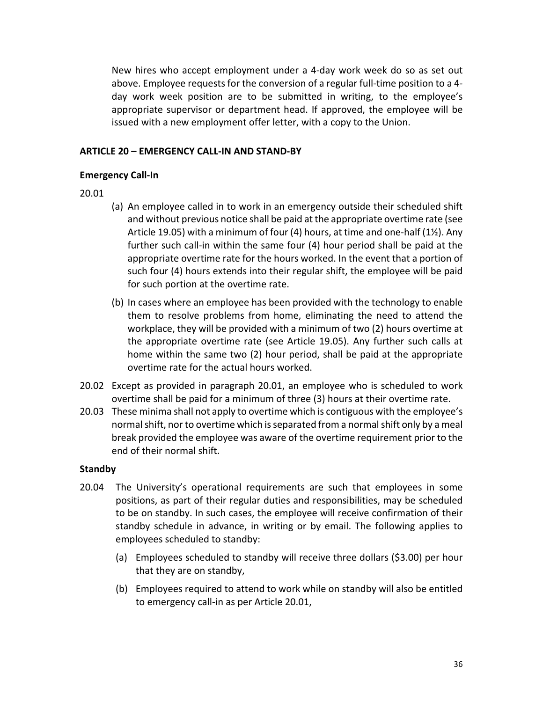New hires who accept employment under a 4-day work week do so as set out above. Employee requests for the conversion of a regular full-time position to a 4 day work week position are to be submitted in writing, to the employee's appropriate supervisor or department head. If approved, the employee will be issued with a new employment offer letter, with a copy to the Union.

#### **ARTICLE 20 – EMERGENCY CALL-IN AND STAND-BY**

#### **Emergency Call-In**

- 20.01
- (a) An employee called in to work in an emergency outside their scheduled shift and without previous notice shall be paid at the appropriate overtime rate (see Article 19.05) with a minimum of four (4) hours, at time and one-half (1½). Any further such call-in within the same four (4) hour period shall be paid at the appropriate overtime rate for the hours worked. In the event that a portion of such four (4) hours extends into their regular shift, the employee will be paid for such portion at the overtime rate.
- (b) In cases where an employee has been provided with the technology to enable them to resolve problems from home, eliminating the need to attend the workplace, they will be provided with a minimum of two (2) hours overtime at the appropriate overtime rate (see Article 19.05). Any further such calls at home within the same two (2) hour period, shall be paid at the appropriate overtime rate for the actual hours worked.
- 20.02 Except as provided in paragraph 20.01, an employee who is scheduled to work overtime shall be paid for a minimum of three (3) hours at their overtime rate.
- 20.03 These minima shall not apply to overtime which is contiguous with the employee's normal shift, nor to overtime which is separated from a normal shift only by a meal break provided the employee was aware of the overtime requirement prior to the end of their normal shift.

#### **Standby**

- 20.04 The University's operational requirements are such that employees in some positions, as part of their regular duties and responsibilities, may be scheduled to be on standby. In such cases, the employee will receive confirmation of their standby schedule in advance, in writing or by email. The following applies to employees scheduled to standby:
	- (a) Employees scheduled to standby will receive three dollars (\$3.00) per hour that they are on standby,
	- (b) Employees required to attend to work while on standby will also be entitled to emergency call-in as per Article 20.01,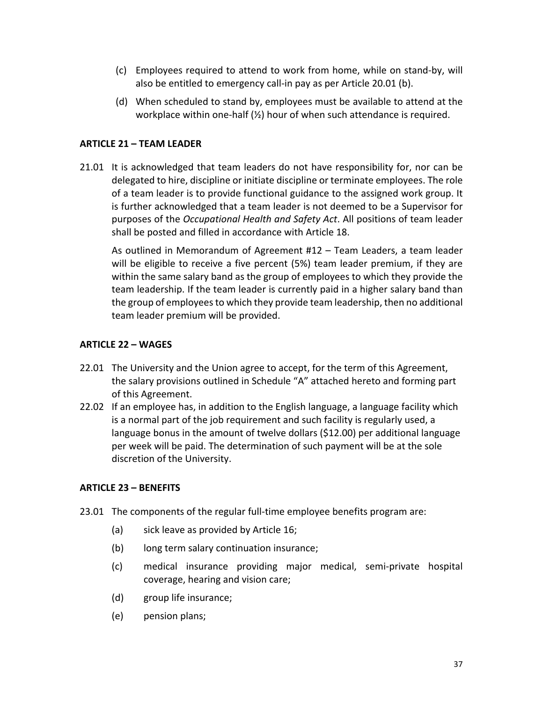- (c) Employees required to attend to work from home, while on stand-by, will also be entitled to emergency call-in pay as per Article 20.01 (b).
- (d) When scheduled to stand by, employees must be available to attend at the workplace within one-half (½) hour of when such attendance is required.

# **ARTICLE 21 – TEAM LEADER**

21.01 It is acknowledged that team leaders do not have responsibility for, nor can be delegated to hire, discipline or initiate discipline or terminate employees. The role of a team leader is to provide functional guidance to the assigned work group. It is further acknowledged that a team leader is not deemed to be a Supervisor for purposes of the *Occupational Health and Safety Act*. All positions of team leader shall be posted and filled in accordance with Article 18.

As outlined in Memorandum of Agreement #12 – Team Leaders, a team leader will be eligible to receive a five percent (5%) team leader premium, if they are within the same salary band as the group of employees to which they provide the team leadership. If the team leader is currently paid in a higher salary band than the group of employees to which they provide team leadership, then no additional team leader premium will be provided.

# **ARTICLE 22 – WAGES**

- 22.01 The University and the Union agree to accept, for the term of this Agreement, the salary provisions outlined in Schedule "A" attached hereto and forming part of this Agreement.
- 22.02 If an employee has, in addition to the English language, a language facility which is a normal part of the job requirement and such facility is regularly used, a language bonus in the amount of twelve dollars (\$12.00) per additional language per week will be paid. The determination of such payment will be at the sole discretion of the University.

# **ARTICLE 23 – BENEFITS**

- 23.01 The components of the regular full-time employee benefits program are:
	- (a) sick leave as provided by Article 16;
	- (b) long term salary continuation insurance;
	- (c) medical insurance providing major medical, semi-private hospital coverage, hearing and vision care;
	- (d) group life insurance;
	- (e) pension plans;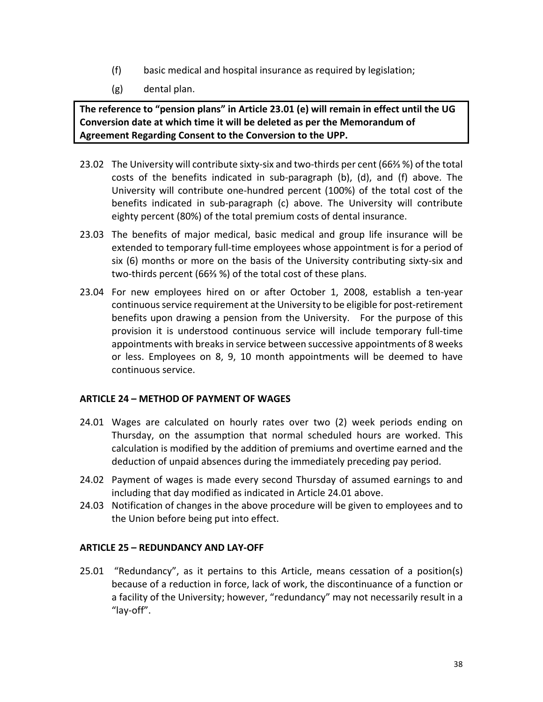- (f) basic medical and hospital insurance as required by legislation;
- (g) dental plan.

**The reference to "pension plans" in Article 23.01 (e) will remain in effect until the UG Conversion date at which time it will be deleted as per the Memorandum of Agreement Regarding Consent to the Conversion to the UPP.**

- 23.02 The University will contribute sixty-six and two-thirds per cent (66⅔ %) of the total costs of the benefits indicated in sub-paragraph (b), (d), and (f) above. The University will contribute one-hundred percent (100%) of the total cost of the benefits indicated in sub-paragraph (c) above. The University will contribute eighty percent (80%) of the total premium costs of dental insurance.
- 23.03 The benefits of major medical, basic medical and group life insurance will be extended to temporary full-time employees whose appointment is for a period of six (6) months or more on the basis of the University contributing sixty-six and two-thirds percent (66⅔ %) of the total cost of these plans.
- 23.04 For new employees hired on or after October 1, 2008, establish a ten-year continuous service requirement at the University to be eligible for post-retirement benefits upon drawing a pension from the University. For the purpose of this provision it is understood continuous service will include temporary full-time appointments with breaks in service between successive appointments of 8 weeks or less. Employees on 8, 9, 10 month appointments will be deemed to have continuous service.

# **ARTICLE 24 – METHOD OF PAYMENT OF WAGES**

- 24.01 Wages are calculated on hourly rates over two (2) week periods ending on Thursday, on the assumption that normal scheduled hours are worked. This calculation is modified by the addition of premiums and overtime earned and the deduction of unpaid absences during the immediately preceding pay period.
- 24.02 Payment of wages is made every second Thursday of assumed earnings to and including that day modified as indicated in Article 24.01 above.
- 24.03 Notification of changes in the above procedure will be given to employees and to the Union before being put into effect.

# **ARTICLE 25 – REDUNDANCY AND LAY-OFF**

25.01 "Redundancy", as it pertains to this Article, means cessation of a position(s) because of a reduction in force, lack of work, the discontinuance of a function or a facility of the University; however, "redundancy" may not necessarily result in a "lay-off".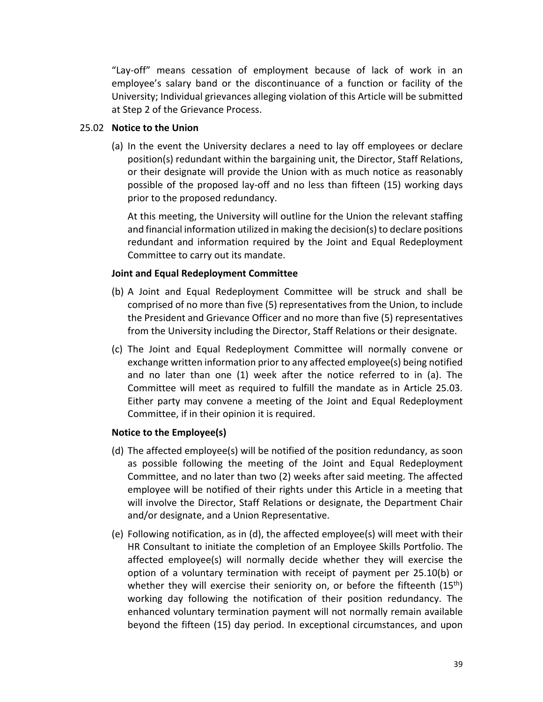"Lay-off" means cessation of employment because of lack of work in an employee's salary band or the discontinuance of a function or facility of the University; Individual grievances alleging violation of this Article will be submitted at Step 2 of the Grievance Process.

#### 25.02 **Notice to the Union**

(a) In the event the University declares a need to lay off employees or declare position(s) redundant within the bargaining unit, the Director, Staff Relations, or their designate will provide the Union with as much notice as reasonably possible of the proposed lay-off and no less than fifteen (15) working days prior to the proposed redundancy.

At this meeting, the University will outline for the Union the relevant staffing and financial information utilized in making the decision(s) to declare positions redundant and information required by the Joint and Equal Redeployment Committee to carry out its mandate.

# **Joint and Equal Redeployment Committee**

- (b) A Joint and Equal Redeployment Committee will be struck and shall be comprised of no more than five (5) representatives from the Union, to include the President and Grievance Officer and no more than five (5) representatives from the University including the Director, Staff Relations or their designate.
- (c) The Joint and Equal Redeployment Committee will normally convene or exchange written information prior to any affected employee(s) being notified and no later than one (1) week after the notice referred to in (a). The Committee will meet as required to fulfill the mandate as in Article 25.03. Either party may convene a meeting of the Joint and Equal Redeployment Committee, if in their opinion it is required.

# **Notice to the Employee(s)**

- (d) The affected employee(s) will be notified of the position redundancy, as soon as possible following the meeting of the Joint and Equal Redeployment Committee, and no later than two (2) weeks after said meeting. The affected employee will be notified of their rights under this Article in a meeting that will involve the Director, Staff Relations or designate, the Department Chair and/or designate, and a Union Representative.
- (e) Following notification, as in (d), the affected employee(s) will meet with their HR Consultant to initiate the completion of an Employee Skills Portfolio. The affected employee(s) will normally decide whether they will exercise the option of a voluntary termination with receipt of payment per 25.10(b) or whether they will exercise their seniority on, or before the fifteenth  $(15<sup>th</sup>)$ working day following the notification of their position redundancy. The enhanced voluntary termination payment will not normally remain available beyond the fifteen (15) day period. In exceptional circumstances, and upon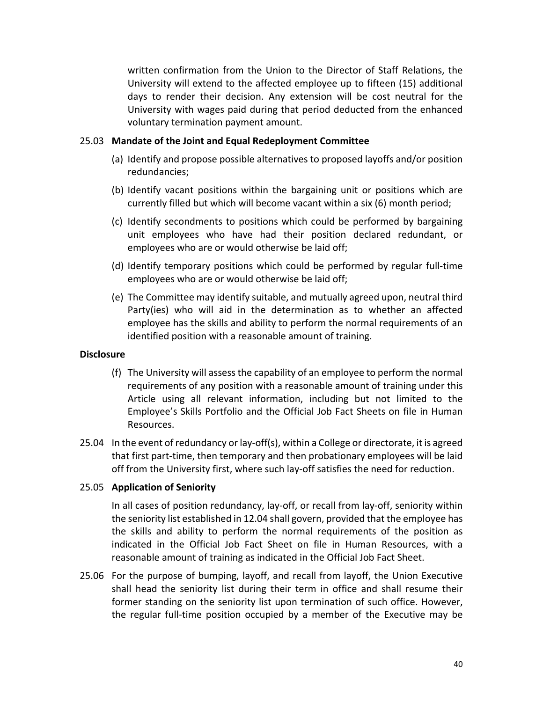written confirmation from the Union to the Director of Staff Relations, the University will extend to the affected employee up to fifteen (15) additional days to render their decision. Any extension will be cost neutral for the University with wages paid during that period deducted from the enhanced voluntary termination payment amount.

#### 25.03 **Mandate of the Joint and Equal Redeployment Committee**

- (a) Identify and propose possible alternatives to proposed layoffs and/or position redundancies;
- (b) Identify vacant positions within the bargaining unit or positions which are currently filled but which will become vacant within a six (6) month period;
- (c) Identify secondments to positions which could be performed by bargaining unit employees who have had their position declared redundant, or employees who are or would otherwise be laid off;
- (d) Identify temporary positions which could be performed by regular full-time employees who are or would otherwise be laid off;
- (e) The Committee may identify suitable, and mutually agreed upon, neutral third Party(ies) who will aid in the determination as to whether an affected employee has the skills and ability to perform the normal requirements of an identified position with a reasonable amount of training.

#### **Disclosure**

- (f) The University will assess the capability of an employee to perform the normal requirements of any position with a reasonable amount of training under this Article using all relevant information, including but not limited to the Employee's Skills Portfolio and the Official Job Fact Sheets on file in Human Resources.
- 25.04 In the event of redundancy or lay-off(s), within a College or directorate, it is agreed that first part-time, then temporary and then probationary employees will be laid off from the University first, where such lay-off satisfies the need for reduction.

# 25.05 **Application of Seniority**

In all cases of position redundancy, lay-off, or recall from lay-off, seniority within the seniority list established in 12.04 shall govern, provided that the employee has the skills and ability to perform the normal requirements of the position as indicated in the Official Job Fact Sheet on file in Human Resources, with a reasonable amount of training as indicated in the Official Job Fact Sheet.

25.06 For the purpose of bumping, layoff, and recall from layoff, the Union Executive shall head the seniority list during their term in office and shall resume their former standing on the seniority list upon termination of such office. However, the regular full-time position occupied by a member of the Executive may be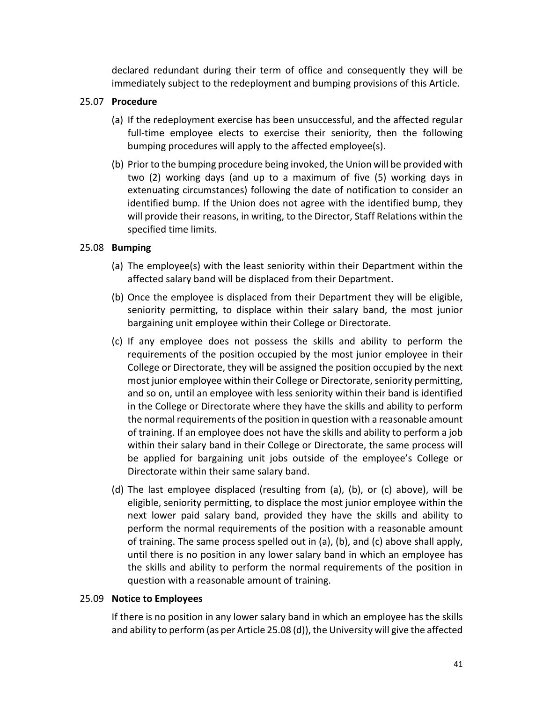declared redundant during their term of office and consequently they will be immediately subject to the redeployment and bumping provisions of this Article.

# 25.07 **Procedure**

- (a) If the redeployment exercise has been unsuccessful, and the affected regular full-time employee elects to exercise their seniority, then the following bumping procedures will apply to the affected employee(s).
- (b) Prior to the bumping procedure being invoked, the Union will be provided with two (2) working days (and up to a maximum of five (5) working days in extenuating circumstances) following the date of notification to consider an identified bump. If the Union does not agree with the identified bump, they will provide their reasons, in writing, to the Director, Staff Relations within the specified time limits.

# 25.08 **Bumping**

- (a) The employee(s) with the least seniority within their Department within the affected salary band will be displaced from their Department.
- (b) Once the employee is displaced from their Department they will be eligible, seniority permitting, to displace within their salary band, the most junior bargaining unit employee within their College or Directorate.
- (c) If any employee does not possess the skills and ability to perform the requirements of the position occupied by the most junior employee in their College or Directorate, they will be assigned the position occupied by the next most junior employee within their College or Directorate, seniority permitting, and so on, until an employee with less seniority within their band is identified in the College or Directorate where they have the skills and ability to perform the normal requirements of the position in question with a reasonable amount of training. If an employee does not have the skills and ability to perform a job within their salary band in their College or Directorate, the same process will be applied for bargaining unit jobs outside of the employee's College or Directorate within their same salary band.
- (d) The last employee displaced (resulting from (a), (b), or (c) above), will be eligible, seniority permitting, to displace the most junior employee within the next lower paid salary band, provided they have the skills and ability to perform the normal requirements of the position with a reasonable amount of training. The same process spelled out in (a), (b), and (c) above shall apply, until there is no position in any lower salary band in which an employee has the skills and ability to perform the normal requirements of the position in question with a reasonable amount of training.

# 25.09 **Notice to Employees**

If there is no position in any lower salary band in which an employee has the skills and ability to perform (as per Article 25.08 (d)), the University will give the affected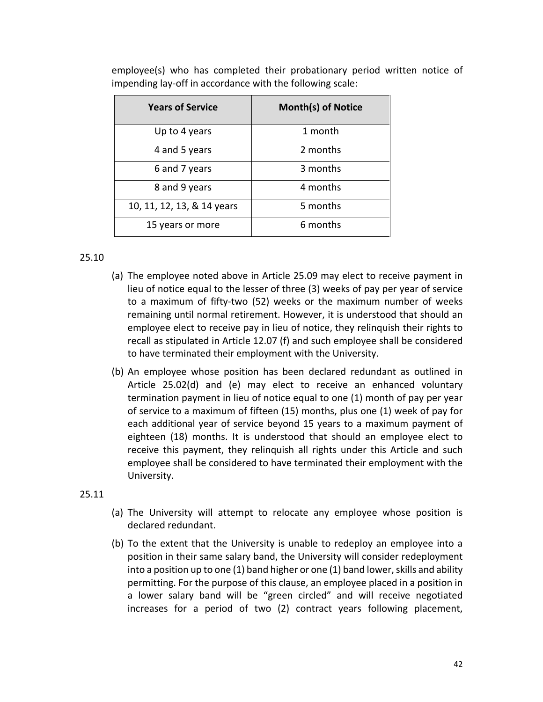| <b>Years of Service</b>    | <b>Month(s) of Notice</b> |
|----------------------------|---------------------------|
| Up to 4 years              | 1 month                   |
| 4 and 5 years              | 2 months                  |
| 6 and 7 years              | 3 months                  |
| 8 and 9 years              | 4 months                  |
| 10, 11, 12, 13, & 14 years | 5 months                  |
| 15 years or more           | 6 months                  |

employee(s) who has completed their probationary period written notice of impending lay-off in accordance with the following scale:

### 25.10

- (a) The employee noted above in Article 25.09 may elect to receive payment in lieu of notice equal to the lesser of three (3) weeks of pay per year of service to a maximum of fifty-two (52) weeks or the maximum number of weeks remaining until normal retirement. However, it is understood that should an employee elect to receive pay in lieu of notice, they relinquish their rights to recall as stipulated in Article 12.07 (f) and such employee shall be considered to have terminated their employment with the University.
- (b) An employee whose position has been declared redundant as outlined in Article 25.02(d) and (e) may elect to receive an enhanced voluntary termination payment in lieu of notice equal to one (1) month of pay per year of service to a maximum of fifteen (15) months, plus one (1) week of pay for each additional year of service beyond 15 years to a maximum payment of eighteen (18) months. It is understood that should an employee elect to receive this payment, they relinquish all rights under this Article and such employee shall be considered to have terminated their employment with the University.

#### 25.11

- (a) The University will attempt to relocate any employee whose position is declared redundant.
- (b) To the extent that the University is unable to redeploy an employee into a position in their same salary band, the University will consider redeployment into a position up to one (1) band higher or one (1) band lower, skills and ability permitting. For the purpose of this clause, an employee placed in a position in a lower salary band will be "green circled" and will receive negotiated increases for a period of two (2) contract years following placement,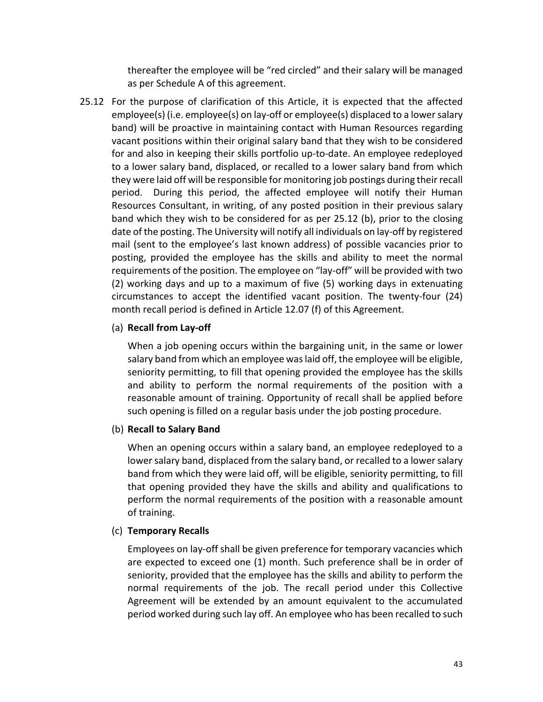thereafter the employee will be "red circled" and their salary will be managed as per Schedule A of this agreement.

25.12 For the purpose of clarification of this Article, it is expected that the affected employee(s) (i.e. employee(s) on lay-off or employee(s) displaced to a lower salary band) will be proactive in maintaining contact with Human Resources regarding vacant positions within their original salary band that they wish to be considered for and also in keeping their skills portfolio up-to-date. An employee redeployed to a lower salary band, displaced, or recalled to a lower salary band from which they were laid off will be responsible for monitoring job postings during their recall period. During this period, the affected employee will notify their Human Resources Consultant, in writing, of any posted position in their previous salary band which they wish to be considered for as per 25.12 (b), prior to the closing date of the posting. The University will notify all individuals on lay-off by registered mail (sent to the employee's last known address) of possible vacancies prior to posting, provided the employee has the skills and ability to meet the normal requirements of the position. The employee on "lay-off" will be provided with two (2) working days and up to a maximum of five (5) working days in extenuating circumstances to accept the identified vacant position. The twenty-four (24) month recall period is defined in Article 12.07 (f) of this Agreement.

### (a) **Recall from Lay-off**

When a job opening occurs within the bargaining unit, in the same or lower salary band from which an employee was laid off, the employee will be eligible, seniority permitting, to fill that opening provided the employee has the skills and ability to perform the normal requirements of the position with a reasonable amount of training. Opportunity of recall shall be applied before such opening is filled on a regular basis under the job posting procedure.

# (b) **Recall to Salary Band**

When an opening occurs within a salary band, an employee redeployed to a lower salary band, displaced from the salary band, or recalled to a lower salary band from which they were laid off, will be eligible, seniority permitting, to fill that opening provided they have the skills and ability and qualifications to perform the normal requirements of the position with a reasonable amount of training.

# (c) **Temporary Recalls**

Employees on lay-off shall be given preference for temporary vacancies which are expected to exceed one (1) month. Such preference shall be in order of seniority, provided that the employee has the skills and ability to perform the normal requirements of the job. The recall period under this Collective Agreement will be extended by an amount equivalent to the accumulated period worked during such lay off. An employee who has been recalled to such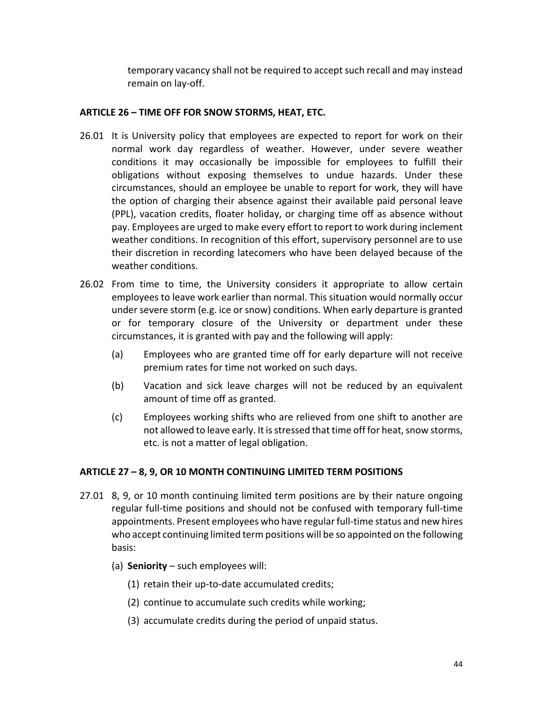temporary vacancy shall not be required to accept such recall and may instead remain on lay-off.

# **ARTICLE 26 – TIME OFF FOR SNOW STORMS, HEAT, ETC.**

- 26.01 It is University policy that employees are expected to report for work on their normal work day regardless of weather. However, under severe weather conditions it may occasionally be impossible for employees to fulfill their obligations without exposing themselves to undue hazards. Under these circumstances, should an employee be unable to report for work, they will have the option of charging their absence against their available paid personal leave (PPL), vacation credits, floater holiday, or charging time off as absence without pay. Employees are urged to make every effort to report to work during inclement weather conditions. In recognition of this effort, supervisory personnel are to use their discretion in recording latecomers who have been delayed because of the weather conditions.
- 26.02 From time to time, the University considers it appropriate to allow certain employees to leave work earlier than normal. This situation would normally occur under severe storm (e.g. ice or snow) conditions. When early departure is granted or for temporary closure of the University or department under these circumstances, it is granted with pay and the following will apply:
	- (a) Employees who are granted time off for early departure will not receive premium rates for time not worked on such days.
	- (b) Vacation and sick leave charges will not be reduced by an equivalent amount of time off as granted.
	- (c) Employees working shifts who are relieved from one shift to another are not allowed to leave early. It is stressed that time off for heat, snow storms, etc. is not a matter of legal obligation.

# **ARTICLE 27 – 8, 9, OR 10 MONTH CONTINUING LIMITED TERM POSITIONS**

- 27.01 8, 9, or 10 month continuing limited term positions are by their nature ongoing regular full-time positions and should not be confused with temporary full-time appointments. Present employees who have regular full-time status and new hires who accept continuing limited term positions will be so appointed on the following basis:
	- (a) **Seniority**  such employees will:
		- (1) retain their up-to-date accumulated credits;
		- (2) continue to accumulate such credits while working;
		- (3) accumulate credits during the period of unpaid status.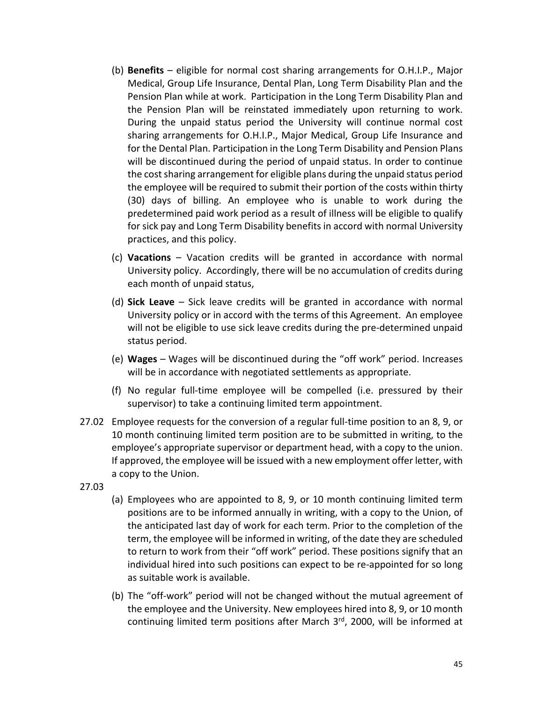- (b) **Benefits** eligible for normal cost sharing arrangements for O.H.I.P., Major Medical, Group Life Insurance, Dental Plan, Long Term Disability Plan and the Pension Plan while at work. Participation in the Long Term Disability Plan and the Pension Plan will be reinstated immediately upon returning to work. During the unpaid status period the University will continue normal cost sharing arrangements for O.H.I.P., Major Medical, Group Life Insurance and for the Dental Plan. Participation in the Long Term Disability and Pension Plans will be discontinued during the period of unpaid status. In order to continue the cost sharing arrangement for eligible plans during the unpaid status period the employee will be required to submit their portion of the costs within thirty (30) days of billing. An employee who is unable to work during the predetermined paid work period as a result of illness will be eligible to qualify for sick pay and Long Term Disability benefits in accord with normal University practices, and this policy.
- (c) **Vacations** Vacation credits will be granted in accordance with normal University policy. Accordingly, there will be no accumulation of credits during each month of unpaid status,
- (d) **Sick Leave** Sick leave credits will be granted in accordance with normal University policy or in accord with the terms of this Agreement. An employee will not be eligible to use sick leave credits during the pre-determined unpaid status period.
- (e) **Wages**  Wages will be discontinued during the "off work" period. Increases will be in accordance with negotiated settlements as appropriate.
- (f) No regular full-time employee will be compelled (i.e. pressured by their supervisor) to take a continuing limited term appointment.
- 27.02 Employee requests for the conversion of a regular full-time position to an 8, 9, or 10 month continuing limited term position are to be submitted in writing, to the employee's appropriate supervisor or department head, with a copy to the union. If approved, the employee will be issued with a new employment offer letter, with a copy to the Union.
- 27.03
- (a) Employees who are appointed to 8, 9, or 10 month continuing limited term positions are to be informed annually in writing, with a copy to the Union, of the anticipated last day of work for each term. Prior to the completion of the term, the employee will be informed in writing, of the date they are scheduled to return to work from their "off work" period. These positions signify that an individual hired into such positions can expect to be re-appointed for so long as suitable work is available.
- (b) The "off-work" period will not be changed without the mutual agreement of the employee and the University. New employees hired into 8, 9, or 10 month continuing limited term positions after March 3<sup>rd</sup>, 2000, will be informed at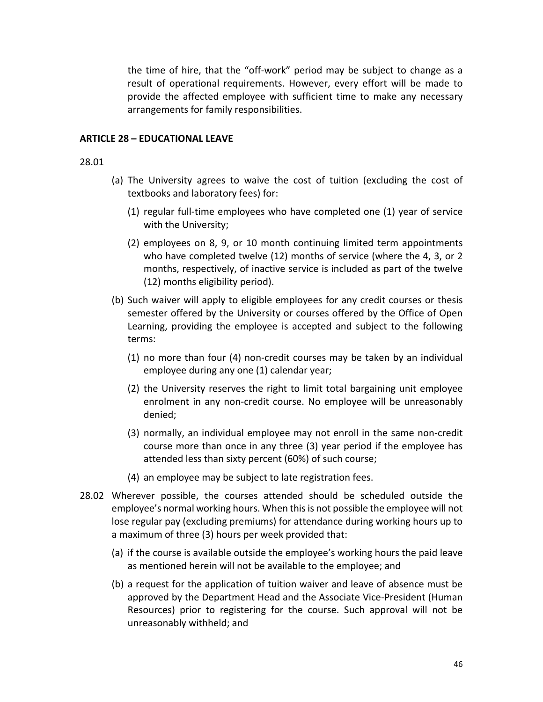the time of hire, that the "off-work" period may be subject to change as a result of operational requirements. However, every effort will be made to provide the affected employee with sufficient time to make any necessary arrangements for family responsibilities.

#### **ARTICLE 28 – EDUCATIONAL LEAVE**

#### 28.01

- (a) The University agrees to waive the cost of tuition (excluding the cost of textbooks and laboratory fees) for:
	- (1) regular full-time employees who have completed one (1) year of service with the University;
	- (2) employees on 8, 9, or 10 month continuing limited term appointments who have completed twelve (12) months of service (where the 4, 3, or 2 months, respectively, of inactive service is included as part of the twelve (12) months eligibility period).
- (b) Such waiver will apply to eligible employees for any credit courses or thesis semester offered by the University or courses offered by the Office of Open Learning, providing the employee is accepted and subject to the following terms:
	- (1) no more than four (4) non-credit courses may be taken by an individual employee during any one (1) calendar year;
	- (2) the University reserves the right to limit total bargaining unit employee enrolment in any non-credit course. No employee will be unreasonably denied;
	- (3) normally, an individual employee may not enroll in the same non-credit course more than once in any three (3) year period if the employee has attended less than sixty percent (60%) of such course;
	- (4) an employee may be subject to late registration fees.
- 28.02 Wherever possible, the courses attended should be scheduled outside the employee's normal working hours. When this is not possible the employee will not lose regular pay (excluding premiums) for attendance during working hours up to a maximum of three (3) hours per week provided that:
	- (a) if the course is available outside the employee's working hours the paid leave as mentioned herein will not be available to the employee; and
	- (b) a request for the application of tuition waiver and leave of absence must be approved by the Department Head and the Associate Vice-President (Human Resources) prior to registering for the course. Such approval will not be unreasonably withheld; and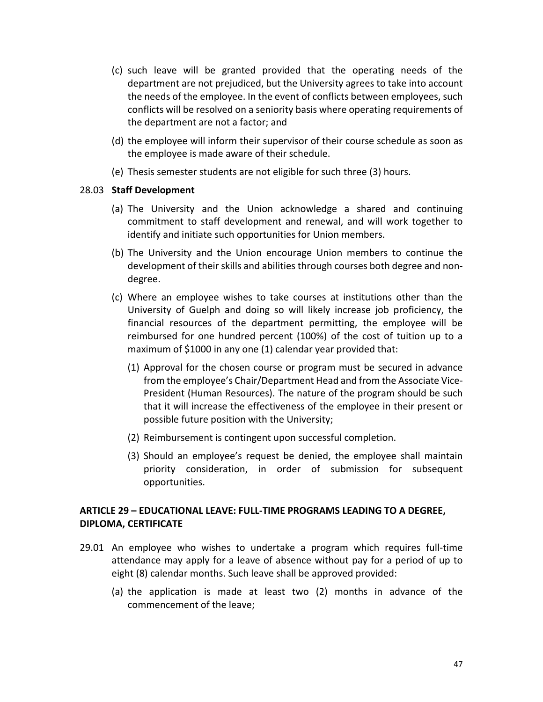- (c) such leave will be granted provided that the operating needs of the department are not prejudiced, but the University agrees to take into account the needs of the employee. In the event of conflicts between employees, such conflicts will be resolved on a seniority basis where operating requirements of the department are not a factor; and
- (d) the employee will inform their supervisor of their course schedule as soon as the employee is made aware of their schedule.
- (e) Thesis semester students are not eligible for such three (3) hours.

### 28.03 **Staff Development**

- (a) The University and the Union acknowledge a shared and continuing commitment to staff development and renewal, and will work together to identify and initiate such opportunities for Union members.
- (b) The University and the Union encourage Union members to continue the development of their skills and abilities through courses both degree and nondegree.
- (c) Where an employee wishes to take courses at institutions other than the University of Guelph and doing so will likely increase job proficiency, the financial resources of the department permitting, the employee will be reimbursed for one hundred percent (100%) of the cost of tuition up to a maximum of \$1000 in any one (1) calendar year provided that:
	- (1) Approval for the chosen course or program must be secured in advance from the employee's Chair/Department Head and from the Associate Vice-President (Human Resources). The nature of the program should be such that it will increase the effectiveness of the employee in their present or possible future position with the University;
	- (2) Reimbursement is contingent upon successful completion.
	- (3) Should an employee's request be denied, the employee shall maintain priority consideration, in order of submission for subsequent opportunities.

# **ARTICLE 29 – EDUCATIONAL LEAVE: FULL-TIME PROGRAMS LEADING TO A DEGREE, DIPLOMA, CERTIFICATE**

- 29.01 An employee who wishes to undertake a program which requires full-time attendance may apply for a leave of absence without pay for a period of up to eight (8) calendar months. Such leave shall be approved provided:
	- (a) the application is made at least two (2) months in advance of the commencement of the leave;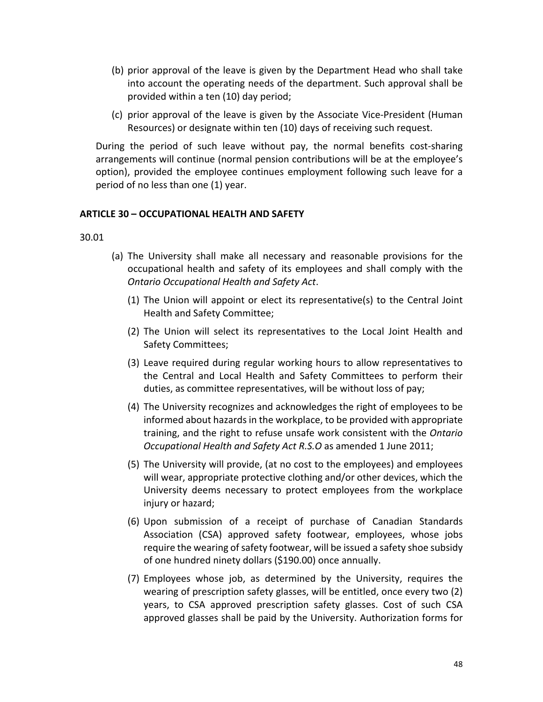- (b) prior approval of the leave is given by the Department Head who shall take into account the operating needs of the department. Such approval shall be provided within a ten (10) day period;
- (c) prior approval of the leave is given by the Associate Vice-President (Human Resources) or designate within ten (10) days of receiving such request.

During the period of such leave without pay, the normal benefits cost-sharing arrangements will continue (normal pension contributions will be at the employee's option), provided the employee continues employment following such leave for a period of no less than one (1) year.

### **ARTICLE 30 – OCCUPATIONAL HEALTH AND SAFETY**

30.01

- (a) The University shall make all necessary and reasonable provisions for the occupational health and safety of its employees and shall comply with the *Ontario Occupational Health and Safety Act*.
	- (1) The Union will appoint or elect its representative(s) to the Central Joint Health and Safety Committee;
	- (2) The Union will select its representatives to the Local Joint Health and Safety Committees;
	- (3) Leave required during regular working hours to allow representatives to the Central and Local Health and Safety Committees to perform their duties, as committee representatives, will be without loss of pay;
	- (4) The University recognizes and acknowledges the right of employees to be informed about hazards in the workplace, to be provided with appropriate training, and the right to refuse unsafe work consistent with the *Ontario Occupational Health and Safety Act R.S.O* as amended 1 June 2011;
	- (5) The University will provide, (at no cost to the employees) and employees will wear, appropriate protective clothing and/or other devices, which the University deems necessary to protect employees from the workplace injury or hazard;
	- (6) Upon submission of a receipt of purchase of Canadian Standards Association (CSA) approved safety footwear, employees, whose jobs require the wearing of safety footwear, will be issued a safety shoe subsidy of one hundred ninety dollars (\$190.00) once annually.
	- (7) Employees whose job, as determined by the University, requires the wearing of prescription safety glasses, will be entitled, once every two (2) years, to CSA approved prescription safety glasses. Cost of such CSA approved glasses shall be paid by the University. Authorization forms for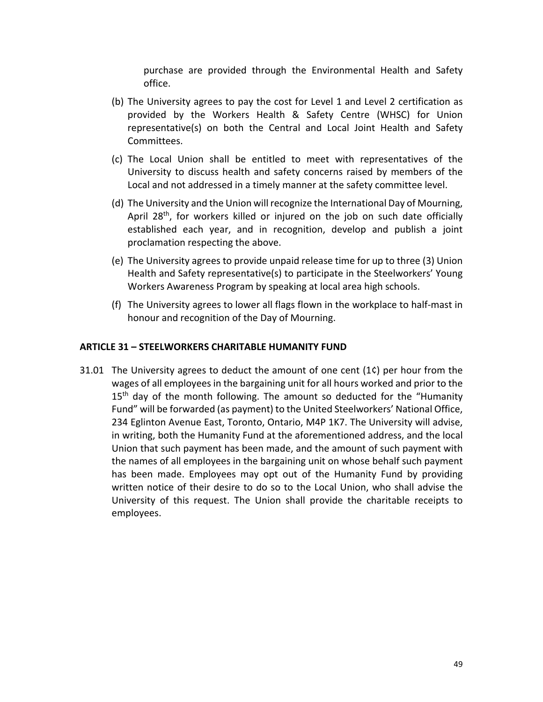purchase are provided through the Environmental Health and Safety office.

- (b) The University agrees to pay the cost for Level 1 and Level 2 certification as provided by the Workers Health & Safety Centre (WHSC) for Union representative(s) on both the Central and Local Joint Health and Safety Committees.
- (c) The Local Union shall be entitled to meet with representatives of the University to discuss health and safety concerns raised by members of the Local and not addressed in a timely manner at the safety committee level.
- (d) The University and the Union will recognize the International Day of Mourning, April 28<sup>th</sup>, for workers killed or injured on the job on such date officially established each year, and in recognition, develop and publish a joint proclamation respecting the above.
- (e) The University agrees to provide unpaid release time for up to three (3) Union Health and Safety representative(s) to participate in the Steelworkers' Young Workers Awareness Program by speaking at local area high schools.
- (f) The University agrees to lower all flags flown in the workplace to half-mast in honour and recognition of the Day of Mourning.

#### **ARTICLE 31 – STEELWORKERS CHARITABLE HUMANITY FUND**

31.01 The University agrees to deduct the amount of one cent (1¢) per hour from the wages of all employees in the bargaining unit for all hours worked and prior to the  $15<sup>th</sup>$  day of the month following. The amount so deducted for the "Humanity Fund" will be forwarded (as payment) to the United Steelworkers' National Office, 234 Eglinton Avenue East, Toronto, Ontario, M4P 1K7. The University will advise, in writing, both the Humanity Fund at the aforementioned address, and the local Union that such payment has been made, and the amount of such payment with the names of all employees in the bargaining unit on whose behalf such payment has been made. Employees may opt out of the Humanity Fund by providing written notice of their desire to do so to the Local Union, who shall advise the University of this request. The Union shall provide the charitable receipts to employees.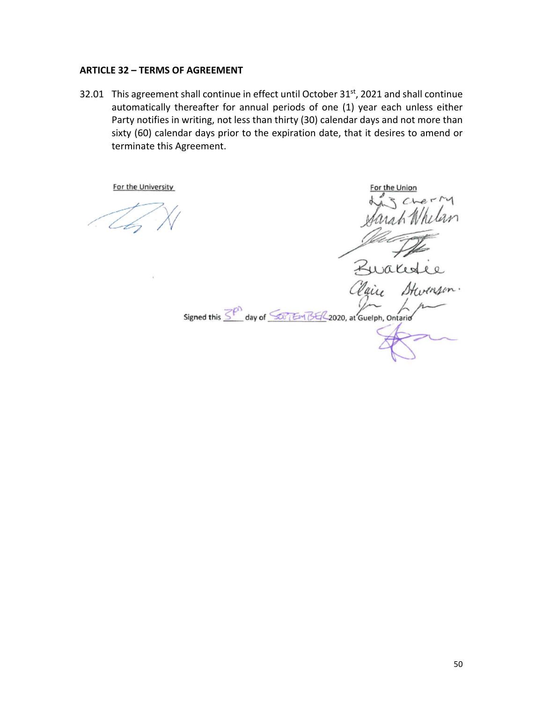#### **ARTICLE 32 – TERMS OF AGREEMENT**

32.01 This agreement shall continue in effect until October 31<sup>st</sup>, 2021 and shall continue automatically thereafter for annual periods of one (1) year each unless either Party notifies in writing, not less than thirty (30) calendar days and not more than sixty (60) calendar days prior to the expiration date, that it desires to amend or terminate this Agreement.

aix Signed this  $\overline{\leq^{\rho}}$  day of  $\overline{\leq^{\rho}$  EM BE/2020, at Guelph, Ontario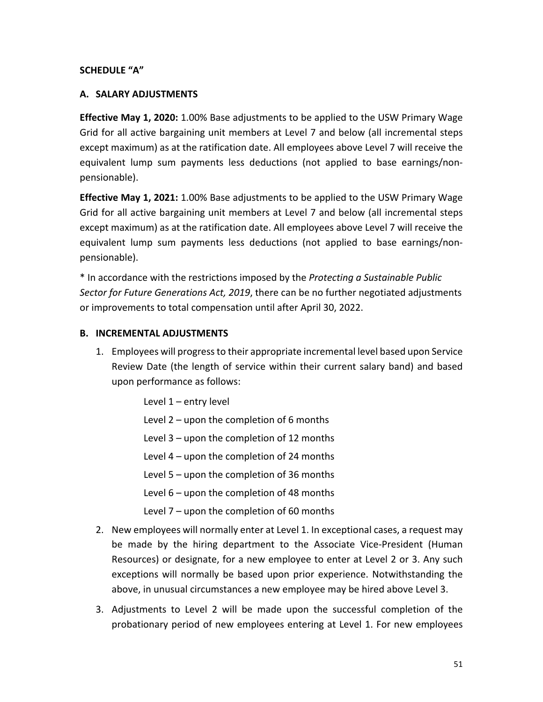### **SCHEDULE "A"**

#### **A. SALARY ADJUSTMENTS**

**Effective May 1, 2020:** 1.00% Base adjustments to be applied to the USW Primary Wage Grid for all active bargaining unit members at Level 7 and below (all incremental steps except maximum) as at the ratification date. All employees above Level 7 will receive the equivalent lump sum payments less deductions (not applied to base earnings/nonpensionable).

**Effective May 1, 2021:** 1.00% Base adjustments to be applied to the USW Primary Wage Grid for all active bargaining unit members at Level 7 and below (all incremental steps except maximum) as at the ratification date. All employees above Level 7 will receive the equivalent lump sum payments less deductions (not applied to base earnings/nonpensionable).

\* In accordance with the restrictions imposed by the *Protecting a Sustainable Public Sector for Future Generations Act, 2019*, there can be no further negotiated adjustments or improvements to total compensation until after April 30, 2022.

#### **B. INCREMENTAL ADJUSTMENTS**

1. Employees will progress to their appropriate incremental level based upon Service Review Date (the length of service within their current salary band) and based upon performance as follows:

Level 1 – entry level

- Level 2 upon the completion of 6 months
- Level 3 upon the completion of 12 months
- Level 4 upon the completion of 24 months

Level 5 – upon the completion of 36 months

- Level 6 upon the completion of 48 months
- Level 7 upon the completion of 60 months
- 2. New employees will normally enter at Level 1. In exceptional cases, a request may be made by the hiring department to the Associate Vice-President (Human Resources) or designate, for a new employee to enter at Level 2 or 3. Any such exceptions will normally be based upon prior experience. Notwithstanding the above, in unusual circumstances a new employee may be hired above Level 3.
- 3. Adjustments to Level 2 will be made upon the successful completion of the probationary period of new employees entering at Level 1. For new employees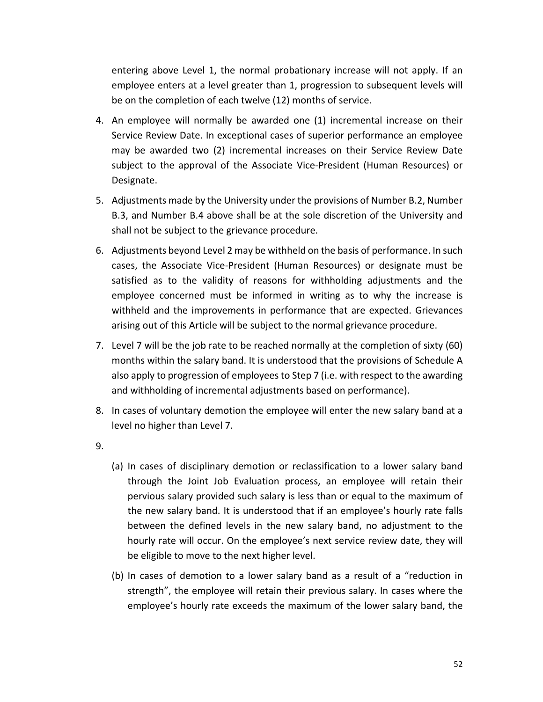entering above Level 1, the normal probationary increase will not apply. If an employee enters at a level greater than 1, progression to subsequent levels will be on the completion of each twelve (12) months of service.

- 4. An employee will normally be awarded one (1) incremental increase on their Service Review Date. In exceptional cases of superior performance an employee may be awarded two (2) incremental increases on their Service Review Date subject to the approval of the Associate Vice-President (Human Resources) or Designate.
- 5. Adjustments made by the University under the provisions of Number B.2, Number B.3, and Number B.4 above shall be at the sole discretion of the University and shall not be subject to the grievance procedure.
- 6. Adjustments beyond Level 2 may be withheld on the basis of performance. In such cases, the Associate Vice-President (Human Resources) or designate must be satisfied as to the validity of reasons for withholding adjustments and the employee concerned must be informed in writing as to why the increase is withheld and the improvements in performance that are expected. Grievances arising out of this Article will be subject to the normal grievance procedure.
- 7. Level 7 will be the job rate to be reached normally at the completion of sixty (60) months within the salary band. It is understood that the provisions of Schedule A also apply to progression of employees to Step 7 (i.e. with respect to the awarding and withholding of incremental adjustments based on performance).
- 8. In cases of voluntary demotion the employee will enter the new salary band at a level no higher than Level 7.
- 9.
- (a) In cases of disciplinary demotion or reclassification to a lower salary band through the Joint Job Evaluation process, an employee will retain their pervious salary provided such salary is less than or equal to the maximum of the new salary band. It is understood that if an employee's hourly rate falls between the defined levels in the new salary band, no adjustment to the hourly rate will occur. On the employee's next service review date, they will be eligible to move to the next higher level.
- (b) In cases of demotion to a lower salary band as a result of a "reduction in strength", the employee will retain their previous salary. In cases where the employee's hourly rate exceeds the maximum of the lower salary band, the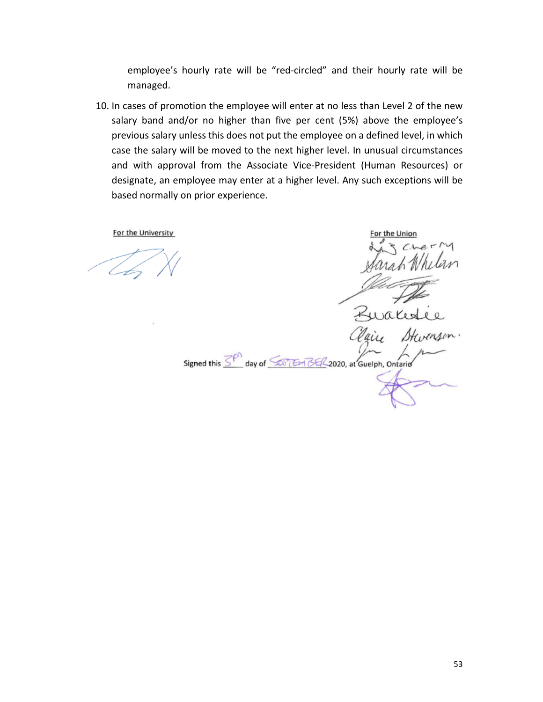employee's hourly rate will be "red-circled" and their hourly rate will be managed.

10. In cases of promotion the employee will enter at no less than Level 2 of the new salary band and/or no higher than five per cent (5%) above the employee's previous salary unless this does not put the employee on a defined level, in which case the salary will be moved to the next higher level. In unusual circumstances and with approval from the Associate Vice-President (Human Resources) or designate, an employee may enter at a higher level. Any such exceptions will be based normally on prior experience.

or the Unior Signed this  $\overline{\leq^{\rho}}$  day of  $\overline{\leq^{\rho}$  EM BE/2020, at Guelph, Ontario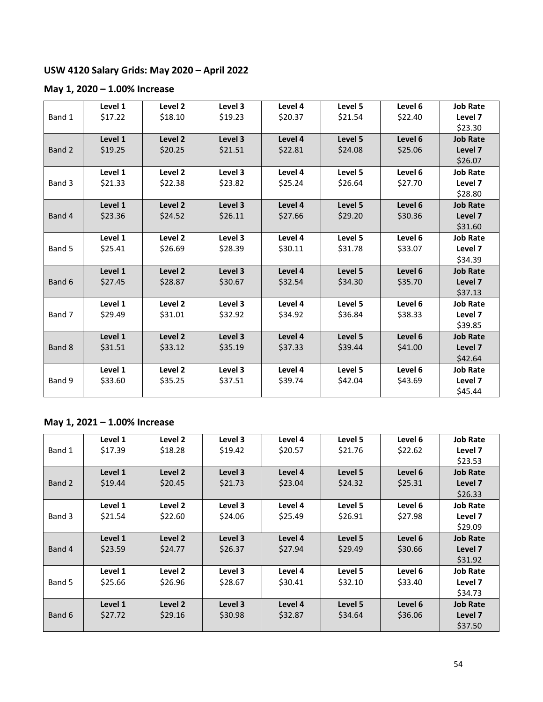# **USW 4120 Salary Grids: May 2020 – April 2022**

# **May 1, 2020 – 1.00% Increase**

|        | Level 1 | Level <sub>2</sub> | Level 3 | Level 4 | Level 5 | Level 6 | <b>Job Rate</b> |
|--------|---------|--------------------|---------|---------|---------|---------|-----------------|
| Band 1 | \$17.22 | \$18.10            | \$19.23 | \$20.37 | \$21.54 | \$22.40 | Level 7         |
|        |         |                    |         |         |         |         | \$23.30         |
|        | Level 1 | Level <sub>2</sub> | Level 3 | Level 4 | Level 5 | Level 6 | <b>Job Rate</b> |
| Band 2 | \$19.25 | \$20.25            | \$21.51 | \$22.81 | \$24.08 | \$25.06 | Level 7         |
|        |         |                    |         |         |         |         | \$26.07         |
|        | Level 1 | Level <sub>2</sub> | Level 3 | Level 4 | Level 5 | Level 6 | <b>Job Rate</b> |
| Band 3 | \$21.33 | \$22.38            | \$23.82 | \$25.24 | \$26.64 | \$27.70 | Level 7         |
|        |         |                    |         |         |         |         | \$28.80         |
|        | Level 1 | Level <sub>2</sub> | Level 3 | Level 4 | Level 5 | Level 6 | <b>Job Rate</b> |
| Band 4 | \$23.36 | \$24.52            | \$26.11 | \$27.66 | \$29.20 | \$30.36 | Level 7         |
|        |         |                    |         |         |         |         | \$31.60         |
|        | Level 1 | Level 2            | Level 3 | Level 4 | Level 5 | Level 6 | <b>Job Rate</b> |
| Band 5 | \$25.41 | \$26.69            | \$28.39 | \$30.11 | \$31.78 | \$33.07 | Level 7         |
|        |         |                    |         |         |         |         | \$34.39         |
|        | Level 1 | Level <sub>2</sub> | Level 3 | Level 4 | Level 5 | Level 6 | <b>Job Rate</b> |
| Band 6 | \$27.45 | \$28.87            | \$30.67 | \$32.54 | \$34.30 | \$35.70 | Level 7         |
|        |         |                    |         |         |         |         | \$37.13         |
|        | Level 1 | Level <sub>2</sub> | Level 3 | Level 4 | Level 5 | Level 6 | <b>Job Rate</b> |
| Band 7 | \$29.49 | \$31.01            | \$32.92 | \$34.92 | \$36.84 | \$38.33 | Level 7         |
|        |         |                    |         |         |         |         | \$39.85         |
|        | Level 1 | Level <sub>2</sub> | Level 3 | Level 4 | Level 5 | Level 6 | <b>Job Rate</b> |
| Band 8 | \$31.51 | \$33.12            | \$35.19 | \$37.33 | \$39.44 | \$41.00 | Level 7         |
|        |         |                    |         |         |         |         | \$42.64         |
|        | Level 1 | Level 2            | Level 3 | Level 4 | Level 5 | Level 6 | <b>Job Rate</b> |
| Band 9 | \$33.60 | \$35.25            | \$37.51 | \$39.74 | \$42.04 | \$43.69 | Level 7         |
|        |         |                    |         |         |         |         | \$45.44         |

# **May 1, 2021 – 1.00% Increase**

|        | Level 1 | Level 2 | Level 3 | Level 4 | Level 5 | Level 6 | <b>Job Rate</b> |
|--------|---------|---------|---------|---------|---------|---------|-----------------|
| Band 1 | \$17.39 | \$18.28 | \$19.42 | \$20.57 | \$21.76 | \$22.62 | Level 7         |
|        |         |         |         |         |         |         | \$23.53         |
|        | Level 1 | Level 2 | Level 3 | Level 4 | Level 5 | Level 6 | <b>Job Rate</b> |
| Band 2 | \$19.44 | \$20.45 | \$21.73 | \$23.04 | \$24.32 | \$25.31 | Level 7         |
|        |         |         |         |         |         |         | \$26.33         |
|        | Level 1 | Level 2 | Level 3 | Level 4 | Level 5 | Level 6 | <b>Job Rate</b> |
| Band 3 | \$21.54 | \$22.60 | \$24.06 | \$25.49 | \$26.91 | \$27.98 | Level 7         |
|        |         |         |         |         |         |         | \$29.09         |
|        | Level 1 | Level 2 | Level 3 | Level 4 | Level 5 | Level 6 | <b>Job Rate</b> |
| Band 4 | \$23.59 | \$24.77 | \$26.37 | \$27.94 | \$29.49 | \$30.66 | Level 7         |
|        |         |         |         |         |         |         | \$31.92         |
|        | Level 1 | Level 2 | Level 3 | Level 4 | Level 5 | Level 6 | <b>Job Rate</b> |
| Band 5 | \$25.66 | \$26.96 | \$28.67 | \$30.41 | \$32.10 | \$33.40 | Level 7         |
|        |         |         |         |         |         |         | \$34.73         |
|        | Level 1 | Level 2 | Level 3 | Level 4 | Level 5 | Level 6 | <b>Job Rate</b> |
| Band 6 | \$27.72 | \$29.16 | \$30.98 | \$32.87 | \$34.64 | \$36.06 | Level 7         |
|        |         |         |         |         |         |         | \$37.50         |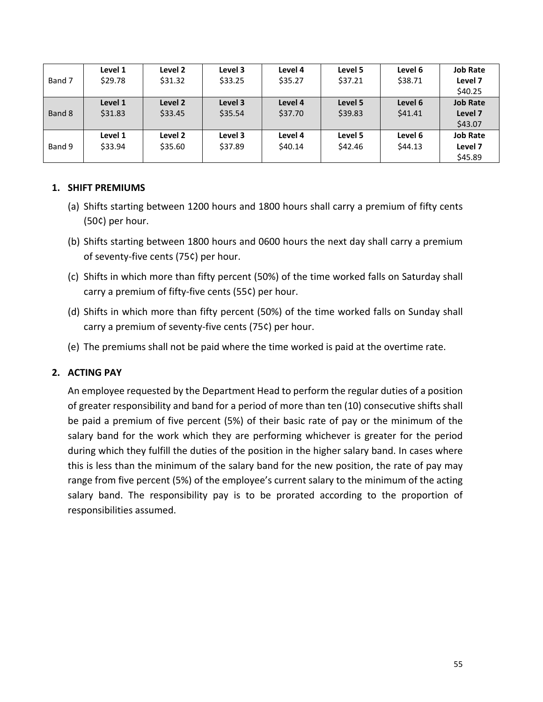| Band 7 | Level 1<br>\$29.78 | Level 2<br>\$31.32 | Level 3<br>\$33.25 | Level 4<br>\$35.27 | Level 5<br>\$37.21 | Level 6<br>\$38.71 | <b>Job Rate</b><br>Level 7<br>\$40.25 |
|--------|--------------------|--------------------|--------------------|--------------------|--------------------|--------------------|---------------------------------------|
| Band 8 | Level 1<br>\$31.83 | Level 2<br>\$33.45 | Level 3<br>\$35.54 | Level 4<br>\$37.70 | Level 5<br>\$39.83 | Level 6<br>\$41.41 | <b>Job Rate</b><br>Level 7<br>\$43.07 |
| Band 9 | Level 1<br>\$33.94 | Level 2<br>\$35.60 | Level 3<br>\$37.89 | Level 4<br>\$40.14 | Level 5<br>\$42.46 | Level 6<br>\$44.13 | <b>Job Rate</b><br>Level 7<br>\$45.89 |

### **1. SHIFT PREMIUMS**

- (a) Shifts starting between 1200 hours and 1800 hours shall carry a premium of fifty cents (50¢) per hour.
- (b) Shifts starting between 1800 hours and 0600 hours the next day shall carry a premium of seventy-five cents (75¢) per hour.
- (c) Shifts in which more than fifty percent (50%) of the time worked falls on Saturday shall carry a premium of fifty-five cents (55¢) per hour.
- (d) Shifts in which more than fifty percent (50%) of the time worked falls on Sunday shall carry a premium of seventy-five cents (75¢) per hour.
- (e) The premiums shall not be paid where the time worked is paid at the overtime rate.

# **2. ACTING PAY**

An employee requested by the Department Head to perform the regular duties of a position of greater responsibility and band for a period of more than ten (10) consecutive shifts shall be paid a premium of five percent (5%) of their basic rate of pay or the minimum of the salary band for the work which they are performing whichever is greater for the period during which they fulfill the duties of the position in the higher salary band. In cases where this is less than the minimum of the salary band for the new position, the rate of pay may range from five percent (5%) of the employee's current salary to the minimum of the acting salary band. The responsibility pay is to be prorated according to the proportion of responsibilities assumed.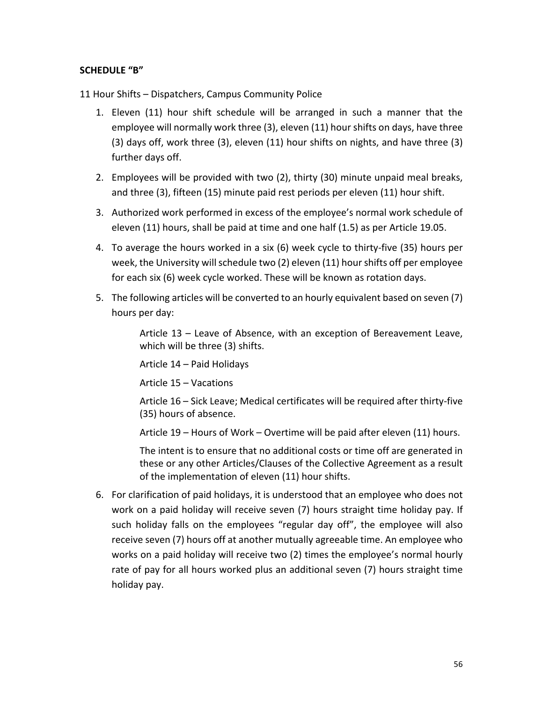# **SCHEDULE "B"**

11 Hour Shifts – Dispatchers, Campus Community Police

- 1. Eleven (11) hour shift schedule will be arranged in such a manner that the employee will normally work three (3), eleven (11) hour shifts on days, have three (3) days off, work three (3), eleven (11) hour shifts on nights, and have three (3) further days off.
- 2. Employees will be provided with two (2), thirty (30) minute unpaid meal breaks, and three (3), fifteen (15) minute paid rest periods per eleven (11) hour shift.
- 3. Authorized work performed in excess of the employee's normal work schedule of eleven (11) hours, shall be paid at time and one half (1.5) as per Article 19.05.
- 4. To average the hours worked in a six (6) week cycle to thirty-five (35) hours per week, the University will schedule two (2) eleven (11) hour shifts off per employee for each six (6) week cycle worked. These will be known as rotation days.
- 5. The following articles will be converted to an hourly equivalent based on seven (7) hours per day:

Article 13 – Leave of Absence, with an exception of Bereavement Leave, which will be three (3) shifts.

Article 14 – Paid Holidays

Article 15 – Vacations

Article 16 – Sick Leave; Medical certificates will be required after thirty-five (35) hours of absence.

Article 19 – Hours of Work – Overtime will be paid after eleven (11) hours.

The intent is to ensure that no additional costs or time off are generated in these or any other Articles/Clauses of the Collective Agreement as a result of the implementation of eleven (11) hour shifts.

6. For clarification of paid holidays, it is understood that an employee who does not work on a paid holiday will receive seven (7) hours straight time holiday pay. If such holiday falls on the employees "regular day off", the employee will also receive seven (7) hours off at another mutually agreeable time. An employee who works on a paid holiday will receive two (2) times the employee's normal hourly rate of pay for all hours worked plus an additional seven (7) hours straight time holiday pay.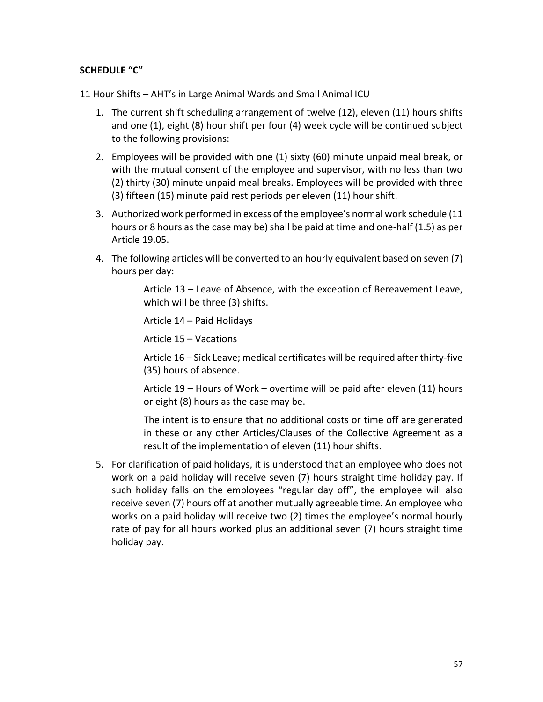# **SCHEDULE "C"**

11 Hour Shifts – AHT's in Large Animal Wards and Small Animal ICU

- 1. The current shift scheduling arrangement of twelve (12), eleven (11) hours shifts and one (1), eight (8) hour shift per four (4) week cycle will be continued subject to the following provisions:
- 2. Employees will be provided with one (1) sixty (60) minute unpaid meal break, or with the mutual consent of the employee and supervisor, with no less than two (2) thirty (30) minute unpaid meal breaks. Employees will be provided with three (3) fifteen (15) minute paid rest periods per eleven (11) hour shift.
- 3. Authorized work performed in excess of the employee's normal work schedule (11 hours or 8 hours as the case may be) shall be paid at time and one-half (1.5) as per Article 19.05.
- 4. The following articles will be converted to an hourly equivalent based on seven (7) hours per day:

Article 13 – Leave of Absence, with the exception of Bereavement Leave, which will be three (3) shifts.

Article 14 – Paid Holidays

Article 15 – Vacations

Article 16 – Sick Leave; medical certificates will be required after thirty-five (35) hours of absence.

Article 19 – Hours of Work – overtime will be paid after eleven (11) hours or eight (8) hours as the case may be.

The intent is to ensure that no additional costs or time off are generated in these or any other Articles/Clauses of the Collective Agreement as a result of the implementation of eleven (11) hour shifts.

5. For clarification of paid holidays, it is understood that an employee who does not work on a paid holiday will receive seven (7) hours straight time holiday pay. If such holiday falls on the employees "regular day off", the employee will also receive seven (7) hours off at another mutually agreeable time. An employee who works on a paid holiday will receive two (2) times the employee's normal hourly rate of pay for all hours worked plus an additional seven (7) hours straight time holiday pay.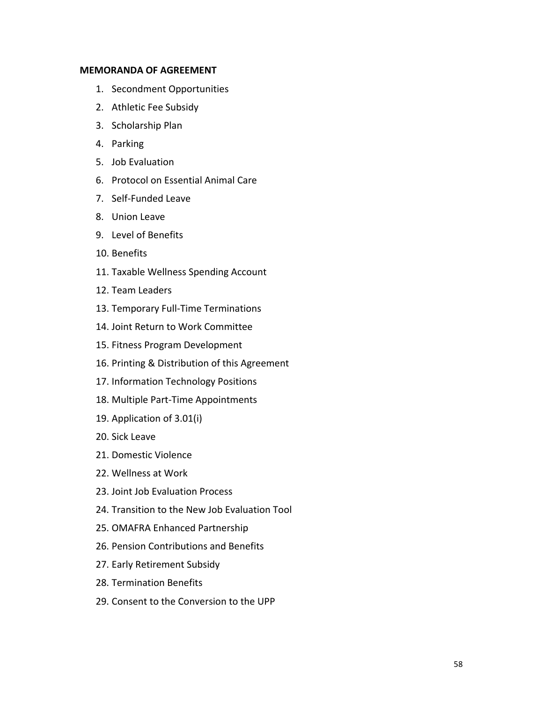#### **MEMORANDA OF AGREEMENT**

- 1. Secondment Opportunities
- 2. Athletic Fee Subsidy
- 3. Scholarship Plan
- 4. Parking
- 5. Job Evaluation
- 6. Protocol on Essential Animal Care
- 7. Self-Funded Leave
- 8. Union Leave
- 9. Level of Benefits
- 10. Benefits
- 11. Taxable Wellness Spending Account
- 12. Team Leaders
- 13. Temporary Full-Time Terminations
- 14. Joint Return to Work Committee
- 15. Fitness Program Development
- 16. Printing & Distribution of this Agreement
- 17. Information Technology Positions
- 18. Multiple Part-Time Appointments
- 19. Application of 3.01(i)
- 20. Sick Leave
- 21. Domestic Violence
- 22. Wellness at Work
- 23. Joint Job Evaluation Process
- 24. Transition to the New Job Evaluation Tool
- 25. OMAFRA Enhanced Partnership
- 26. Pension Contributions and Benefits
- 27. Early Retirement Subsidy
- 28. Termination Benefits
- 29. Consent to the Conversion to the UPP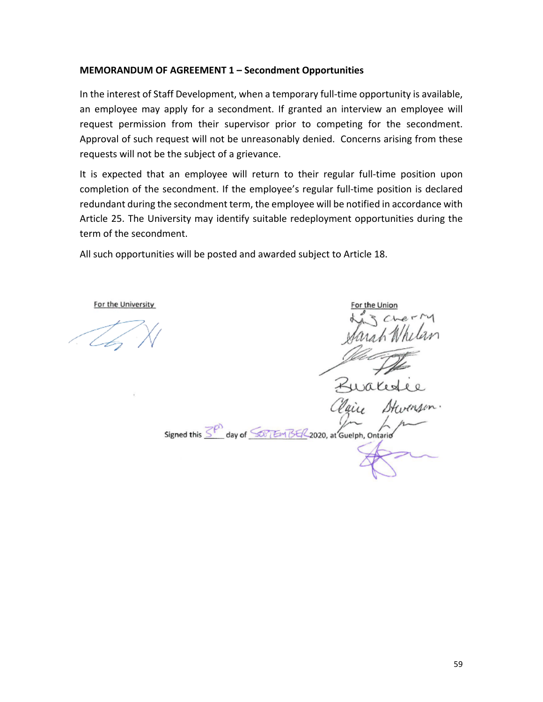#### **MEMORANDUM OF AGREEMENT 1 – Secondment Opportunities**

In the interest of Staff Development, when a temporary full-time opportunity is available, an employee may apply for a secondment. If granted an interview an employee will request permission from their supervisor prior to competing for the secondment. Approval of such request will not be unreasonably denied. Concerns arising from these requests will not be the subject of a grievance.

It is expected that an employee will return to their regular full-time position upon completion of the secondment. If the employee's regular full-time position is declared redundant during the secondment term, the employee will be notified in accordance with Article 25. The University may identify suitable redeployment opportunities during the term of the secondment.

All such opportunities will be posted and awarded subject to Article 18.

or the Unic-Signed this  $\overline{\leq^{\rho}}$  day of  $\overline{\leq\sigma}$  EM BE/L2020, at Guelph, Ontario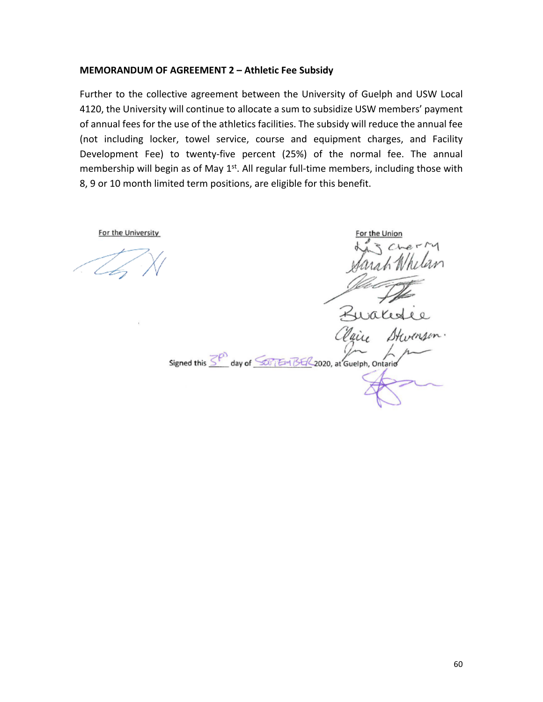#### **MEMORANDUM OF AGREEMENT 2 – Athletic Fee Subsidy**

Further to the collective agreement between the University of Guelph and USW Local 4120, the University will continue to allocate a sum to subsidize USW members' payment of annual fees for the use of the athletics facilities. The subsidy will reduce the annual fee (not including locker, towel service, course and equipment charges, and Facility Development Fee) to twenty-five percent (25%) of the normal fee. The annual membership will begin as of May  $1<sup>st</sup>$ . All regular full-time members, including those with 8, 9 or 10 month limited term positions, are eligible for this benefit.

or the Unior Signed this  $\overline{\leq^{\rho}}$  day of  $\overline{\leq^{\rho}$  Em BE/2020, at Guelph, Ontario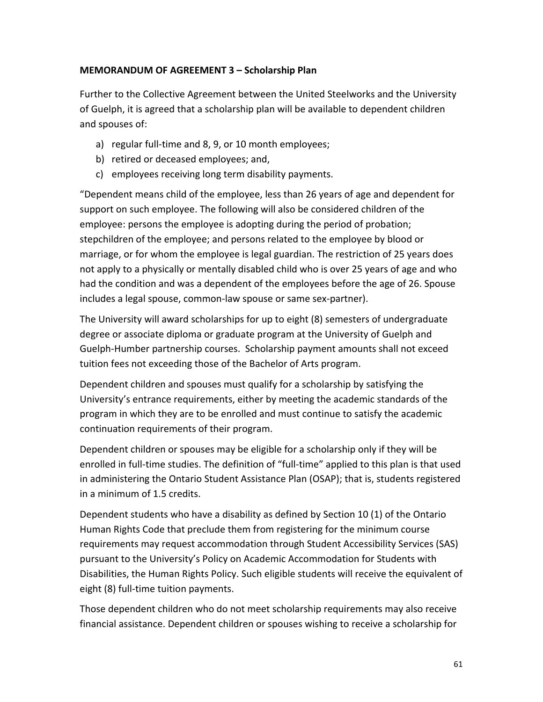### **MEMORANDUM OF AGREEMENT 3 – Scholarship Plan**

Further to the Collective Agreement between the United Steelworks and the University of Guelph, it is agreed that a scholarship plan will be available to dependent children and spouses of:

- a) regular full-time and 8, 9, or 10 month employees;
- b) retired or deceased employees; and,
- c) employees receiving long term disability payments.

"Dependent means child of the employee, less than 26 years of age and dependent for support on such employee. The following will also be considered children of the employee: persons the employee is adopting during the period of probation; stepchildren of the employee; and persons related to the employee by blood or marriage, or for whom the employee is legal guardian. The restriction of 25 years does not apply to a physically or mentally disabled child who is over 25 years of age and who had the condition and was a dependent of the employees before the age of 26. Spouse includes a legal spouse, common-law spouse or same sex-partner).

The University will award scholarships for up to eight (8) semesters of undergraduate degree or associate diploma or graduate program at the University of Guelph and Guelph-Humber partnership courses. Scholarship payment amounts shall not exceed tuition fees not exceeding those of the Bachelor of Arts program.

Dependent children and spouses must qualify for a scholarship by satisfying the University's entrance requirements, either by meeting the academic standards of the program in which they are to be enrolled and must continue to satisfy the academic continuation requirements of their program.

Dependent children or spouses may be eligible for a scholarship only if they will be enrolled in full-time studies. The definition of "full-time" applied to this plan is that used in administering the Ontario Student Assistance Plan (OSAP); that is, students registered in a minimum of 1.5 credits.

Dependent students who have a disability as defined by Section 10 (1) of the Ontario Human Rights Code that preclude them from registering for the minimum course requirements may request accommodation through Student Accessibility Services (SAS) pursuant to the University's Policy on Academic Accommodation for Students with Disabilities, the Human Rights Policy. Such eligible students will receive the equivalent of eight (8) full-time tuition payments.

Those dependent children who do not meet scholarship requirements may also receive financial assistance. Dependent children or spouses wishing to receive a scholarship for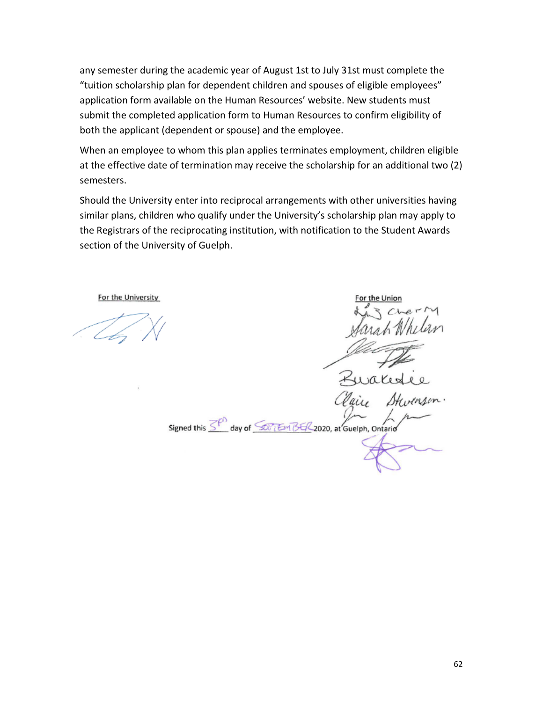any semester during the academic year of August 1st to July 31st must complete the "tuition scholarship plan for dependent children and spouses of eligible employees" application form available on the Human Resources' website. New students must submit the completed application form to Human Resources to confirm eligibility of both the applicant (dependent or spouse) and the employee.

When an employee to whom this plan applies terminates employment, children eligible at the effective date of termination may receive the scholarship for an additional two (2) semesters.

Should the University enter into reciprocal arrangements with other universities having similar plans, children who qualify under the University's scholarship plan may apply to the Registrars of the reciprocating institution, with notification to the Student Awards section of the University of Guelph.

Signed this SP day of SOFTEM BER 2020, at Guelph, Ontario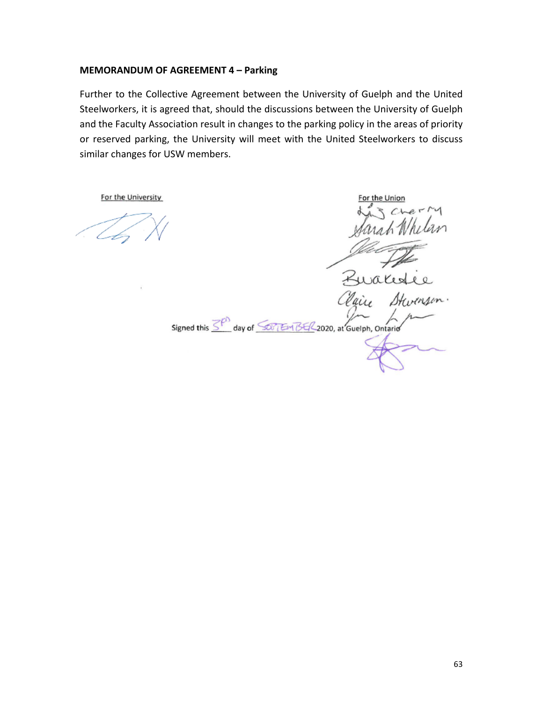#### **MEMORANDUM OF AGREEMENT 4 – Parking**

Further to the Collective Agreement between the University of Guelph and the United Steelworkers, it is agreed that, should the discussions between the University of Guelph and the Faculty Association result in changes to the parking policy in the areas of priority or reserved parking, the University will meet with the United Steelworkers to discuss similar changes for USW members.

For the Union Kurales Signed this SPO day of SOFTEM BER 2020, at Guelph, Ontario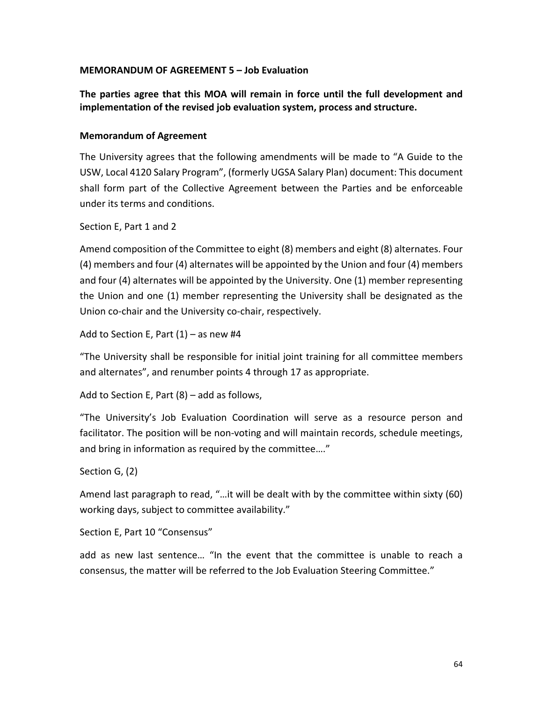#### **MEMORANDUM OF AGREEMENT 5 – Job Evaluation**

**The parties agree that this MOA will remain in force until the full development and implementation of the revised job evaluation system, process and structure.**

#### **Memorandum of Agreement**

The University agrees that the following amendments will be made to "A Guide to the USW, Local 4120 Salary Program", (formerly UGSA Salary Plan) document: This document shall form part of the Collective Agreement between the Parties and be enforceable under its terms and conditions.

Section E, Part 1 and 2

Amend composition of the Committee to eight (8) members and eight (8) alternates. Four (4) members and four (4) alternates will be appointed by the Union and four (4) members and four (4) alternates will be appointed by the University. One (1) member representing the Union and one (1) member representing the University shall be designated as the Union co-chair and the University co-chair, respectively.

Add to Section E, Part  $(1)$  – as new #4

"The University shall be responsible for initial joint training for all committee members and alternates", and renumber points 4 through 17 as appropriate.

Add to Section E, Part (8) – add as follows,

"The University's Job Evaluation Coordination will serve as a resource person and facilitator. The position will be non-voting and will maintain records, schedule meetings, and bring in information as required by the committee…."

Section G, (2)

Amend last paragraph to read, "…it will be dealt with by the committee within sixty (60) working days, subject to committee availability."

Section E, Part 10 "Consensus"

add as new last sentence… "In the event that the committee is unable to reach a consensus, the matter will be referred to the Job Evaluation Steering Committee."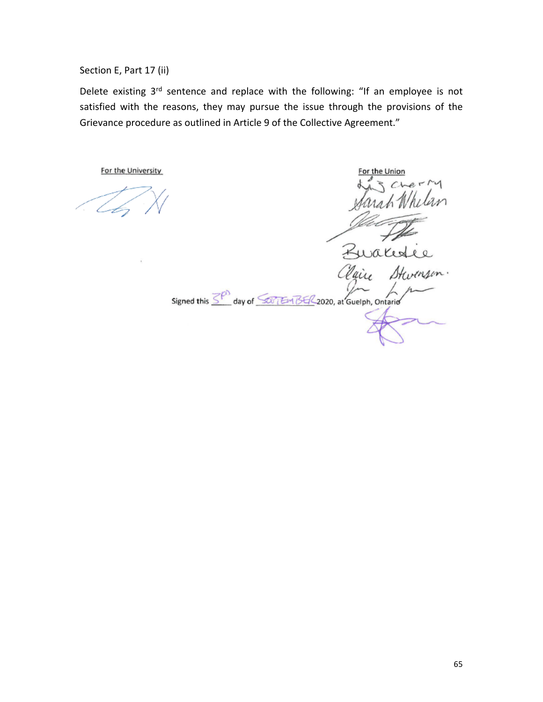Section E, Part 17 (ii)

Delete existing 3<sup>rd</sup> sentence and replace with the following: "If an employee is not satisfied with the reasons, they may pursue the issue through the provisions of the Grievance procedure as outlined in Article 9 of the Collective Agreement."

For the University

Zwales ais Signed this  $\overline{\leq^{\rho}}$  day of  $\overline{\leq^{\rho}$  Em BE/2020, at Guelph, Ontario

For the Unior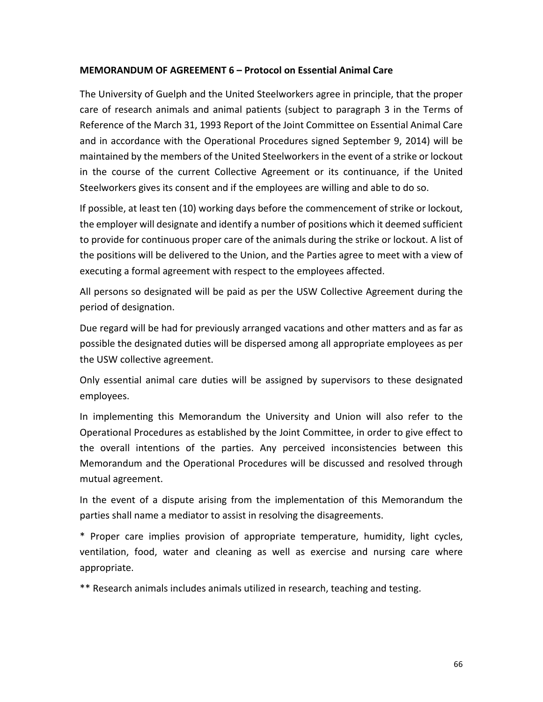#### **MEMORANDUM OF AGREEMENT 6 – Protocol on Essential Animal Care**

The University of Guelph and the United Steelworkers agree in principle, that the proper care of research animals and animal patients (subject to paragraph 3 in the Terms of Reference of the March 31, 1993 Report of the Joint Committee on Essential Animal Care and in accordance with the Operational Procedures signed September 9, 2014) will be maintained by the members of the United Steelworkers in the event of a strike or lockout in the course of the current Collective Agreement or its continuance, if the United Steelworkers gives its consent and if the employees are willing and able to do so.

If possible, at least ten (10) working days before the commencement of strike or lockout, the employer will designate and identify a number of positions which it deemed sufficient to provide for continuous proper care of the animals during the strike or lockout. A list of the positions will be delivered to the Union, and the Parties agree to meet with a view of executing a formal agreement with respect to the employees affected.

All persons so designated will be paid as per the USW Collective Agreement during the period of designation.

Due regard will be had for previously arranged vacations and other matters and as far as possible the designated duties will be dispersed among all appropriate employees as per the USW collective agreement.

Only essential animal care duties will be assigned by supervisors to these designated employees.

In implementing this Memorandum the University and Union will also refer to the Operational Procedures as established by the Joint Committee, in order to give effect to the overall intentions of the parties. Any perceived inconsistencies between this Memorandum and the Operational Procedures will be discussed and resolved through mutual agreement.

In the event of a dispute arising from the implementation of this Memorandum the parties shall name a mediator to assist in resolving the disagreements.

\* Proper care implies provision of appropriate temperature, humidity, light cycles, ventilation, food, water and cleaning as well as exercise and nursing care where appropriate.

\*\* Research animals includes animals utilized in research, teaching and testing.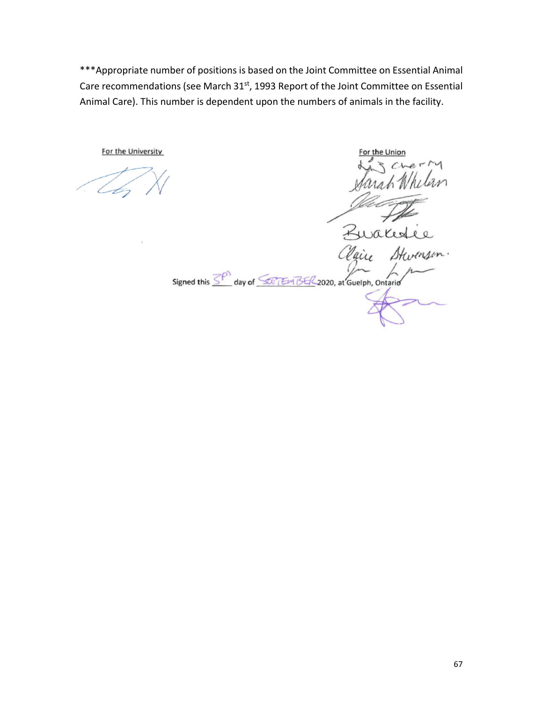\*\*\*Appropriate number of positions is based on the Joint Committee on Essential Animal Care recommendations (see March 31<sup>st</sup>, 1993 Report of the Joint Committee on Essential Animal Care). This number is dependent upon the numbers of animals in the facility.

For the Union Ruales Stw air Signed this 3<sup>P</sup> day of 50 Em BE/2020, at Guelph, Ontario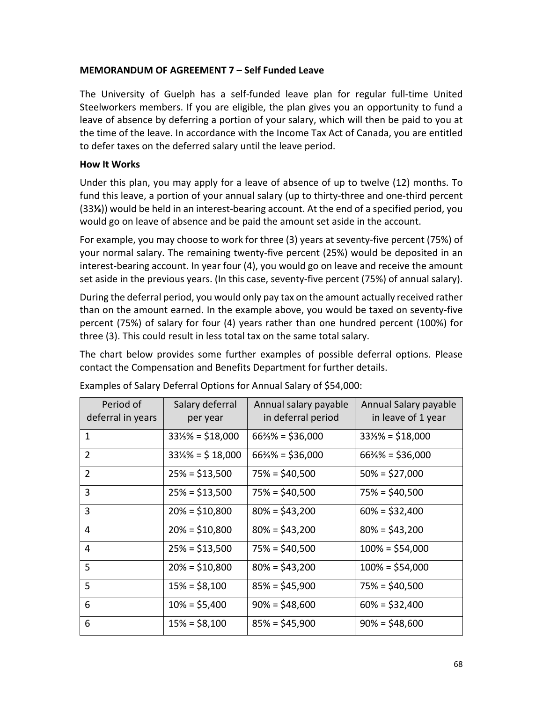#### **MEMORANDUM OF AGREEMENT 7 – Self Funded Leave**

The University of Guelph has a self-funded leave plan for regular full-time United Steelworkers members. If you are eligible, the plan gives you an opportunity to fund a leave of absence by deferring a portion of your salary, which will then be paid to you at the time of the leave. In accordance with the Income Tax Act of Canada, you are entitled to defer taxes on the deferred salary until the leave period.

#### **How It Works**

Under this plan, you may apply for a leave of absence of up to twelve (12) months. To fund this leave, a portion of your annual salary (up to thirty-three and one-third percent (33**⅓**)) would be held in an interest-bearing account. At the end of a specified period, you would go on leave of absence and be paid the amount set aside in the account.

For example, you may choose to work for three (3) years at seventy-five percent (75%) of your normal salary. The remaining twenty-five percent (25%) would be deposited in an interest-bearing account. In year four (4), you would go on leave and receive the amount set aside in the previous years. (In this case, seventy-five percent (75%) of annual salary).

During the deferral period, you would only pay tax on the amount actually received rather than on the amount earned. In the example above, you would be taxed on seventy-five percent (75%) of salary for four (4) years rather than one hundred percent (100%) for three (3). This could result in less total tax on the same total salary.

The chart below provides some further examples of possible deferral options. Please contact the Compensation and Benefits Department for further details.

| Period of<br>deferral in years | Salary deferral<br>per year  | Annual salary payable<br>in deferral period | Annual Salary payable<br>in leave of 1 year |
|--------------------------------|------------------------------|---------------------------------------------|---------------------------------------------|
| $\mathbf{1}$                   | $33\frac{1}{8}$ = \$18,000   | $66\frac{2}{3}\% = $36,000$                 | $33\frac{1}{3}\% = $18,000$                 |
| 2                              | $33\frac{1}{3}\% = $ 18,000$ | $66\frac{2}{3}\% = $36,000$                 | $66\frac{2}{3}\% = $36,000$                 |
| $\overline{2}$                 | $25% = $13,500$              | $75\% = $40,500$                            | $50\% = $27,000$                            |
| 3                              | $25% = $13,500$              | $75% = $40,500$                             | $75\% = $40,500$                            |
| 3                              | $20\% = $10,800$             | $80\% = $43,200$                            | $60\% = $32,400$                            |
| 4                              | $20\% = $10,800$             | $80\% = $43,200$                            | $80\% = $43,200$                            |
| 4                              | $25% = $13,500$              | $75\% = $40,500$                            | $100\% = $54,000$                           |
| 5                              | $20\% = $10,800$             | $80\% = $43,200$                            | $100\% = $54,000$                           |
| 5                              | $15\% = $8,100$              | $85\% = $45,900$                            | $75\% = $40,500$                            |
| 6                              | $10\% = $5,400$              | $90\% = $48,600$                            | $60\% = $32,400$                            |
| 6                              | $15% = $8,100$               | $85\% = $45,900$                            | $90\% = $48,600$                            |

Examples of Salary Deferral Options for Annual Salary of \$54,000: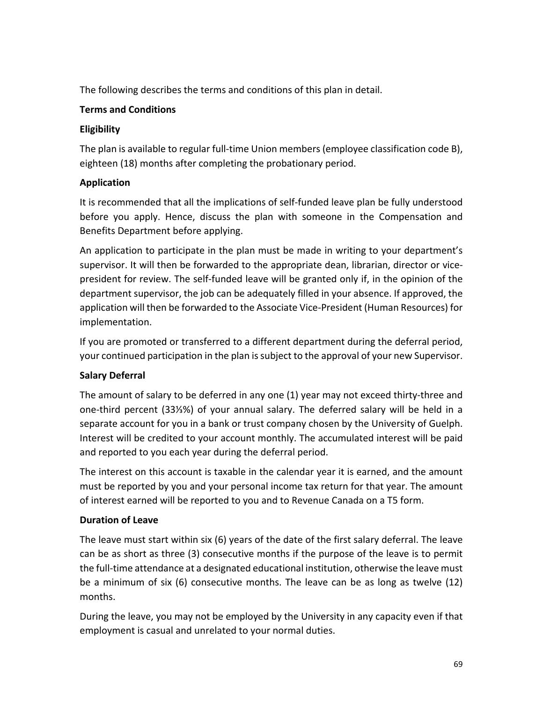The following describes the terms and conditions of this plan in detail.

# **Terms and Conditions**

# **Eligibility**

The plan is available to regular full-time Union members (employee classification code B), eighteen (18) months after completing the probationary period.

# **Application**

It is recommended that all the implications of self-funded leave plan be fully understood before you apply. Hence, discuss the plan with someone in the Compensation and Benefits Department before applying.

An application to participate in the plan must be made in writing to your department's supervisor. It will then be forwarded to the appropriate dean, librarian, director or vicepresident for review. The self-funded leave will be granted only if, in the opinion of the department supervisor, the job can be adequately filled in your absence. If approved, the application will then be forwarded to the Associate Vice-President (Human Resources) for implementation.

If you are promoted or transferred to a different department during the deferral period, your continued participation in the plan is subject to the approval of your new Supervisor.

# **Salary Deferral**

The amount of salary to be deferred in any one (1) year may not exceed thirty-three and one-third percent (33⅓%) of your annual salary. The deferred salary will be held in a separate account for you in a bank or trust company chosen by the University of Guelph. Interest will be credited to your account monthly. The accumulated interest will be paid and reported to you each year during the deferral period.

The interest on this account is taxable in the calendar year it is earned, and the amount must be reported by you and your personal income tax return for that year. The amount of interest earned will be reported to you and to Revenue Canada on a T5 form.

# **Duration of Leave**

The leave must start within six (6) years of the date of the first salary deferral. The leave can be as short as three (3) consecutive months if the purpose of the leave is to permit the full-time attendance at a designated educational institution, otherwise the leave must be a minimum of six (6) consecutive months. The leave can be as long as twelve (12) months.

During the leave, you may not be employed by the University in any capacity even if that employment is casual and unrelated to your normal duties.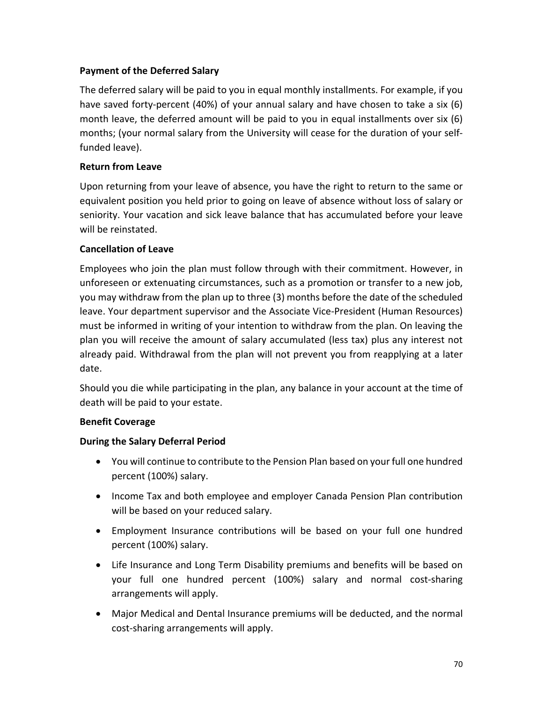# **Payment of the Deferred Salary**

The deferred salary will be paid to you in equal monthly installments. For example, if you have saved forty-percent (40%) of your annual salary and have chosen to take a six (6) month leave, the deferred amount will be paid to you in equal installments over six (6) months; (your normal salary from the University will cease for the duration of your selffunded leave).

# **Return from Leave**

Upon returning from your leave of absence, you have the right to return to the same or equivalent position you held prior to going on leave of absence without loss of salary or seniority. Your vacation and sick leave balance that has accumulated before your leave will be reinstated.

# **Cancellation of Leave**

Employees who join the plan must follow through with their commitment. However, in unforeseen or extenuating circumstances, such as a promotion or transfer to a new job, you may withdraw from the plan up to three (3) months before the date of the scheduled leave. Your department supervisor and the Associate Vice-President (Human Resources) must be informed in writing of your intention to withdraw from the plan. On leaving the plan you will receive the amount of salary accumulated (less tax) plus any interest not already paid. Withdrawal from the plan will not prevent you from reapplying at a later date.

Should you die while participating in the plan, any balance in your account at the time of death will be paid to your estate.

# **Benefit Coverage**

# **During the Salary Deferral Period**

- You will continue to contribute to the Pension Plan based on your full one hundred percent (100%) salary.
- Income Tax and both employee and employer Canada Pension Plan contribution will be based on your reduced salary.
- Employment Insurance contributions will be based on your full one hundred percent (100%) salary.
- Life Insurance and Long Term Disability premiums and benefits will be based on your full one hundred percent (100%) salary and normal cost-sharing arrangements will apply.
- Major Medical and Dental Insurance premiums will be deducted, and the normal cost-sharing arrangements will apply.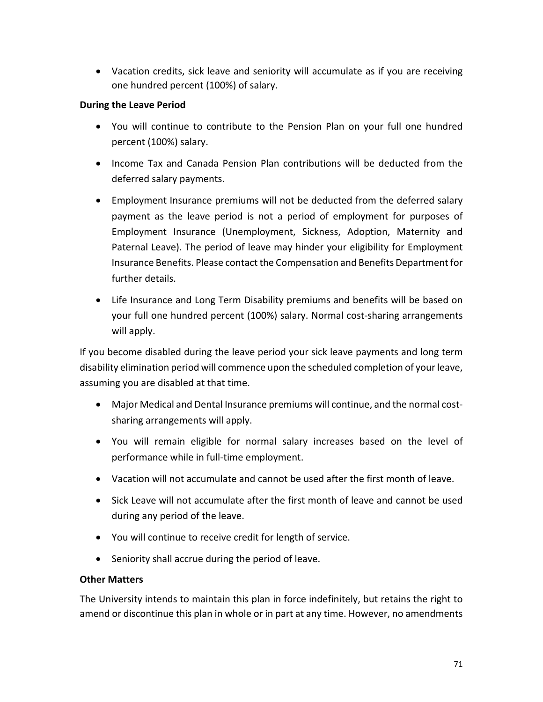• Vacation credits, sick leave and seniority will accumulate as if you are receiving one hundred percent (100%) of salary.

# **During the Leave Period**

- You will continue to contribute to the Pension Plan on your full one hundred percent (100%) salary.
- Income Tax and Canada Pension Plan contributions will be deducted from the deferred salary payments.
- Employment Insurance premiums will not be deducted from the deferred salary payment as the leave period is not a period of employment for purposes of Employment Insurance (Unemployment, Sickness, Adoption, Maternity and Paternal Leave). The period of leave may hinder your eligibility for Employment Insurance Benefits. Please contact the Compensation and Benefits Department for further details.
- Life Insurance and Long Term Disability premiums and benefits will be based on your full one hundred percent (100%) salary. Normal cost-sharing arrangements will apply.

If you become disabled during the leave period your sick leave payments and long term disability elimination period will commence upon the scheduled completion of your leave, assuming you are disabled at that time.

- Major Medical and Dental Insurance premiums will continue, and the normal costsharing arrangements will apply.
- You will remain eligible for normal salary increases based on the level of performance while in full-time employment.
- Vacation will not accumulate and cannot be used after the first month of leave.
- Sick Leave will not accumulate after the first month of leave and cannot be used during any period of the leave.
- You will continue to receive credit for length of service.
- Seniority shall accrue during the period of leave.

### **Other Matters**

The University intends to maintain this plan in force indefinitely, but retains the right to amend or discontinue this plan in whole or in part at any time. However, no amendments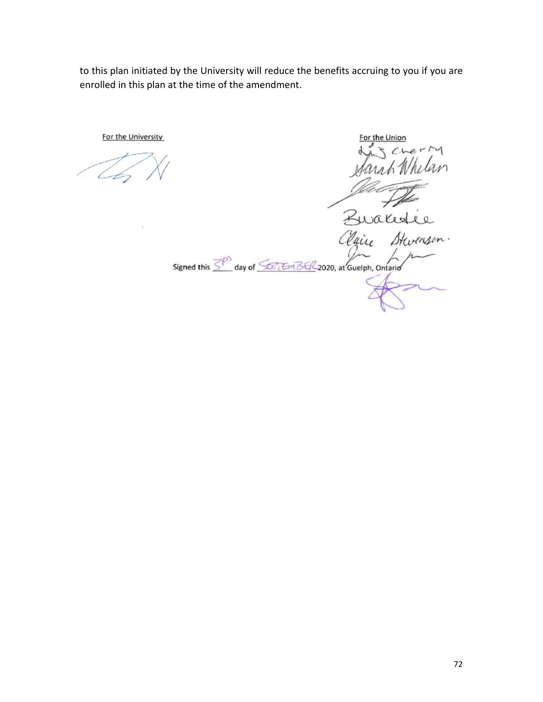to this plan initiated by the University will reduce the benefits accruing to you if you are enrolled in this plan at the time of the amendment.

For the Union  $e-14$  $\overline{M}$ Zwake Claire Start Signed this 3<sup>ph</sup> day of 50 TEM BE/2020, at Guelph, Ontario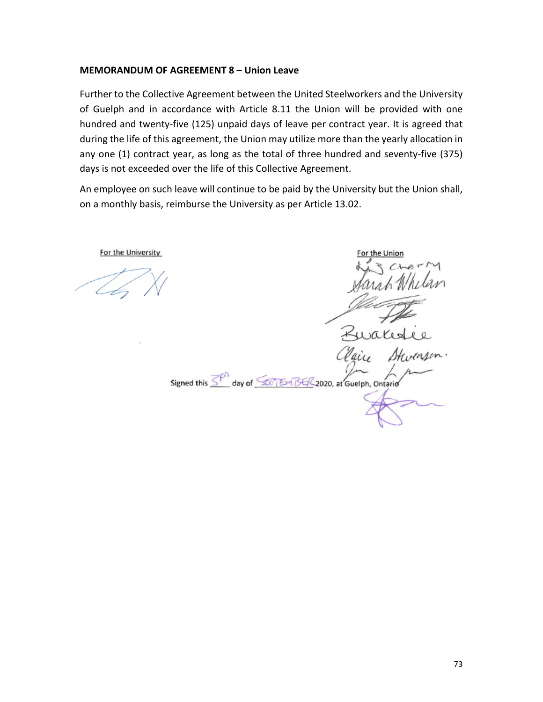### **MEMORANDUM OF AGREEMENT 8 – Union Leave**

Further to the Collective Agreement between the United Steelworkers and the University of Guelph and in accordance with Article 8.11 the Union will be provided with one hundred and twenty-five (125) unpaid days of leave per contract year. It is agreed that during the life of this agreement, the Union may utilize more than the yearly allocation in any one (1) contract year, as long as the total of three hundred and seventy-five (375) days is not exceeded over the life of this Collective Agreement.

An employee on such leave will continue to be paid by the University but the Union shall, on a monthly basis, reimburse the University as per Article 13.02.

or the Unior Kurales Signed this 3<sup>pm</sup> day of 500 TEM BE/2020, at Guelph, Ontario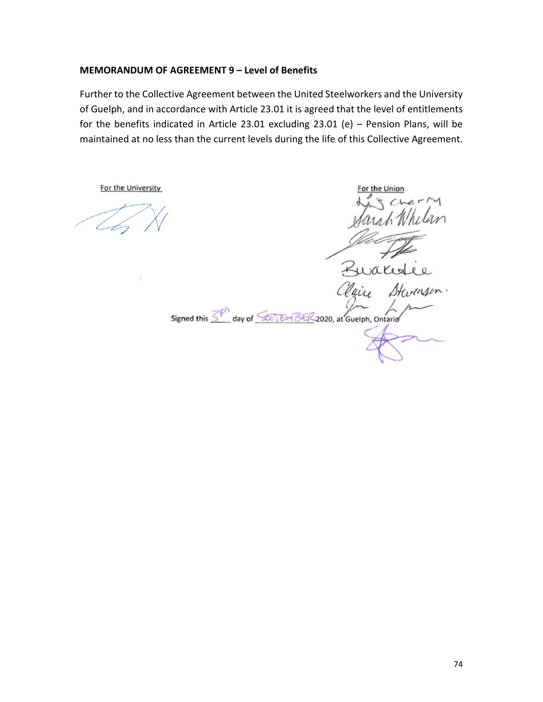### **MEMORANDUM OF AGREEMENT 9 – Level of Benefits**

Further to the Collective Agreement between the United Steelworkers and the University of Guelph, and in accordance with Article 23.01 it is agreed that the level of entitlements for the benefits indicated in Article 23.01 excluding 23.01 (e) – Pension Plans, will be maintained at no less than the current levels during the life of this Collective Agreement.

For the University

Signed this  $\overline{\leq^{\rho}}$  day of  $\overline{\leq v_1 \text{Im }Bf/2}$  2020, at Guelph, Ontario

For the Union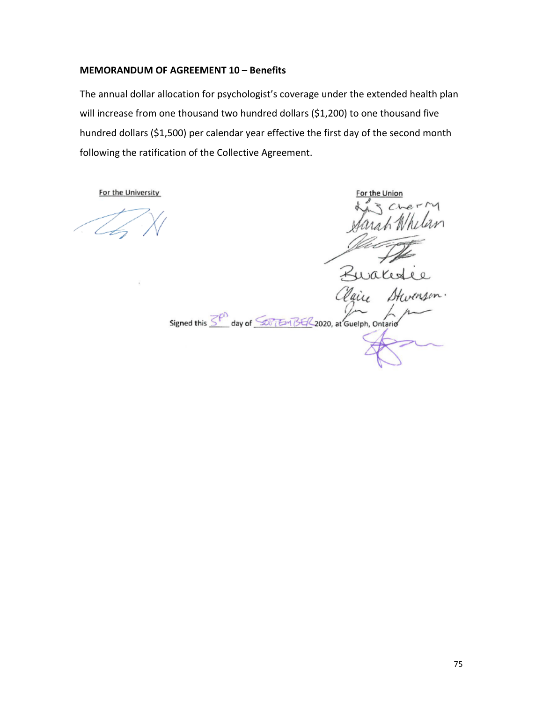### **MEMORANDUM OF AGREEMENT 10 – Benefits**

The annual dollar allocation for psychologist's coverage under the extended health plan will increase from one thousand two hundred dollars (\$1,200) to one thousand five hundred dollars (\$1,500) per calendar year effective the first day of the second month following the ratification of the Collective Agreement.

For the Unio Ruale Stw Signed this  $\overline{\leq^{\rho}}$  day of  $\overline{\leq}$  Em BE/2020, at Guelph, Ontario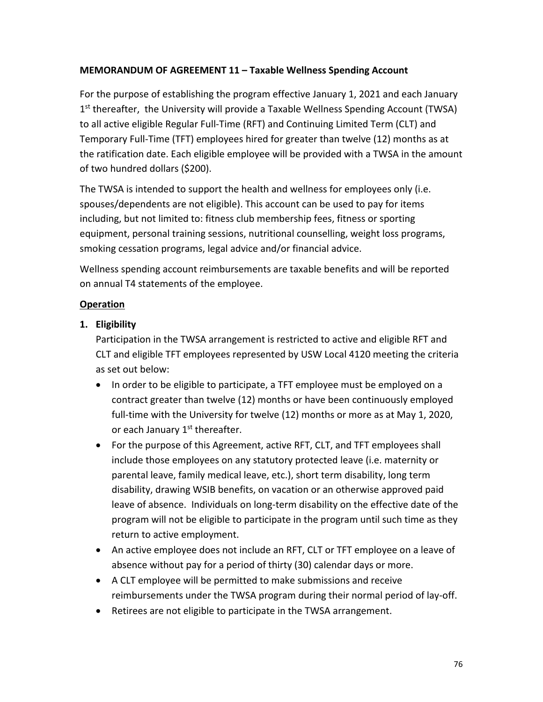# **MEMORANDUM OF AGREEMENT 11 – Taxable Wellness Spending Account**

For the purpose of establishing the program effective January 1, 2021 and each January  $1<sup>st</sup>$  thereafter, the University will provide a Taxable Wellness Spending Account (TWSA) to all active eligible Regular Full-Time (RFT) and Continuing Limited Term (CLT) and Temporary Full-Time (TFT) employees hired for greater than twelve (12) months as at the ratification date. Each eligible employee will be provided with a TWSA in the amount of two hundred dollars (\$200).

The TWSA is intended to support the health and wellness for employees only (i.e. spouses/dependents are not eligible). This account can be used to pay for items including, but not limited to: fitness club membership fees, fitness or sporting equipment, personal training sessions, nutritional counselling, weight loss programs, smoking cessation programs, legal advice and/or financial advice.

Wellness spending account reimbursements are taxable benefits and will be reported on annual T4 statements of the employee.

# **Operation**

# **1. Eligibility**

Participation in the TWSA arrangement is restricted to active and eligible RFT and CLT and eligible TFT employees represented by USW Local 4120 meeting the criteria as set out below:

- In order to be eligible to participate, a TFT employee must be employed on a contract greater than twelve (12) months or have been continuously employed full-time with the University for twelve (12) months or more as at May 1, 2020, or each January 1<sup>st</sup> thereafter.
- For the purpose of this Agreement, active RFT, CLT, and TFT employees shall include those employees on any statutory protected leave (i.e. maternity or parental leave, family medical leave, etc.), short term disability, long term disability, drawing WSIB benefits, on vacation or an otherwise approved paid leave of absence. Individuals on long-term disability on the effective date of the program will not be eligible to participate in the program until such time as they return to active employment.
- An active employee does not include an RFT, CLT or TFT employee on a leave of absence without pay for a period of thirty (30) calendar days or more.
- A CLT employee will be permitted to make submissions and receive reimbursements under the TWSA program during their normal period of lay-off.
- Retirees are not eligible to participate in the TWSA arrangement.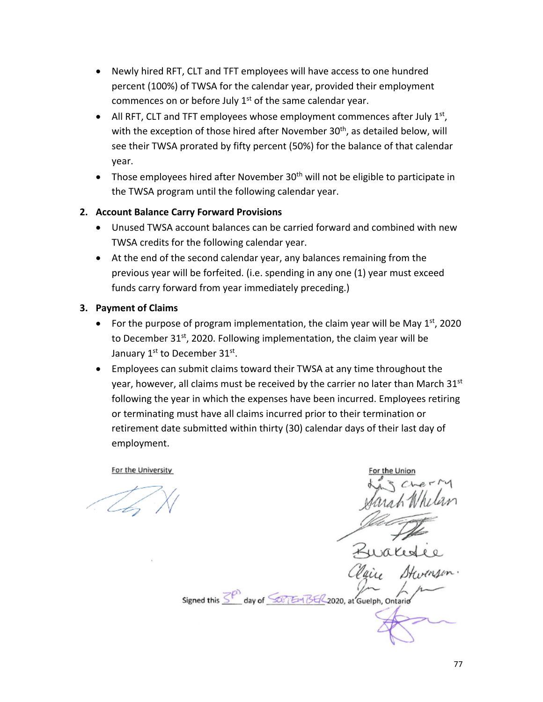- Newly hired RFT, CLT and TFT employees will have access to one hundred percent (100%) of TWSA for the calendar year, provided their employment commences on or before July  $1<sup>st</sup>$  of the same calendar year.
- All RFT, CLT and TFT employees whose employment commences after July  $1<sup>st</sup>$ , with the exception of those hired after November 30<sup>th</sup>, as detailed below, will see their TWSA prorated by fifty percent (50%) for the balance of that calendar year.
- Those employees hired after November  $30<sup>th</sup>$  will not be eligible to participate in the TWSA program until the following calendar year.

# **2. Account Balance Carry Forward Provisions**

- Unused TWSA account balances can be carried forward and combined with new TWSA credits for the following calendar year.
- At the end of the second calendar year, any balances remaining from the previous year will be forfeited. (i.e. spending in any one (1) year must exceed funds carry forward from year immediately preceding.)

# **3. Payment of Claims**

- For the purpose of program implementation, the claim year will be May  $1<sup>st</sup>$ , 2020 to December 31st, 2020. Following implementation, the claim year will be January 1<sup>st</sup> to December 31st.
- Employees can submit claims toward their TWSA at any time throughout the year, however, all claims must be received by the carrier no later than March  $31<sup>st</sup>$ following the year in which the expenses have been incurred. Employees retiring or terminating must have all claims incurred prior to their termination or retirement date submitted within thirty (30) calendar days of their last day of employment.

Signed this  $\overline{\leq^{\rho}}$  day of  $\overline{\leq}$  EM BE/2020, at Guelph, Ontario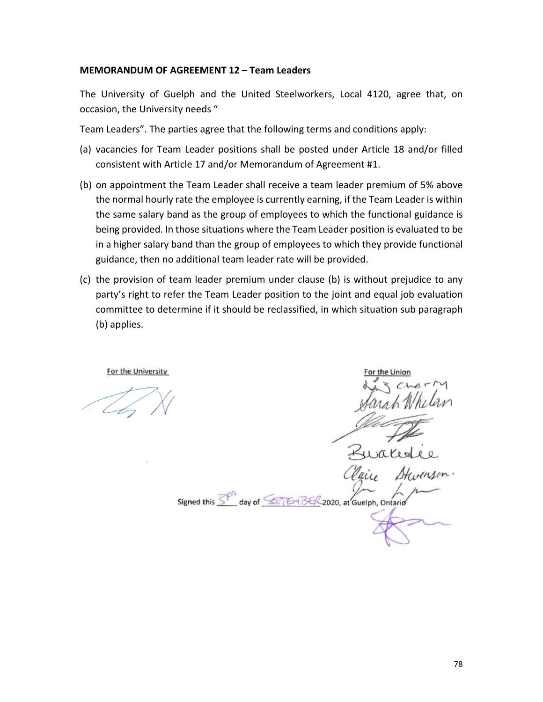#### **MEMORANDUM OF AGREEMENT 12 – Team Leaders**

The University of Guelph and the United Steelworkers, Local 4120, agree that, on occasion, the University needs "

Team Leaders". The parties agree that the following terms and conditions apply:

- (a) vacancies for Team Leader positions shall be posted under Article 18 and/or filled consistent with Article 17 and/or Memorandum of Agreement #1.
- (b) on appointment the Team Leader shall receive a team leader premium of 5% above the normal hourly rate the employee is currently earning, if the Team Leader is within the same salary band as the group of employees to which the functional guidance is being provided. In those situations where the Team Leader position is evaluated to be in a higher salary band than the group of employees to which they provide functional guidance, then no additional team leader rate will be provided.
- (c) the provision of team leader premium under clause (b) is without prejudice to any party's right to refer the Team Leader position to the joint and equal job evaluation committee to determine if it should be reclassified, in which situation sub paragraph (b) applies.

Signed this SP day of SOFTEM BER 2020, at Guelph, Ontario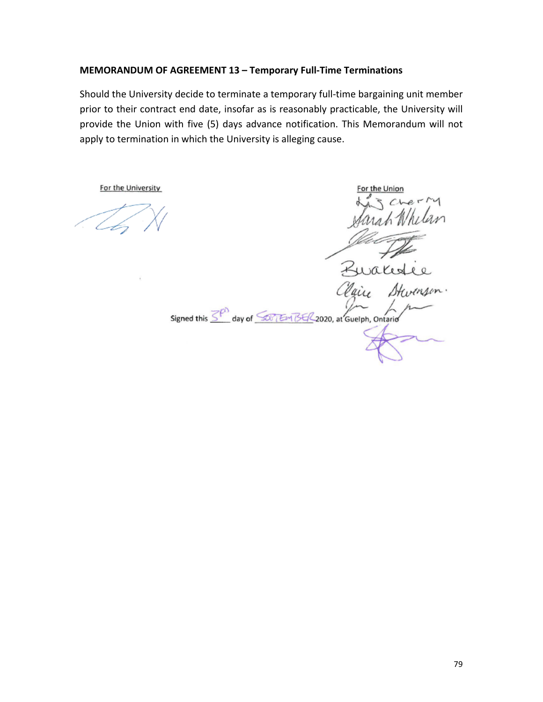# **MEMORANDUM OF AGREEMENT 13 – Temporary Full-Time Terminations**

Should the University decide to terminate a temporary full-time bargaining unit member prior to their contract end date, insofar as is reasonably practicable, the University will provide the Union with five (5) days advance notification. This Memorandum will not apply to termination in which the University is alleging cause.

For the Union Signed this  $\overline{\leq^{\rho}}$  day of  $\overline{\leq}$  EM BE/2020, at Guelph, Ontario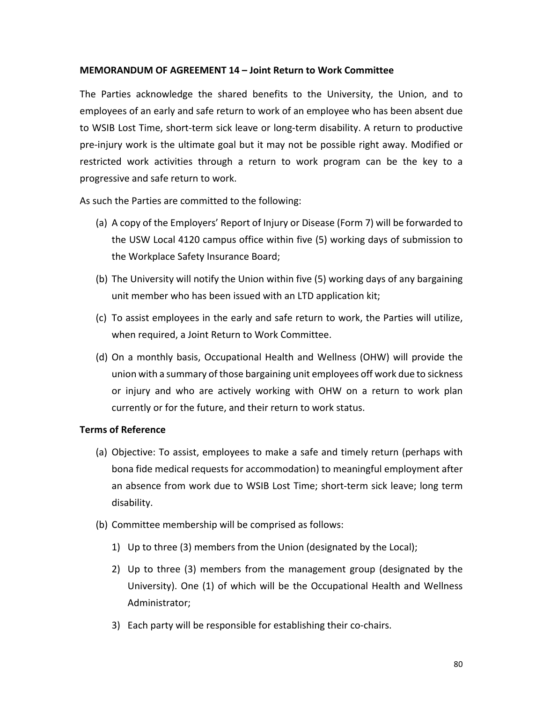### **MEMORANDUM OF AGREEMENT 14 – Joint Return to Work Committee**

The Parties acknowledge the shared benefits to the University, the Union, and to employees of an early and safe return to work of an employee who has been absent due to WSIB Lost Time, short-term sick leave or long-term disability. A return to productive pre-injury work is the ultimate goal but it may not be possible right away. Modified or restricted work activities through a return to work program can be the key to a progressive and safe return to work.

As such the Parties are committed to the following:

- (a) A copy of the Employers' Report of Injury or Disease (Form 7) will be forwarded to the USW Local 4120 campus office within five (5) working days of submission to the Workplace Safety Insurance Board;
- (b) The University will notify the Union within five (5) working days of any bargaining unit member who has been issued with an LTD application kit;
- (c) To assist employees in the early and safe return to work, the Parties will utilize, when required, a Joint Return to Work Committee.
- (d) On a monthly basis, Occupational Health and Wellness (OHW) will provide the union with a summary of those bargaining unit employees off work due to sickness or injury and who are actively working with OHW on a return to work plan currently or for the future, and their return to work status.

### **Terms of Reference**

- (a) Objective: To assist, employees to make a safe and timely return (perhaps with bona fide medical requests for accommodation) to meaningful employment after an absence from work due to WSIB Lost Time; short-term sick leave; long term disability.
- (b) Committee membership will be comprised as follows:
	- 1) Up to three (3) members from the Union (designated by the Local);
	- 2) Up to three (3) members from the management group (designated by the University). One (1) of which will be the Occupational Health and Wellness Administrator;
	- 3) Each party will be responsible for establishing their co-chairs.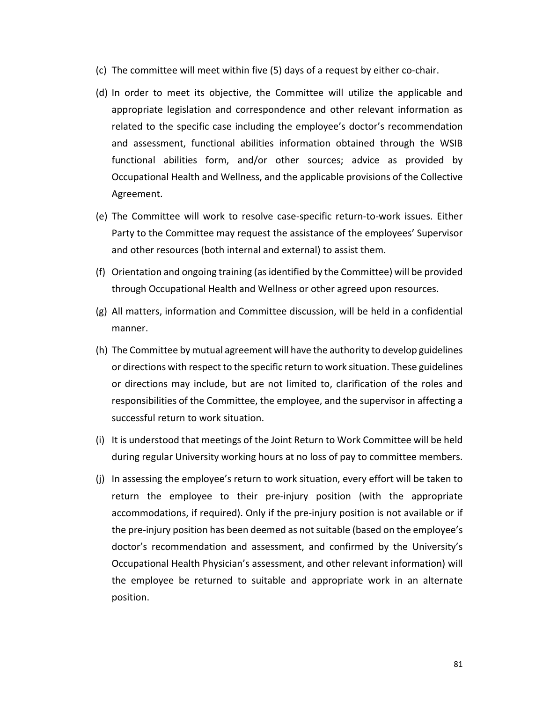- (c) The committee will meet within five (5) days of a request by either co-chair.
- (d) In order to meet its objective, the Committee will utilize the applicable and appropriate legislation and correspondence and other relevant information as related to the specific case including the employee's doctor's recommendation and assessment, functional abilities information obtained through the WSIB functional abilities form, and/or other sources; advice as provided by Occupational Health and Wellness, and the applicable provisions of the Collective Agreement.
- (e) The Committee will work to resolve case-specific return-to-work issues. Either Party to the Committee may request the assistance of the employees' Supervisor and other resources (both internal and external) to assist them.
- (f) Orientation and ongoing training (as identified by the Committee) will be provided through Occupational Health and Wellness or other agreed upon resources.
- (g) All matters, information and Committee discussion, will be held in a confidential manner.
- (h) The Committee by mutual agreement will have the authority to develop guidelines or directions with respect to the specific return to work situation. These guidelines or directions may include, but are not limited to, clarification of the roles and responsibilities of the Committee, the employee, and the supervisor in affecting a successful return to work situation.
- (i) It is understood that meetings of the Joint Return to Work Committee will be held during regular University working hours at no loss of pay to committee members.
- (j) In assessing the employee's return to work situation, every effort will be taken to return the employee to their pre-injury position (with the appropriate accommodations, if required). Only if the pre-injury position is not available or if the pre-injury position has been deemed as not suitable (based on the employee's doctor's recommendation and assessment, and confirmed by the University's Occupational Health Physician's assessment, and other relevant information) will the employee be returned to suitable and appropriate work in an alternate position.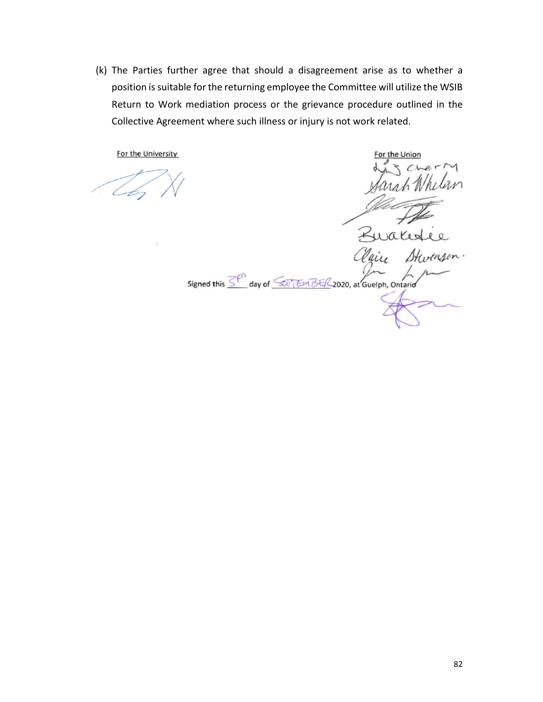(k) The Parties further agree that should a disagreement arise as to whether a position is suitable for the returning employee the Committee will utilize the WSIB Return to Work mediation process or the grievance procedure outlined in the Collective Agreement where such illness or injury is not work related.

For the Union Ruales Stw Vain Signed this SP<sup>3</sup> day of SOFTEM BER 2020, at Guelph, Ontario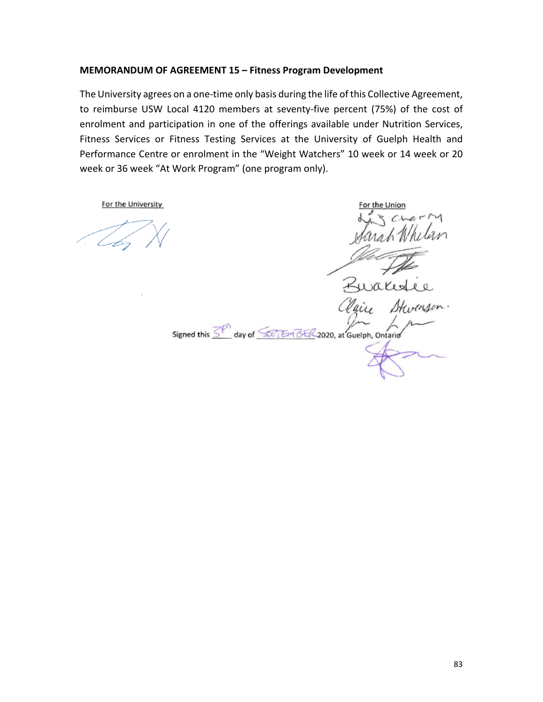### **MEMORANDUM OF AGREEMENT 15 – Fitness Program Development**

The University agrees on a one-time only basis during the life of this Collective Agreement, to reimburse USW Local 4120 members at seventy-five percent (75%) of the cost of enrolment and participation in one of the offerings available under Nutrition Services, Fitness Services or Fitness Testing Services at the University of Guelph Health and Performance Centre or enrolment in the "Weight Watchers" 10 week or 14 week or 20 week or 36 week "At Work Program" (one program only).

Signed this  $\overline{\leq^{\rho}}$  day of  $\overline{\leq^{\rho}$  EM BE/2020, at Guelph, Ontario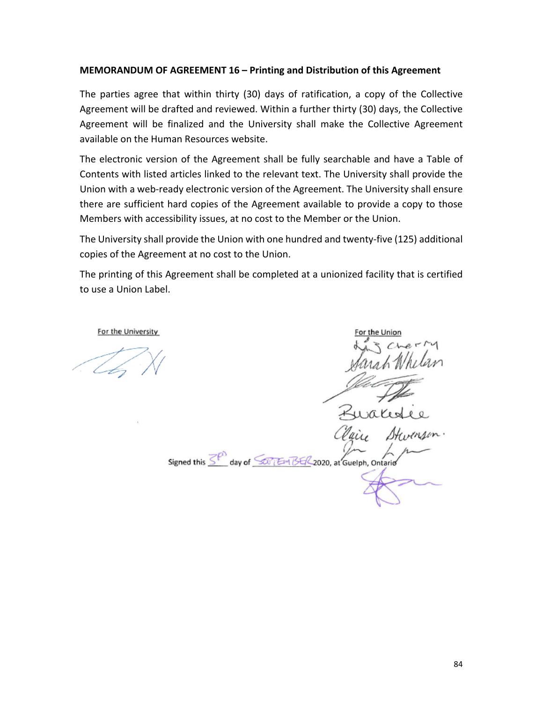### **MEMORANDUM OF AGREEMENT 16 – Printing and Distribution of this Agreement**

The parties agree that within thirty (30) days of ratification, a copy of the Collective Agreement will be drafted and reviewed. Within a further thirty (30) days, the Collective Agreement will be finalized and the University shall make the Collective Agreement available on the Human Resources website.

The electronic version of the Agreement shall be fully searchable and have a Table of Contents with listed articles linked to the relevant text. The University shall provide the Union with a web-ready electronic version of the Agreement. The University shall ensure there are sufficient hard copies of the Agreement available to provide a copy to those Members with accessibility issues, at no cost to the Member or the Union.

The University shall provide the Union with one hundred and twenty-five (125) additional copies of the Agreement at no cost to the Union.

The printing of this Agreement shall be completed at a unionized facility that is certified to use a Union Label.

Signed this 3<sup>00</sup> day of 500 (EM BE/2020, at Guelph, Ontario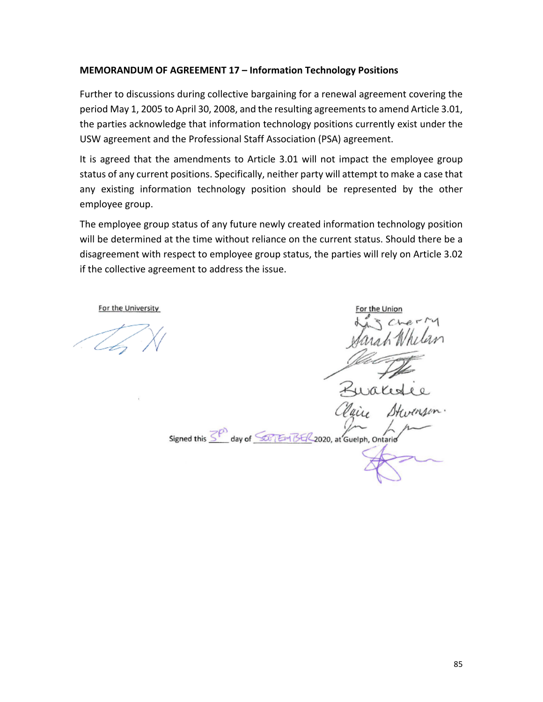### **MEMORANDUM OF AGREEMENT 17 – Information Technology Positions**

Further to discussions during collective bargaining for a renewal agreement covering the period May 1, 2005 to April 30, 2008, and the resulting agreements to amend Article 3.01, the parties acknowledge that information technology positions currently exist under the USW agreement and the Professional Staff Association (PSA) agreement.

It is agreed that the amendments to Article 3.01 will not impact the employee group status of any current positions. Specifically, neither party will attempt to make a case that any existing information technology position should be represented by the other employee group.

The employee group status of any future newly created information technology position will be determined at the time without reliance on the current status. Should there be a disagreement with respect to employee group status, the parties will rely on Article 3.02 if the collective agreement to address the issue.

Signed this  $\overline{\leq^{\rho}}$  day of  $\overline{\leq^{\rho}$  EM BE/2020, at Guelph, Ontario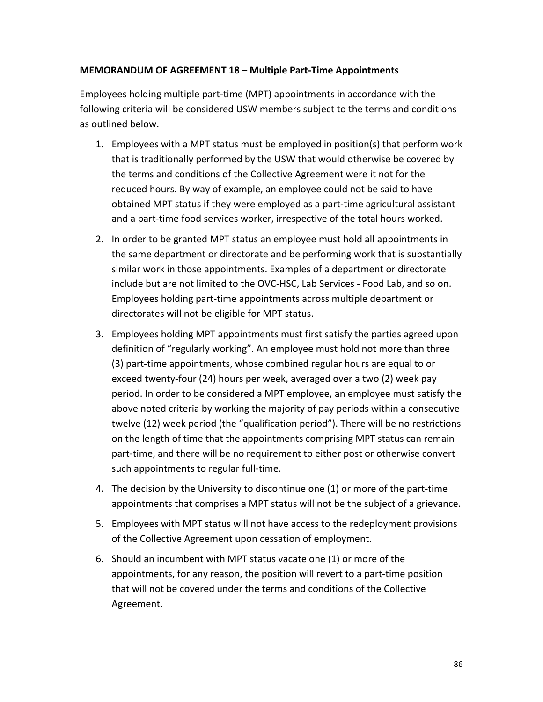# **MEMORANDUM OF AGREEMENT 18 – Multiple Part-Time Appointments**

Employees holding multiple part-time (MPT) appointments in accordance with the following criteria will be considered USW members subject to the terms and conditions as outlined below.

- 1. Employees with a MPT status must be employed in position(s) that perform work that is traditionally performed by the USW that would otherwise be covered by the terms and conditions of the Collective Agreement were it not for the reduced hours. By way of example, an employee could not be said to have obtained MPT status if they were employed as a part-time agricultural assistant and a part-time food services worker, irrespective of the total hours worked.
- 2. In order to be granted MPT status an employee must hold all appointments in the same department or directorate and be performing work that is substantially similar work in those appointments. Examples of a department or directorate include but are not limited to the OVC-HSC, Lab Services - Food Lab, and so on. Employees holding part-time appointments across multiple department or directorates will not be eligible for MPT status.
- 3. Employees holding MPT appointments must first satisfy the parties agreed upon definition of "regularly working". An employee must hold not more than three (3) part-time appointments, whose combined regular hours are equal to or exceed twenty-four (24) hours per week, averaged over a two (2) week pay period. In order to be considered a MPT employee, an employee must satisfy the above noted criteria by working the majority of pay periods within a consecutive twelve (12) week period (the "qualification period"). There will be no restrictions on the length of time that the appointments comprising MPT status can remain part-time, and there will be no requirement to either post or otherwise convert such appointments to regular full-time.
- 4. The decision by the University to discontinue one (1) or more of the part-time appointments that comprises a MPT status will not be the subject of a grievance.
- 5. Employees with MPT status will not have access to the redeployment provisions of the Collective Agreement upon cessation of employment.
- 6. Should an incumbent with MPT status vacate one (1) or more of the appointments, for any reason, the position will revert to a part-time position that will not be covered under the terms and conditions of the Collective Agreement.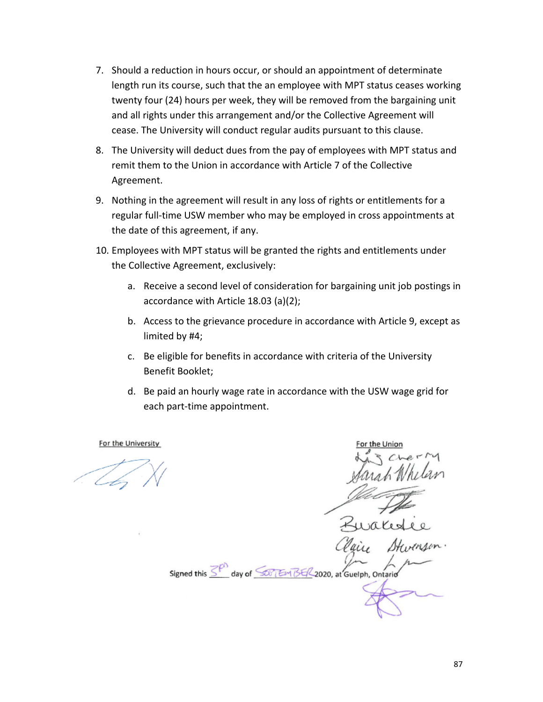- 7. Should a reduction in hours occur, or should an appointment of determinate length run its course, such that the an employee with MPT status ceases working twenty four (24) hours per week, they will be removed from the bargaining unit and all rights under this arrangement and/or the Collective Agreement will cease. The University will conduct regular audits pursuant to this clause.
- 8. The University will deduct dues from the pay of employees with MPT status and remit them to the Union in accordance with Article 7 of the Collective Agreement.
- 9. Nothing in the agreement will result in any loss of rights or entitlements for a regular full-time USW member who may be employed in cross appointments at the date of this agreement, if any.
- 10. Employees with MPT status will be granted the rights and entitlements under the Collective Agreement, exclusively:
	- a. Receive a second level of consideration for bargaining unit job postings in accordance with Article 18.03 (a)(2);
	- b. Access to the grievance procedure in accordance with Article 9, except as limited by #4;
	- c. Be eligible for benefits in accordance with criteria of the University Benefit Booklet;
	- d. Be paid an hourly wage rate in accordance with the USW wage grid for each part-time appointment.

Signed this 3 day of 50 154 34 2020, at Guelph, Ontari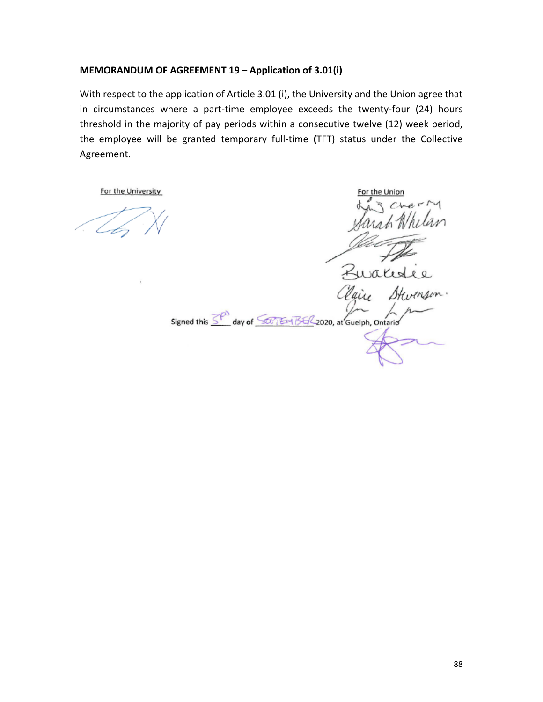# **MEMORANDUM OF AGREEMENT 19 – Application of 3.01(i)**

With respect to the application of Article 3.01 (i), the University and the Union agree that in circumstances where a part-time employee exceeds the twenty-four (24) hours threshold in the majority of pay periods within a consecutive twelve (12) week period, the employee will be granted temporary full-time (TFT) status under the Collective Agreement.

For the Union Signed this SP day of SOFTEM BER 2020, at Guelph, Ontario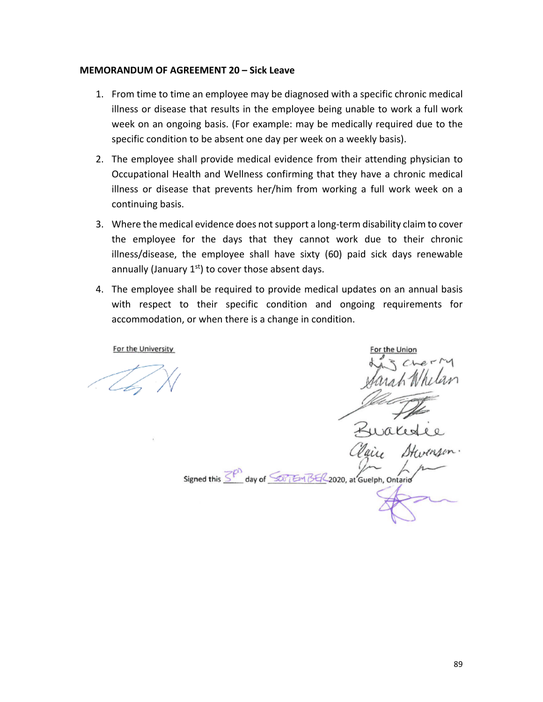#### **MEMORANDUM OF AGREEMENT 20 – Sick Leave**

- 1. From time to time an employee may be diagnosed with a specific chronic medical illness or disease that results in the employee being unable to work a full work week on an ongoing basis. (For example: may be medically required due to the specific condition to be absent one day per week on a weekly basis).
- 2. The employee shall provide medical evidence from their attending physician to Occupational Health and Wellness confirming that they have a chronic medical illness or disease that prevents her/him from working a full work week on a continuing basis.
- 3. Where the medical evidence does not support a long-term disability claim to cover the employee for the days that they cannot work due to their chronic illness/disease, the employee shall have sixty (60) paid sick days renewable annually (January  $1<sup>st</sup>$ ) to cover those absent days.
- 4. The employee shall be required to provide medical updates on an annual basis with respect to their specific condition and ongoing requirements for accommodation, or when there is a change in condition.

 $28YR$ Signed this SP day of SOFTEM BER 2020, at Guelph, Ontario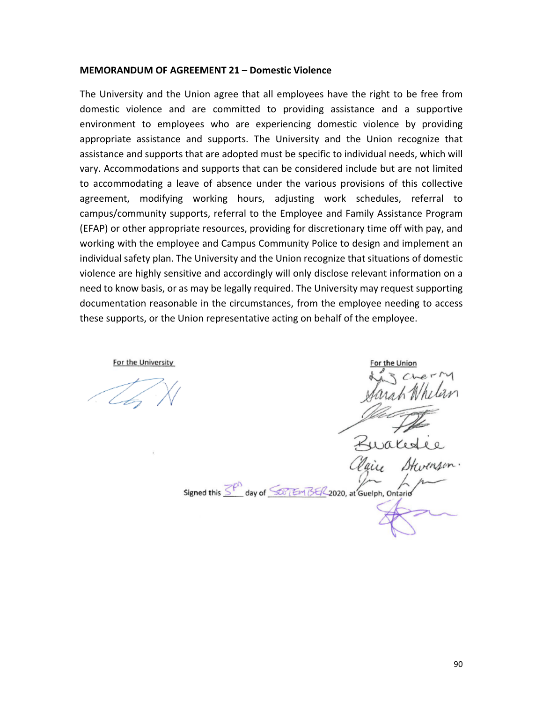#### **MEMORANDUM OF AGREEMENT 21 – Domestic Violence**

The University and the Union agree that all employees have the right to be free from domestic violence and are committed to providing assistance and a supportive environment to employees who are experiencing domestic violence by providing appropriate assistance and supports. The University and the Union recognize that assistance and supports that are adopted must be specific to individual needs, which will vary. Accommodations and supports that can be considered include but are not limited to accommodating a leave of absence under the various provisions of this collective agreement, modifying working hours, adjusting work schedules, referral to campus/community supports, referral to the Employee and Family Assistance Program (EFAP) or other appropriate resources, providing for discretionary time off with pay, and working with the employee and Campus Community Police to design and implement an individual safety plan. The University and the Union recognize that situations of domestic violence are highly sensitive and accordingly will only disclose relevant information on a need to know basis, or as may be legally required. The University may request supporting documentation reasonable in the circumstances, from the employee needing to access these supports, or the Union representative acting on behalf of the employee.

or the Unior Signed this SP day of SOFTEM BER 2020, at Guelph, Ontario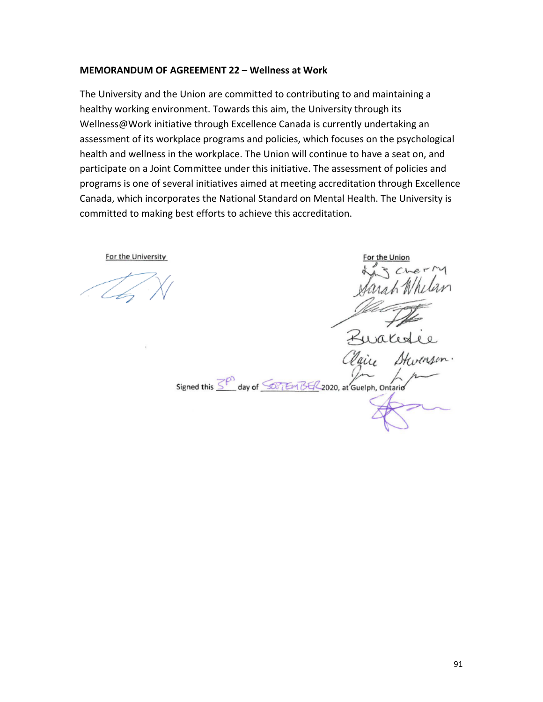#### **MEMORANDUM OF AGREEMENT 22 – Wellness at Work**

The University and the Union are committed to contributing to and maintaining a healthy working environment. Towards this aim, the University through its Wellness@Work initiative through Excellence Canada is currently undertaking an assessment of its workplace programs and policies, which focuses on the psychological health and wellness in the workplace. The Union will continue to have a seat on, and participate on a Joint Committee under this initiative. The assessment of policies and programs is one of several initiatives aimed at meeting accreditation through Excellence Canada, which incorporates the National Standard on Mental Health. The University is committed to making best efforts to achieve this accreditation.

For the University

Signed this SP day of SOFTEM BER 2020, at Guelph, Ontario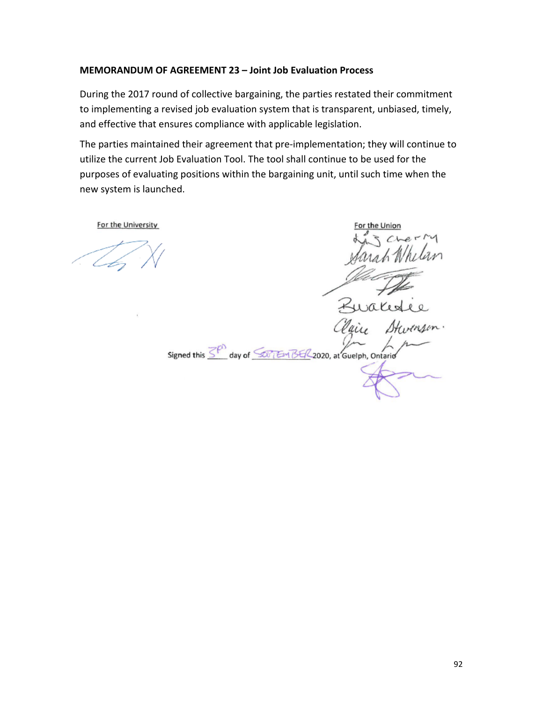## **MEMORANDUM OF AGREEMENT 23 – Joint Job Evaluation Process**

During the 2017 round of collective bargaining, the parties restated their commitment to implementing a revised job evaluation system that is transparent, unbiased, timely, and effective that ensures compliance with applicable legislation.

The parties maintained their agreement that pre-implementation; they will continue to utilize the current Job Evaluation Tool. The tool shall continue to be used for the purposes of evaluating positions within the bargaining unit, until such time when the new system is launched.

For the University wake Signed this  $\overline{\leq^{\rho}}$  day of  $\overline{\leq v}$  EM BE/2020, at Guelph, Ontario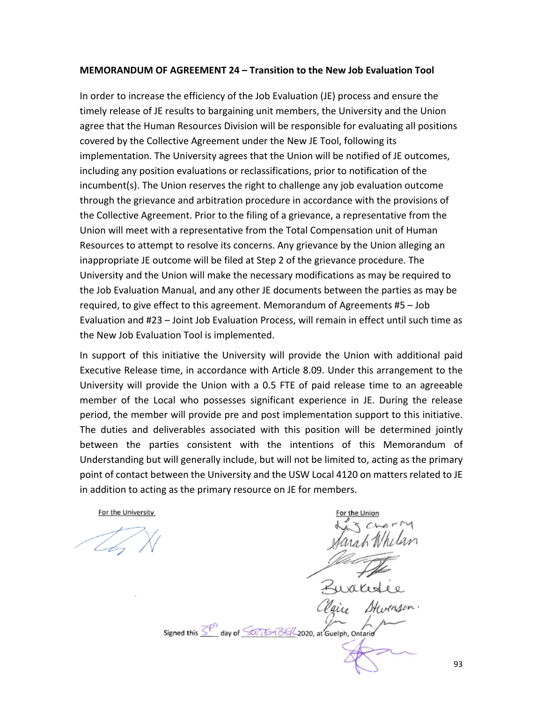#### **MEMORANDUM OF AGREEMENT 24 – Transition to the New Job Evaluation Tool**

In order to increase the efficiency of the Job Evaluation (JE) process and ensure the timely release of JE results to bargaining unit members, the University and the Union agree that the Human Resources Division will be responsible for evaluating all positions covered by the Collective Agreement under the New JE Tool, following its implementation. The University agrees that the Union will be notified of JE outcomes, including any position evaluations or reclassifications, prior to notification of the incumbent(s). The Union reserves the right to challenge any job evaluation outcome through the grievance and arbitration procedure in accordance with the provisions of the Collective Agreement. Prior to the filing of a grievance, a representative from the Union will meet with a representative from the Total Compensation unit of Human Resources to attempt to resolve its concerns. Any grievance by the Union alleging an inappropriate JE outcome will be filed at Step 2 of the grievance procedure. The University and the Union will make the necessary modifications as may be required to the Job Evaluation Manual, and any other JE documents between the parties as may be required, to give effect to this agreement. Memorandum of Agreements #5 – Job Evaluation and #23 – Joint Job Evaluation Process, will remain in effect until such time as the New Job Evaluation Tool is implemented.

In support of this initiative the University will provide the Union with additional paid Executive Release time, in accordance with Article 8.09. Under this arrangement to the University will provide the Union with a 0.5 FTE of paid release time to an agreeable member of the Local who possesses significant experience in JE. During the release period, the member will provide pre and post implementation support to this initiative. The duties and deliverables associated with this position will be determined jointly between the parties consistent with the intentions of this Memorandum of Understanding but will generally include, but will not be limited to, acting as the primary point of contact between the University and the USW Local 4120 on matters related to JE in addition to acting as the primary resource on JE for members.

For the University

Signed this SP day of SUTEM BER 2020, at Guelph, Ontario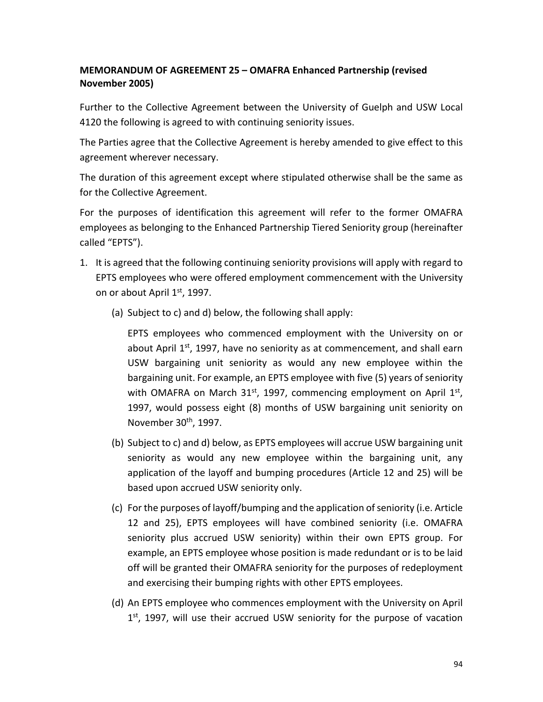# **MEMORANDUM OF AGREEMENT 25 – OMAFRA Enhanced Partnership (revised November 2005)**

Further to the Collective Agreement between the University of Guelph and USW Local 4120 the following is agreed to with continuing seniority issues.

The Parties agree that the Collective Agreement is hereby amended to give effect to this agreement wherever necessary.

The duration of this agreement except where stipulated otherwise shall be the same as for the Collective Agreement.

For the purposes of identification this agreement will refer to the former OMAFRA employees as belonging to the Enhanced Partnership Tiered Seniority group (hereinafter called "EPTS").

- 1. It is agreed that the following continuing seniority provisions will apply with regard to EPTS employees who were offered employment commencement with the University on or about April 1<sup>st</sup>, 1997.
	- (a) Subject to c) and d) below, the following shall apply:

EPTS employees who commenced employment with the University on or about April  $1<sup>st</sup>$ , 1997, have no seniority as at commencement, and shall earn USW bargaining unit seniority as would any new employee within the bargaining unit. For example, an EPTS employee with five (5) years of seniority with OMAFRA on March  $31<sup>st</sup>$ , 1997, commencing employment on April  $1<sup>st</sup>$ , 1997, would possess eight (8) months of USW bargaining unit seniority on November 30th, 1997.

- (b) Subject to c) and d) below, as EPTS employees will accrue USW bargaining unit seniority as would any new employee within the bargaining unit, any application of the layoff and bumping procedures (Article 12 and 25) will be based upon accrued USW seniority only.
- (c) For the purposes of layoff/bumping and the application of seniority (i.e. Article 12 and 25), EPTS employees will have combined seniority (i.e. OMAFRA seniority plus accrued USW seniority) within their own EPTS group. For example, an EPTS employee whose position is made redundant or is to be laid off will be granted their OMAFRA seniority for the purposes of redeployment and exercising their bumping rights with other EPTS employees.
- (d) An EPTS employee who commences employment with the University on April  $1<sup>st</sup>$ , 1997, will use their accrued USW seniority for the purpose of vacation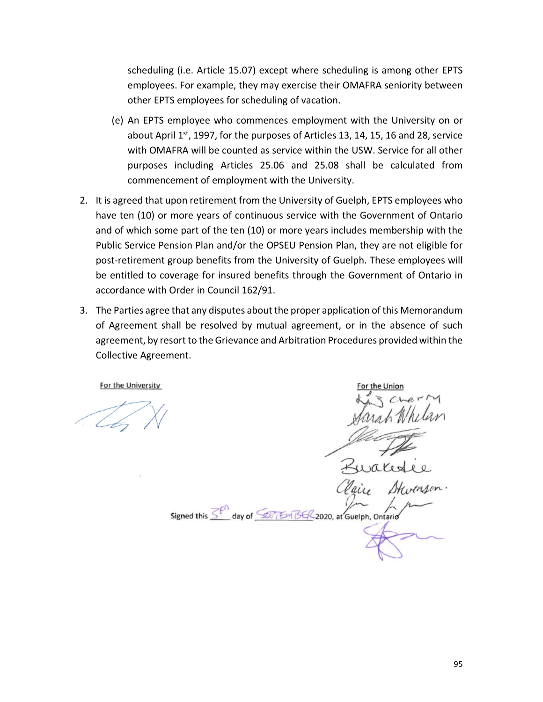scheduling (i.e. Article 15.07) except where scheduling is among other EPTS employees. For example, they may exercise their OMAFRA seniority between other EPTS employees for scheduling of vacation.

- (e) An EPTS employee who commences employment with the University on or about April  $1<sup>st</sup>$ , 1997, for the purposes of Articles 13, 14, 15, 16 and 28, service with OMAFRA will be counted as service within the USW. Service for all other purposes including Articles 25.06 and 25.08 shall be calculated from commencement of employment with the University.
- 2. It is agreed that upon retirement from the University of Guelph, EPTS employees who have ten (10) or more years of continuous service with the Government of Ontario and of which some part of the ten (10) or more years includes membership with the Public Service Pension Plan and/or the OPSEU Pension Plan, they are not eligible for post-retirement group benefits from the University of Guelph. These employees will be entitled to coverage for insured benefits through the Government of Ontario in accordance with Order in Council 162/91.
- 3. The Parties agree that any disputes about the proper application of this Memorandum of Agreement shall be resolved by mutual agreement, or in the absence of such agreement, by resort to the Grievance and Arbitration Procedures provided within the Collective Agreement.

For the University

Signed this SP day of SOFTEM BER 2020, at Guelph, Ontario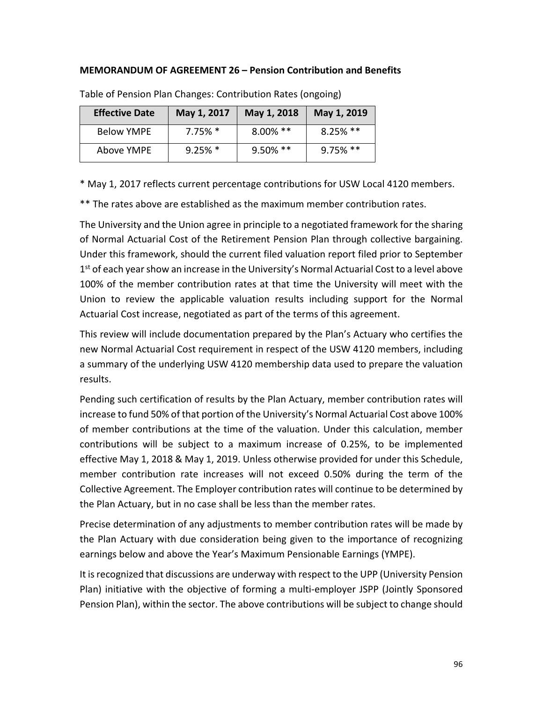### **MEMORANDUM OF AGREEMENT 26 – Pension Contribution and Benefits**

| <b>Effective Date</b> | May 1, 2017 | May 1, 2018 | May 1, 2019 |
|-----------------------|-------------|-------------|-------------|
| <b>Below YMPE</b>     | $7.75\%$ *  | $8.00\%$ ** | $8.25\%$ ** |
| Above YMPE            | $9.25\%$ *  | 9.50% **    | $9.75\%$ ** |

Table of Pension Plan Changes: Contribution Rates (ongoing)

\* May 1, 2017 reflects current percentage contributions for USW Local 4120 members.

\*\* The rates above are established as the maximum member contribution rates.

The University and the Union agree in principle to a negotiated framework for the sharing of Normal Actuarial Cost of the Retirement Pension Plan through collective bargaining. Under this framework, should the current filed valuation report filed prior to September  $1<sup>st</sup>$  of each year show an increase in the University's Normal Actuarial Cost to a level above 100% of the member contribution rates at that time the University will meet with the Union to review the applicable valuation results including support for the Normal Actuarial Cost increase, negotiated as part of the terms of this agreement.

This review will include documentation prepared by the Plan's Actuary who certifies the new Normal Actuarial Cost requirement in respect of the USW 4120 members, including a summary of the underlying USW 4120 membership data used to prepare the valuation results.

Pending such certification of results by the Plan Actuary, member contribution rates will increase to fund 50% of that portion of the University's Normal Actuarial Cost above 100% of member contributions at the time of the valuation. Under this calculation, member contributions will be subject to a maximum increase of 0.25%, to be implemented effective May 1, 2018 & May 1, 2019. Unless otherwise provided for under this Schedule, member contribution rate increases will not exceed 0.50% during the term of the Collective Agreement. The Employer contribution rates will continue to be determined by the Plan Actuary, but in no case shall be less than the member rates.

Precise determination of any adjustments to member contribution rates will be made by the Plan Actuary with due consideration being given to the importance of recognizing earnings below and above the Year's Maximum Pensionable Earnings (YMPE).

It is recognized that discussions are underway with respect to the UPP (University Pension Plan) initiative with the objective of forming a multi-employer JSPP (Jointly Sponsored Pension Plan), within the sector. The above contributions will be subject to change should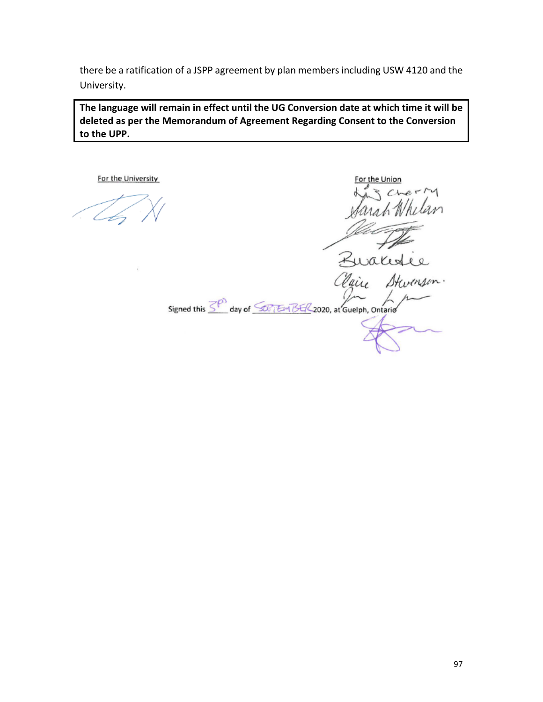there be a ratification of a JSPP agreement by plan members including USW 4120 and the University.

**The language will remain in effect until the UG Conversion date at which time it will be deleted as per the Memorandum of Agreement Regarding Consent to the Conversion to the UPP.**

For the University

For the Union nsh 11 Zwales

Stw aix

Signed this  $\overline{\leq^{\rho}}$  day of  $\overline{\leq v_1 \text{Im }B4/2020}$ , at Guelph, Ontario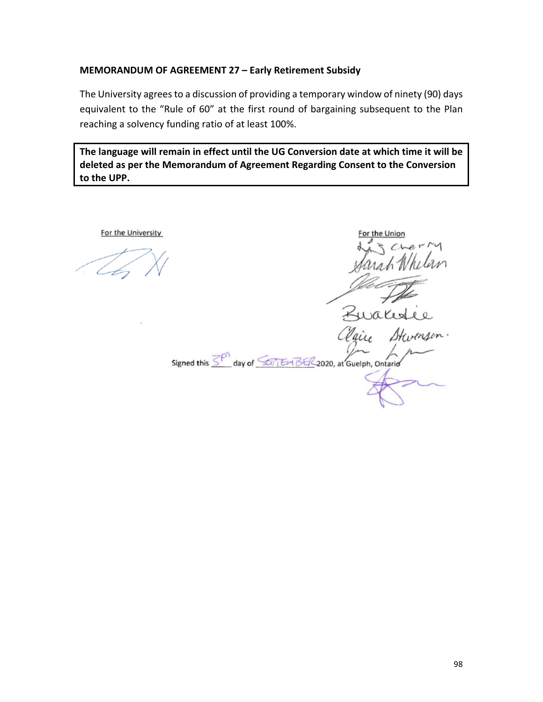### **MEMORANDUM OF AGREEMENT 27 – Early Retirement Subsidy**

The University agrees to a discussion of providing a temporary window of ninety (90) days equivalent to the "Rule of 60" at the first round of bargaining subsequent to the Plan reaching a solvency funding ratio of at least 100%.

**The language will remain in effect until the UG Conversion date at which time it will be deleted as per the Memorandum of Agreement Regarding Consent to the Conversion to the UPP.**

For the University

or the Unio Kurales Signed this  $\overline{\leq^{\rho}}$  day of  $\overline{\leq^{\rho}$  EM BE/2020, at Guelph, Ontario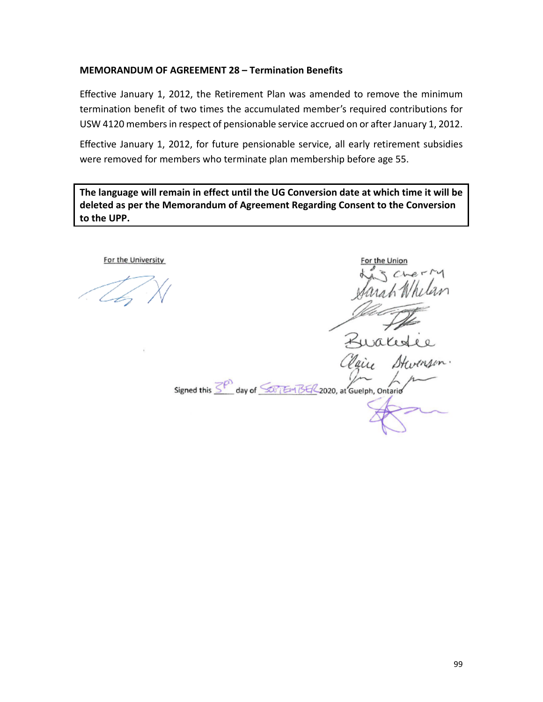### **MEMORANDUM OF AGREEMENT 28 – Termination Benefits**

Effective January 1, 2012, the Retirement Plan was amended to remove the minimum termination benefit of two times the accumulated member's required contributions for USW 4120 members in respect of pensionable service accrued on or after January 1, 2012.

Effective January 1, 2012, for future pensionable service, all early retirement subsidies were removed for members who terminate plan membership before age 55.

**The language will remain in effect until the UG Conversion date at which time it will be deleted as per the Memorandum of Agreement Regarding Consent to the Conversion to the UPP.**

For the University

Signed this  $\overline{\leq^{\rho}}$  day of  $\overline{\leq^{\rho}$  EM BE/2020, at Guelph, Ontario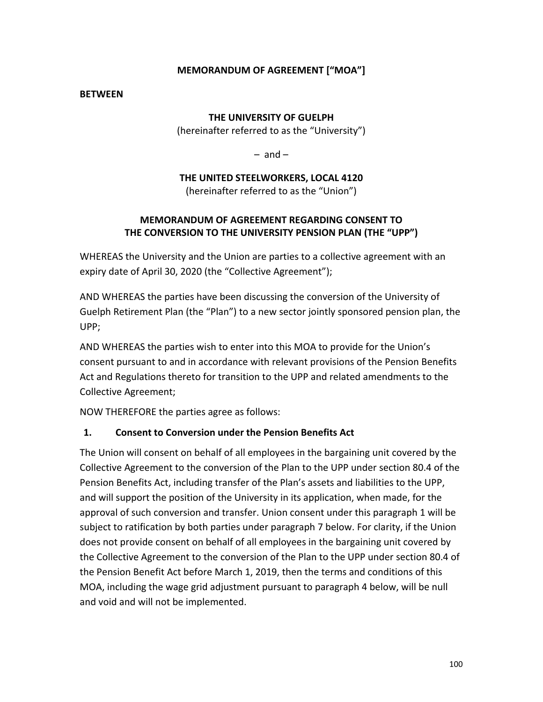# **MEMORANDUM OF AGREEMENT ["MOA"]**

### **BETWEEN**

## **THE UNIVERSITY OF GUELPH**

(hereinafter referred to as the "University")

 $-$  and  $-$ 

**THE UNITED STEELWORKERS, LOCAL 4120**

(hereinafter referred to as the "Union")

# **MEMORANDUM OF AGREEMENT REGARDING CONSENT TO THE CONVERSION TO THE UNIVERSITY PENSION PLAN (THE "UPP")**

WHEREAS the University and the Union are parties to a collective agreement with an expiry date of April 30, 2020 (the "Collective Agreement");

AND WHEREAS the parties have been discussing the conversion of the University of Guelph Retirement Plan (the "Plan") to a new sector jointly sponsored pension plan, the UPP;

AND WHEREAS the parties wish to enter into this MOA to provide for the Union's consent pursuant to and in accordance with relevant provisions of the Pension Benefits Act and Regulations thereto for transition to the UPP and related amendments to the Collective Agreement;

NOW THEREFORE the parties agree as follows:

### **1. Consent to Conversion under the Pension Benefits Act**

The Union will consent on behalf of all employees in the bargaining unit covered by the Collective Agreement to the conversion of the Plan to the UPP under section 80.4 of the Pension Benefits Act, including transfer of the Plan's assets and liabilities to the UPP, and will support the position of the University in its application, when made, for the approval of such conversion and transfer. Union consent under this paragraph 1 will be subject to ratification by both parties under paragraph 7 below. For clarity, if the Union does not provide consent on behalf of all employees in the bargaining unit covered by the Collective Agreement to the conversion of the Plan to the UPP under section 80.4 of the Pension Benefit Act before March 1, 2019, then the terms and conditions of this MOA, including the wage grid adjustment pursuant to paragraph 4 below, will be null and void and will not be implemented.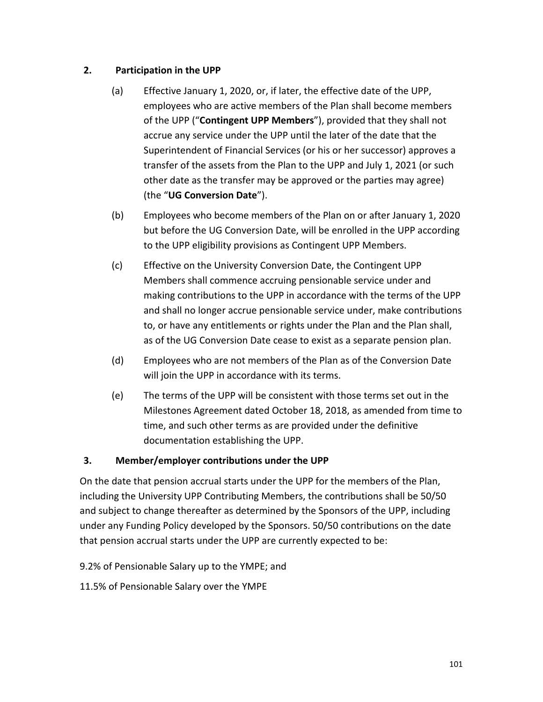# **2. Participation in the UPP**

- (a) Effective January 1, 2020, or, if later, the effective date of the UPP, employees who are active members of the Plan shall become members of the UPP ("**Contingent UPP Members**"), provided that they shall not accrue any service under the UPP until the later of the date that the Superintendent of Financial Services (or his or her successor) approves a transfer of the assets from the Plan to the UPP and July 1, 2021 (or such other date as the transfer may be approved or the parties may agree) (the "**UG Conversion Date**").
- (b) Employees who become members of the Plan on or after January 1, 2020 but before the UG Conversion Date, will be enrolled in the UPP according to the UPP eligibility provisions as Contingent UPP Members.
- (c) Effective on the University Conversion Date, the Contingent UPP Members shall commence accruing pensionable service under and making contributions to the UPP in accordance with the terms of the UPP and shall no longer accrue pensionable service under, make contributions to, or have any entitlements or rights under the Plan and the Plan shall, as of the UG Conversion Date cease to exist as a separate pension plan.
- (d) Employees who are not members of the Plan as of the Conversion Date will join the UPP in accordance with its terms.
- (e) The terms of the UPP will be consistent with those terms set out in the Milestones Agreement dated October 18, 2018, as amended from time to time, and such other terms as are provided under the definitive documentation establishing the UPP.

# **3. Member/employer contributions under the UPP**

On the date that pension accrual starts under the UPP for the members of the Plan, including the University UPP Contributing Members, the contributions shall be 50/50 and subject to change thereafter as determined by the Sponsors of the UPP, including under any Funding Policy developed by the Sponsors. 50/50 contributions on the date that pension accrual starts under the UPP are currently expected to be:

9.2% of Pensionable Salary up to the YMPE; and

11.5% of Pensionable Salary over the YMPE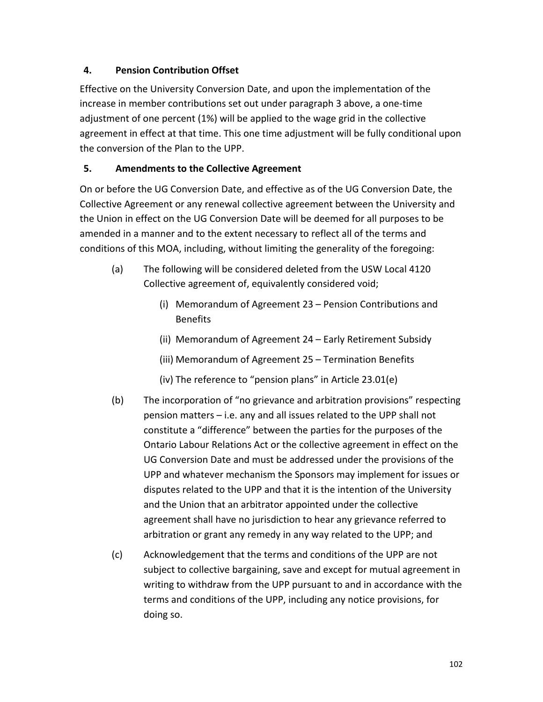# **4. Pension Contribution Offset**

Effective on the University Conversion Date, and upon the implementation of the increase in member contributions set out under paragraph 3 above, a one-time adjustment of one percent (1%) will be applied to the wage grid in the collective agreement in effect at that time. This one time adjustment will be fully conditional upon the conversion of the Plan to the UPP.

# **5. Amendments to the Collective Agreement**

On or before the UG Conversion Date, and effective as of the UG Conversion Date, the Collective Agreement or any renewal collective agreement between the University and the Union in effect on the UG Conversion Date will be deemed for all purposes to be amended in a manner and to the extent necessary to reflect all of the terms and conditions of this MOA, including, without limiting the generality of the foregoing:

- (a) The following will be considered deleted from the USW Local 4120 Collective agreement of, equivalently considered void;
	- (i) Memorandum of Agreement 23 Pension Contributions and Benefits
	- (ii) Memorandum of Agreement 24 Early Retirement Subsidy
	- (iii) Memorandum of Agreement 25 Termination Benefits
	- (iv) The reference to "pension plans" in Article 23.01(e)
- (b) The incorporation of "no grievance and arbitration provisions" respecting pension matters – i.e. any and all issues related to the UPP shall not constitute a "difference" between the parties for the purposes of the Ontario Labour Relations Act or the collective agreement in effect on the UG Conversion Date and must be addressed under the provisions of the UPP and whatever mechanism the Sponsors may implement for issues or disputes related to the UPP and that it is the intention of the University and the Union that an arbitrator appointed under the collective agreement shall have no jurisdiction to hear any grievance referred to arbitration or grant any remedy in any way related to the UPP; and
- (c) Acknowledgement that the terms and conditions of the UPP are not subject to collective bargaining, save and except for mutual agreement in writing to withdraw from the UPP pursuant to and in accordance with the terms and conditions of the UPP, including any notice provisions, for doing so.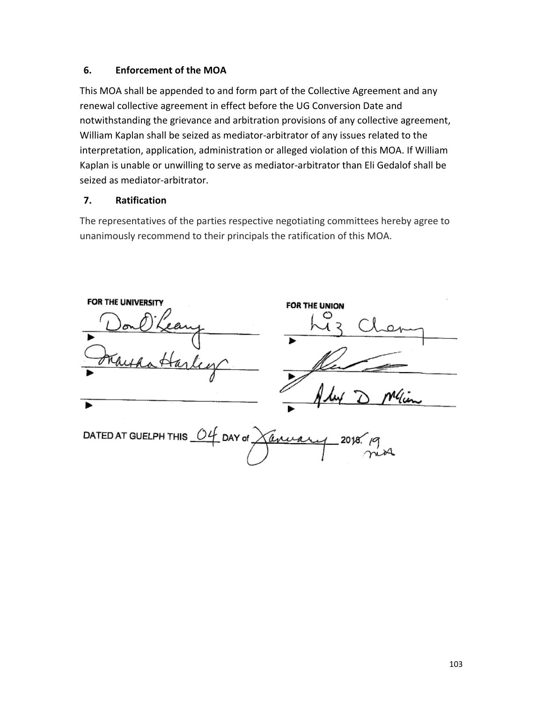# **6. Enforcement of the MOA**

This MOA shall be appended to and form part of the Collective Agreement and any renewal collective agreement in effect before the UG Conversion Date and notwithstanding the grievance and arbitration provisions of any collective agreement, William Kaplan shall be seized as mediator-arbitrator of any issues related to the interpretation, application, administration or alleged violation of this MOA. If William Kaplan is unable or unwilling to serve as mediator-arbitrator than Eli Gedalof shall be seized as mediator-arbitrator.

# **7. Ratification**

The representatives of the parties respective negotiating committees hereby agree to unanimously recommend to their principals the ratification of this MOA.

| FOR THE UNIVERSITY                                         | FOR THE UNION |
|------------------------------------------------------------|---------------|
|                                                            |               |
| lier<br>Hatta                                              |               |
|                                                            | ley D Min     |
| DATED AT GUELPH THIS $04$ DAY of $\chi$ anisology 2018. 19 |               |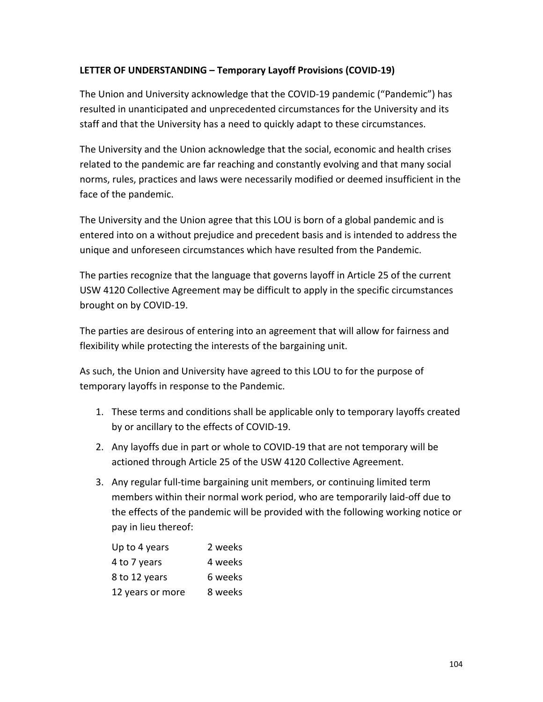# **LETTER OF UNDERSTANDING – Temporary Layoff Provisions (COVID-19)**

The Union and University acknowledge that the COVID-19 pandemic ("Pandemic") has resulted in unanticipated and unprecedented circumstances for the University and its staff and that the University has a need to quickly adapt to these circumstances.

The University and the Union acknowledge that the social, economic and health crises related to the pandemic are far reaching and constantly evolving and that many social norms, rules, practices and laws were necessarily modified or deemed insufficient in the face of the pandemic.

The University and the Union agree that this LOU is born of a global pandemic and is entered into on a without prejudice and precedent basis and is intended to address the unique and unforeseen circumstances which have resulted from the Pandemic.

The parties recognize that the language that governs layoff in Article 25 of the current USW 4120 Collective Agreement may be difficult to apply in the specific circumstances brought on by COVID-19.

The parties are desirous of entering into an agreement that will allow for fairness and flexibility while protecting the interests of the bargaining unit.

As such, the Union and University have agreed to this LOU to for the purpose of temporary layoffs in response to the Pandemic.

- 1. These terms and conditions shall be applicable only to temporary layoffs created by or ancillary to the effects of COVID-19.
- 2. Any layoffs due in part or whole to COVID-19 that are not temporary will be actioned through Article 25 of the USW 4120 Collective Agreement.
- 3. Any regular full-time bargaining unit members, or continuing limited term members within their normal work period, who are temporarily laid-off due to the effects of the pandemic will be provided with the following working notice or pay in lieu thereof:

| Up to 4 years    | 2 weeks |
|------------------|---------|
| 4 to 7 years     | 4 weeks |
| 8 to 12 years    | 6 weeks |
| 12 years or more | 8 weeks |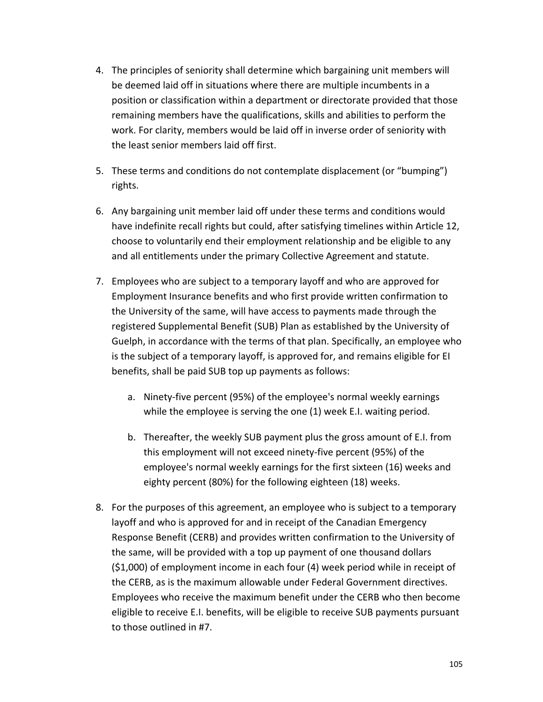- 4. The principles of seniority shall determine which bargaining unit members will be deemed laid off in situations where there are multiple incumbents in a position or classification within a department or directorate provided that those remaining members have the qualifications, skills and abilities to perform the work. For clarity, members would be laid off in inverse order of seniority with the least senior members laid off first.
- 5. These terms and conditions do not contemplate displacement (or "bumping") rights.
- 6. Any bargaining unit member laid off under these terms and conditions would have indefinite recall rights but could, after satisfying timelines within Article 12, choose to voluntarily end their employment relationship and be eligible to any and all entitlements under the primary Collective Agreement and statute.
- 7. Employees who are subject to a temporary layoff and who are approved for Employment Insurance benefits and who first provide written confirmation to the University of the same, will have access to payments made through the registered Supplemental Benefit (SUB) Plan as established by the University of Guelph, in accordance with the terms of that plan. Specifically, an employee who is the subject of a temporary layoff, is approved for, and remains eligible for EI benefits, shall be paid SUB top up payments as follows:
	- a. Ninety-five percent (95%) of the employee's normal weekly earnings while the employee is serving the one (1) week E.I. waiting period.
	- b. Thereafter, the weekly SUB payment plus the gross amount of E.I. from this employment will not exceed ninety-five percent (95%) of the employee's normal weekly earnings for the first sixteen (16) weeks and eighty percent (80%) for the following eighteen (18) weeks.
- 8. For the purposes of this agreement, an employee who is subject to a temporary layoff and who is approved for and in receipt of the Canadian Emergency Response Benefit (CERB) and provides written confirmation to the University of the same, will be provided with a top up payment of one thousand dollars (\$1,000) of employment income in each four (4) week period while in receipt of the CERB, as is the maximum allowable under Federal Government directives. Employees who receive the maximum benefit under the CERB who then become eligible to receive E.I. benefits, will be eligible to receive SUB payments pursuant to those outlined in #7.